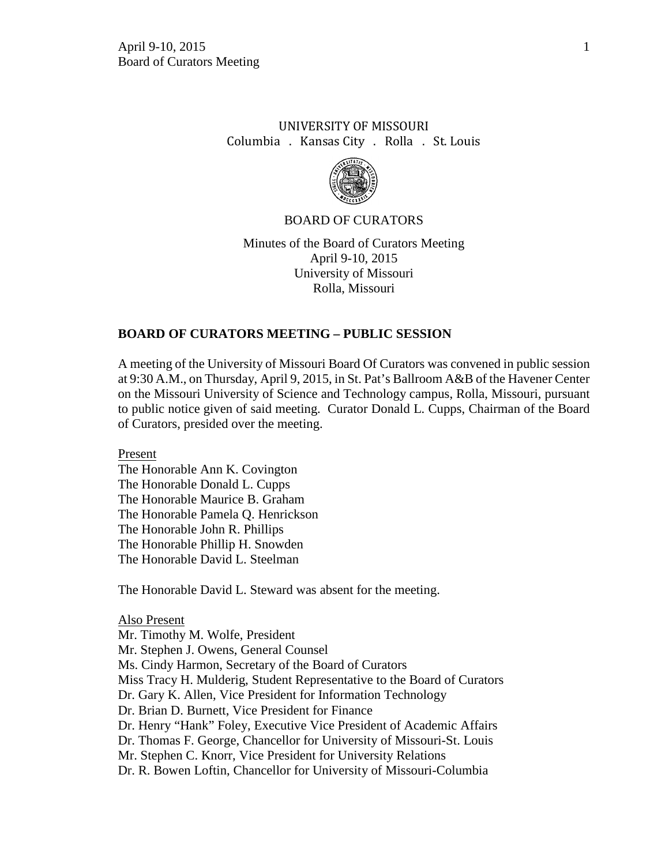# UNIVERSITY OF MISSOURI Columbia . Kansas City . Rolla . St. Louis



#### BOARD OF CURATORS

Minutes of the Board of Curators Meeting April 9-10, 2015 University of Missouri Rolla, Missouri

## **BOARD OF CURATORS MEETING – PUBLIC SESSION**

A meeting of the University of Missouri Board Of Curators was convened in public session at 9:30 A.M., on Thursday, April 9, 2015, in St. Pat's Ballroom A&B of the Havener Center on the Missouri University of Science and Technology campus, Rolla, Missouri, pursuant to public notice given of said meeting. Curator Donald L. Cupps, Chairman of the Board of Curators, presided over the meeting.

Present The Honorable Ann K. Covington The Honorable Donald L. Cupps The Honorable Maurice B. Graham The Honorable Pamela Q. Henrickson The Honorable John R. Phillips The Honorable Phillip H. Snowden The Honorable David L. Steelman

The Honorable David L. Steward was absent for the meeting.

Also Present Mr. Timothy M. Wolfe, President Mr. Stephen J. Owens, General Counsel Ms. Cindy Harmon, Secretary of the Board of Curators Miss Tracy H. Mulderig, Student Representative to the Board of Curators Dr. Gary K. Allen, Vice President for Information Technology Dr. Brian D. Burnett, Vice President for Finance Dr. Henry "Hank" Foley, Executive Vice President of Academic Affairs Dr. Thomas F. George, Chancellor for University of Missouri-St. Louis Mr. Stephen C. Knorr, Vice President for University Relations Dr. R. Bowen Loftin, Chancellor for University of Missouri-Columbia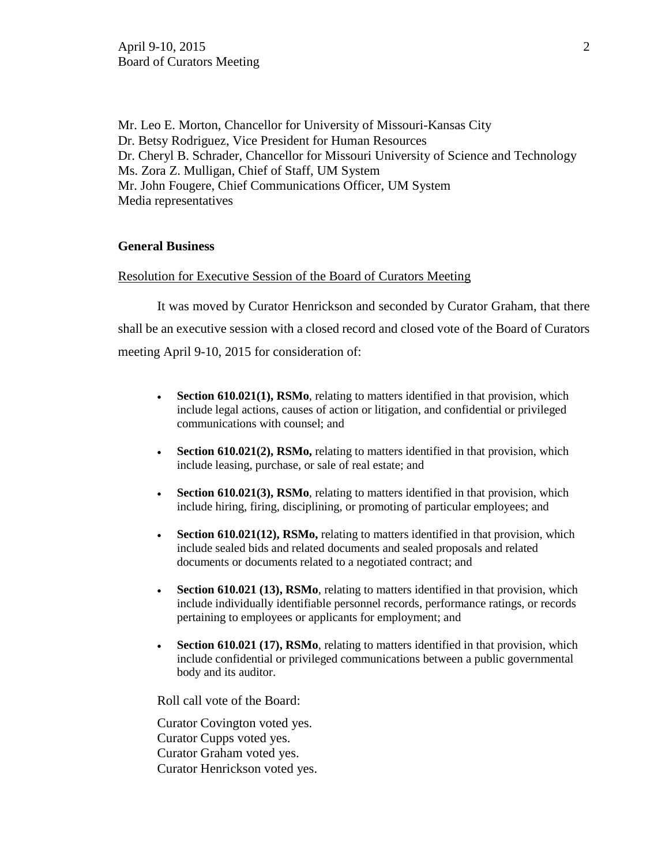Mr. Leo E. Morton, Chancellor for University of Missouri-Kansas City Dr. Betsy Rodriguez, Vice President for Human Resources Dr. Cheryl B. Schrader, Chancellor for Missouri University of Science and Technology Ms. Zora Z. Mulligan, Chief of Staff, UM System Mr. John Fougere, Chief Communications Officer, UM System Media representatives

# **General Business**

#### Resolution for Executive Session of the Board of Curators Meeting

It was moved by Curator Henrickson and seconded by Curator Graham, that there shall be an executive session with a closed record and closed vote of the Board of Curators meeting April 9-10, 2015 for consideration of:

- **Section 610.021(1), RSMo**, relating to matters identified in that provision, which include legal actions, causes of action or litigation, and confidential or privileged communications with counsel; and
- **Section 610.021(2), RSMo,** relating to matters identified in that provision, which include leasing, purchase, or sale of real estate; and
- **Section 610.021(3), RSMo**, relating to matters identified in that provision, which include hiring, firing, disciplining, or promoting of particular employees; and
- **Section 610.021(12), RSMo,** relating to matters identified in that provision, which include sealed bids and related documents and sealed proposals and related documents or documents related to a negotiated contract; and
- **Section 610.021 (13), RSMo**, relating to matters identified in that provision, which include individually identifiable personnel records, performance ratings, or records pertaining to employees or applicants for employment; and
- **Section 610.021 (17), RSMo**, relating to matters identified in that provision, which include confidential or privileged communications between a public governmental body and its auditor.

Roll call vote of the Board:

Curator Covington voted yes. Curator Cupps voted yes. Curator Graham voted yes. Curator Henrickson voted yes.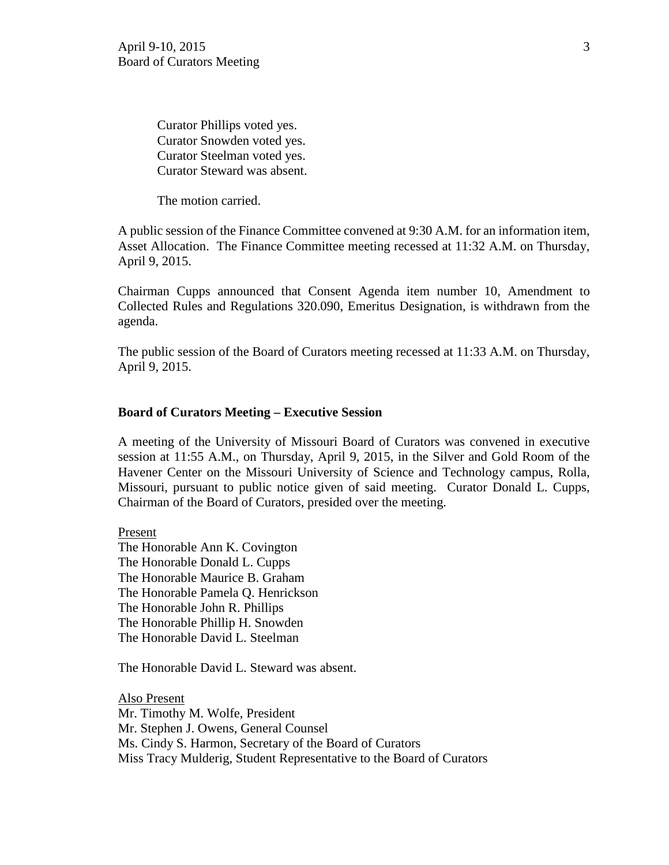Curator Phillips voted yes. Curator Snowden voted yes. Curator Steelman voted yes. Curator Steward was absent.

The motion carried.

A public session of the Finance Committee convened at 9:30 A.M. for an information item, Asset Allocation. The Finance Committee meeting recessed at 11:32 A.M. on Thursday, April 9, 2015.

Chairman Cupps announced that Consent Agenda item number 10, Amendment to Collected Rules and Regulations 320.090, Emeritus Designation, is withdrawn from the agenda.

The public session of the Board of Curators meeting recessed at 11:33 A.M. on Thursday, April 9, 2015.

## **Board of Curators Meeting – Executive Session**

A meeting of the University of Missouri Board of Curators was convened in executive session at 11:55 A.M., on Thursday, April 9, 2015, in the Silver and Gold Room of the Havener Center on the Missouri University of Science and Technology campus, Rolla, Missouri, pursuant to public notice given of said meeting. Curator Donald L. Cupps, Chairman of the Board of Curators, presided over the meeting.

Present The Honorable Ann K. Covington The Honorable Donald L. Cupps The Honorable Maurice B. Graham The Honorable Pamela Q. Henrickson The Honorable John R. Phillips The Honorable Phillip H. Snowden The Honorable David L. Steelman

The Honorable David L. Steward was absent.

Also Present Mr. Timothy M. Wolfe, President Mr. Stephen J. Owens, General Counsel Ms. Cindy S. Harmon, Secretary of the Board of Curators Miss Tracy Mulderig, Student Representative to the Board of Curators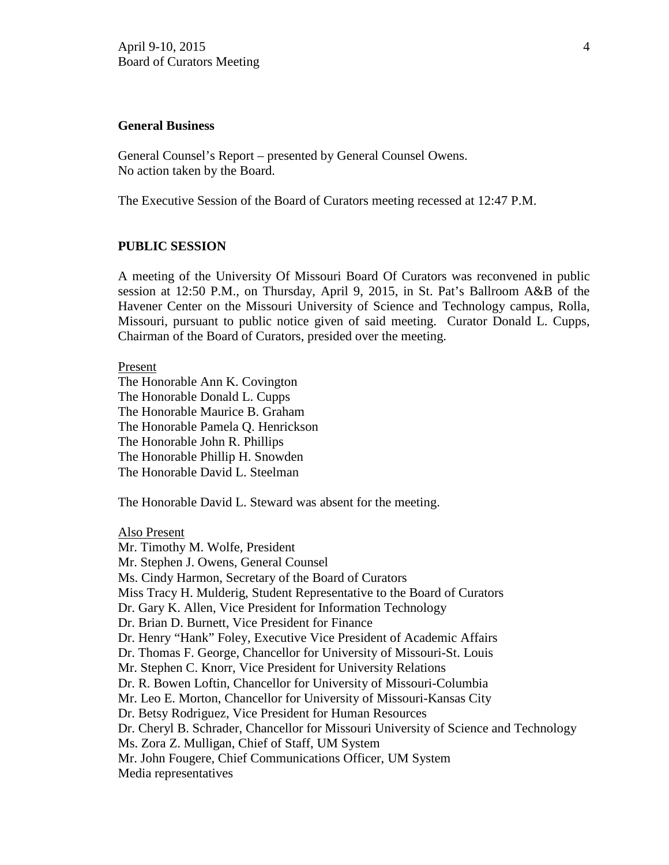#### **General Business**

General Counsel's Report – presented by General Counsel Owens. No action taken by the Board.

The Executive Session of the Board of Curators meeting recessed at 12:47 P.M.

#### **PUBLIC SESSION**

A meeting of the University Of Missouri Board Of Curators was reconvened in public session at 12:50 P.M., on Thursday, April 9, 2015, in St. Pat's Ballroom A&B of the Havener Center on the Missouri University of Science and Technology campus, Rolla, Missouri, pursuant to public notice given of said meeting. Curator Donald L. Cupps, Chairman of the Board of Curators, presided over the meeting.

#### Present

The Honorable Ann K. Covington The Honorable Donald L. Cupps The Honorable Maurice B. Graham The Honorable Pamela Q. Henrickson The Honorable John R. Phillips The Honorable Phillip H. Snowden The Honorable David L. Steelman

The Honorable David L. Steward was absent for the meeting.

#### Also Present

Mr. Timothy M. Wolfe, President Mr. Stephen J. Owens, General Counsel Ms. Cindy Harmon, Secretary of the Board of Curators Miss Tracy H. Mulderig, Student Representative to the Board of Curators Dr. Gary K. Allen, Vice President for Information Technology Dr. Brian D. Burnett, Vice President for Finance Dr. Henry "Hank" Foley, Executive Vice President of Academic Affairs Dr. Thomas F. George, Chancellor for University of Missouri-St. Louis Mr. Stephen C. Knorr, Vice President for University Relations Dr. R. Bowen Loftin, Chancellor for University of Missouri-Columbia Mr. Leo E. Morton, Chancellor for University of Missouri-Kansas City Dr. Betsy Rodriguez, Vice President for Human Resources Dr. Cheryl B. Schrader, Chancellor for Missouri University of Science and Technology Ms. Zora Z. Mulligan, Chief of Staff, UM System Mr. John Fougere, Chief Communications Officer, UM System Media representatives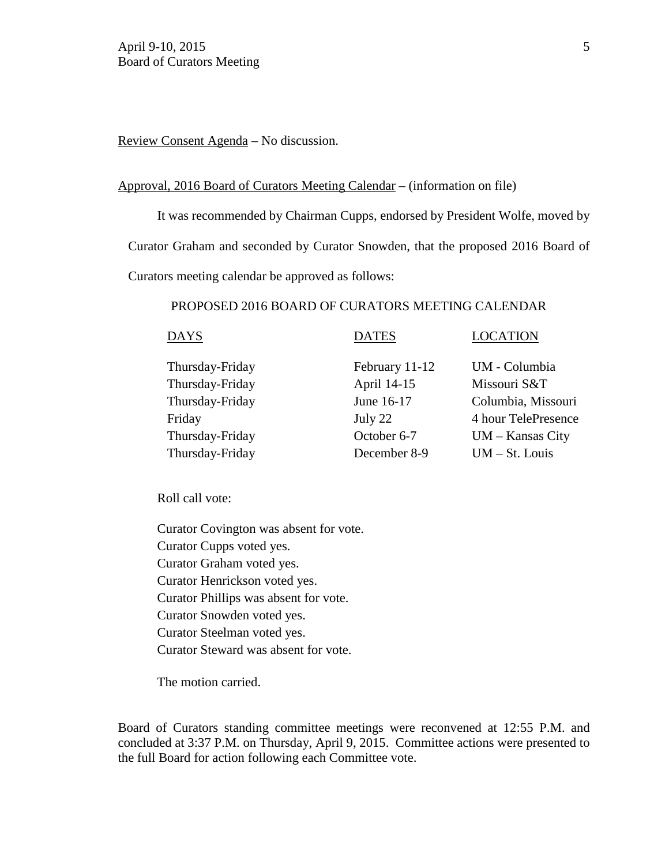Review Consent Agenda – No discussion.

#### Approval, 2016 Board of Curators Meeting Calendar – (information on file)

It was recommended by Chairman Cupps, endorsed by President Wolfe, moved by Curator Graham and seconded by Curator Snowden, that the proposed 2016 Board of

Curators meeting calendar be approved as follows:

# PROPOSED 2016 BOARD OF CURATORS MEETING CALENDAR

| DAYS            | <b>DATES</b>   | <b>LOCATION</b>     |
|-----------------|----------------|---------------------|
| Thursday-Friday | February 11-12 | UM - Columbia       |
| Thursday-Friday | April 14-15    | Missouri S&T        |
| Thursday-Friday | June 16-17     | Columbia, Missouri  |
| Friday          | July 22        | 4 hour TelePresence |
| Thursday-Friday | October 6-7    | $UM - Kansas City$  |
| Thursday-Friday | December 8-9   | $UM - St. Louis$    |

Roll call vote:

Curator Covington was absent for vote. Curator Cupps voted yes. Curator Graham voted yes. Curator Henrickson voted yes. Curator Phillips was absent for vote. Curator Snowden voted yes. Curator Steelman voted yes. Curator Steward was absent for vote.

The motion carried.

Board of Curators standing committee meetings were reconvened at 12:55 P.M. and concluded at 3:37 P.M. on Thursday, April 9, 2015. Committee actions were presented to the full Board for action following each Committee vote.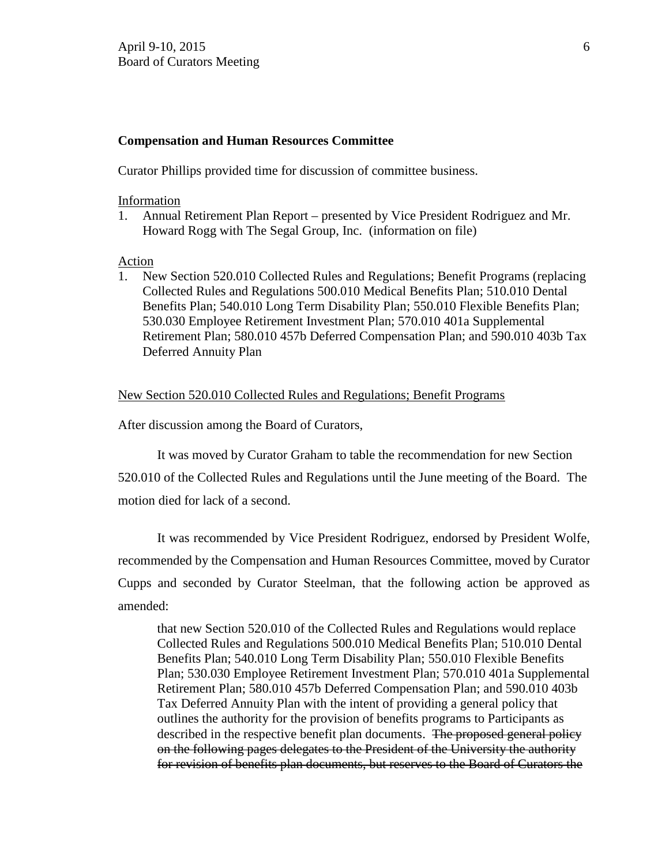### **Compensation and Human Resources Committee**

Curator Phillips provided time for discussion of committee business.

#### Information

1. Annual Retirement Plan Report – presented by Vice President Rodriguez and Mr. Howard Rogg with The Segal Group, Inc. (information on file)

## Action

1. New Section 520.010 Collected Rules and Regulations; Benefit Programs (replacing Collected Rules and Regulations 500.010 Medical Benefits Plan; 510.010 Dental Benefits Plan; 540.010 Long Term Disability Plan; 550.010 Flexible Benefits Plan; 530.030 Employee Retirement Investment Plan; 570.010 401a Supplemental Retirement Plan; 580.010 457b Deferred Compensation Plan; and 590.010 403b Tax Deferred Annuity Plan

#### New Section 520.010 Collected Rules and Regulations; Benefit Programs

After discussion among the Board of Curators,

It was moved by Curator Graham to table the recommendation for new Section 520.010 of the Collected Rules and Regulations until the June meeting of the Board. The motion died for lack of a second.

It was recommended by Vice President Rodriguez, endorsed by President Wolfe, recommended by the Compensation and Human Resources Committee, moved by Curator Cupps and seconded by Curator Steelman, that the following action be approved as amended:

that new Section 520.010 of the Collected Rules and Regulations would replace Collected Rules and Regulations 500.010 Medical Benefits Plan; 510.010 Dental Benefits Plan; 540.010 Long Term Disability Plan; 550.010 Flexible Benefits Plan; 530.030 Employee Retirement Investment Plan; 570.010 401a Supplemental Retirement Plan; 580.010 457b Deferred Compensation Plan; and 590.010 403b Tax Deferred Annuity Plan with the intent of providing a general policy that outlines the authority for the provision of benefits programs to Participants as described in the respective benefit plan documents. The proposed general policy on the following pages delegates to the President of the University the authority for revision of benefits plan documents, but reserves to the Board of Curators the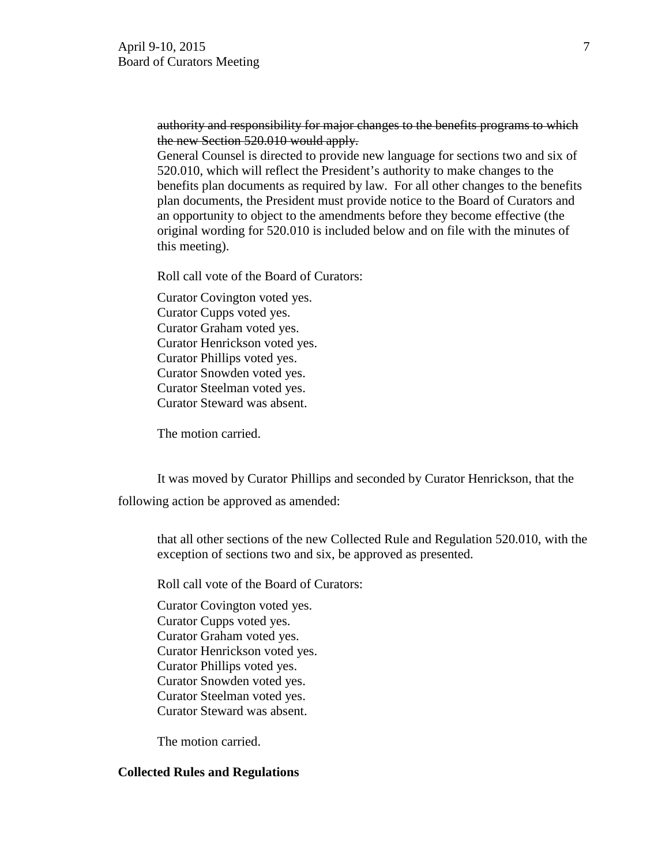# authority and responsibility for major changes to the benefits programs to which the new Section 520.010 would apply.

General Counsel is directed to provide new language for sections two and six of 520.010, which will reflect the President's authority to make changes to the benefits plan documents as required by law. For all other changes to the benefits plan documents, the President must provide notice to the Board of Curators and an opportunity to object to the amendments before they become effective (the original wording for 520.010 is included below and on file with the minutes of this meeting).

Roll call vote of the Board of Curators:

 Curator Covington voted yes. Curator Cupps voted yes. Curator Graham voted yes. Curator Henrickson voted yes. Curator Phillips voted yes. Curator Snowden voted yes. Curator Steelman voted yes. Curator Steward was absent.

The motion carried.

 It was moved by Curator Phillips and seconded by Curator Henrickson, that the following action be approved as amended:

that all other sections of the new Collected Rule and Regulation 520.010, with the exception of sections two and six, be approved as presented.

Roll call vote of the Board of Curators:

 Curator Covington voted yes. Curator Cupps voted yes. Curator Graham voted yes. Curator Henrickson voted yes. Curator Phillips voted yes. Curator Snowden voted yes. Curator Steelman voted yes. Curator Steward was absent.

The motion carried.

# **Collected Rules and Regulations**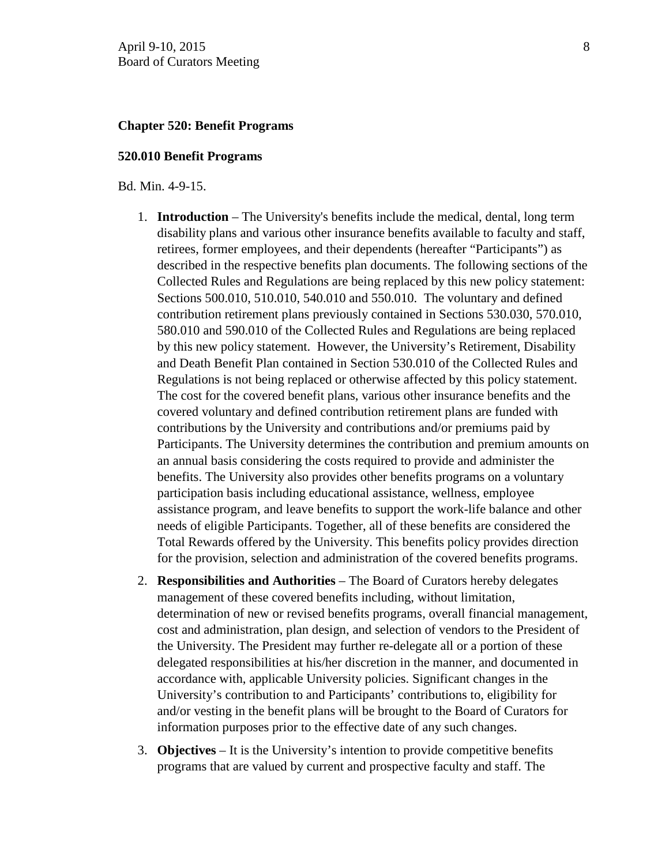### **Chapter 520: Benefit Programs**

#### **520.010 Benefit Programs**

Bd. Min. 4-9-15.

- 1. **Introduction** The University's benefits include the medical, dental, long term disability plans and various other insurance benefits available to faculty and staff, retirees, former employees, and their dependents (hereafter "Participants") as described in the respective benefits plan documents. The following sections of the Collected Rules and Regulations are being replaced by this new policy statement: Sections 500.010, 510.010, 540.010 and 550.010. The voluntary and defined contribution retirement plans previously contained in Sections 530.030, 570.010, 580.010 and 590.010 of the Collected Rules and Regulations are being replaced by this new policy statement. However, the University's Retirement, Disability and Death Benefit Plan contained in Section 530.010 of the Collected Rules and Regulations is not being replaced or otherwise affected by this policy statement. The cost for the covered benefit plans, various other insurance benefits and the covered voluntary and defined contribution retirement plans are funded with contributions by the University and contributions and/or premiums paid by Participants. The University determines the contribution and premium amounts on an annual basis considering the costs required to provide and administer the benefits. The University also provides other benefits programs on a voluntary participation basis including educational assistance, wellness, employee assistance program, and leave benefits to support the work-life balance and other needs of eligible Participants. Together, all of these benefits are considered the Total Rewards offered by the University. This benefits policy provides direction for the provision, selection and administration of the covered benefits programs.
- 2. **Responsibilities and Authorities**  The Board of Curators hereby delegates management of these covered benefits including, without limitation, determination of new or revised benefits programs, overall financial management, cost and administration, plan design, and selection of vendors to the President of the University. The President may further re-delegate all or a portion of these delegated responsibilities at his/her discretion in the manner, and documented in accordance with, applicable University policies. Significant changes in the University's contribution to and Participants' contributions to, eligibility for and/or vesting in the benefit plans will be brought to the Board of Curators for information purposes prior to the effective date of any such changes.
- 3. **Objectives** It is the University's intention to provide competitive benefits programs that are valued by current and prospective faculty and staff. The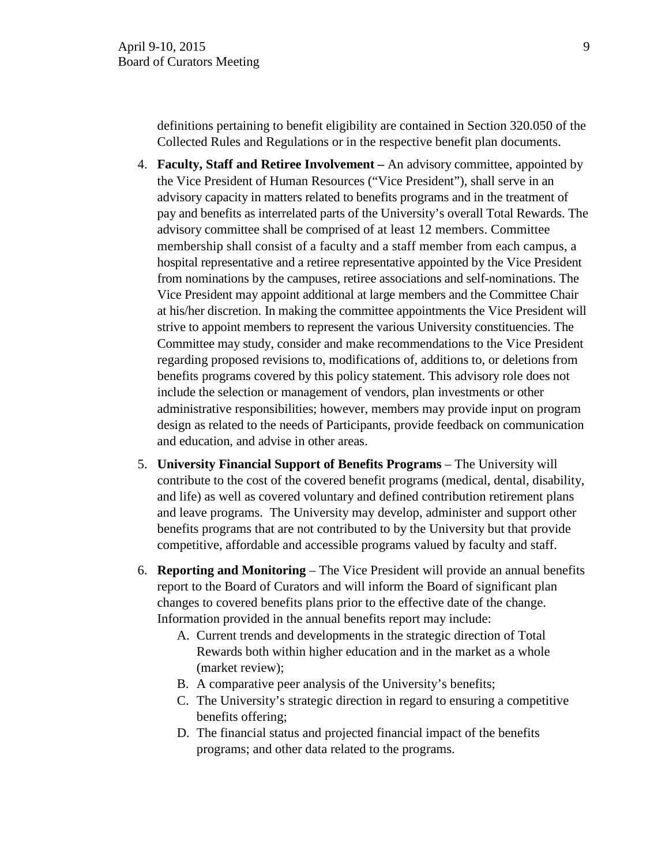definitions pertaining to benefit eligibility are contained in Section 320.050 of the Collected Rules and Regulations or in the respective benefit plan documents.

- 4. **Faculty, Staff and Retiree Involvement –** An advisory committee, appointed by the Vice President of Human Resources ("Vice President"), shall serve in an advisory capacity in matters related to benefits programs and in the treatment of pay and benefits as interrelated parts of the University's overall Total Rewards. The advisory committee shall be comprised of at least 12 members. Committee membership shall consist of a faculty and a staff member from each campus, a hospital representative and a retiree representative appointed by the Vice President from nominations by the campuses, retiree associations and self-nominations. The Vice President may appoint additional at large members and the Committee Chair at his/her discretion. In making the committee appointments the Vice President will strive to appoint members to represent the various University constituencies. The Committee may study, consider and make recommendations to the Vice President regarding proposed revisions to, modifications of, additions to, or deletions from benefits programs covered by this policy statement. This advisory role does not include the selection or management of vendors, plan investments or other administrative responsibilities; however, members may provide input on program design as related to the needs of Participants, provide feedback on communication and education, and advise in other areas.
- 5. **University Financial Support of Benefits Programs** The University will contribute to the cost of the covered benefit programs (medical, dental, disability, and life) as well as covered voluntary and defined contribution retirement plans and leave programs. The University may develop, administer and support other benefits programs that are not contributed to by the University but that provide competitive, affordable and accessible programs valued by faculty and staff.
- 6. **Reporting and Monitoring** The Vice President will provide an annual benefits report to the Board of Curators and will inform the Board of significant plan changes to covered benefits plans prior to the effective date of the change. Information provided in the annual benefits report may include:
	- A. Current trends and developments in the strategic direction of Total Rewards both within higher education and in the market as a whole (market review);
	- B. A comparative peer analysis of the University's benefits;
	- C. The University's strategic direction in regard to ensuring a competitive benefits offering;
	- D. The financial status and projected financial impact of the benefits programs; and other data related to the programs.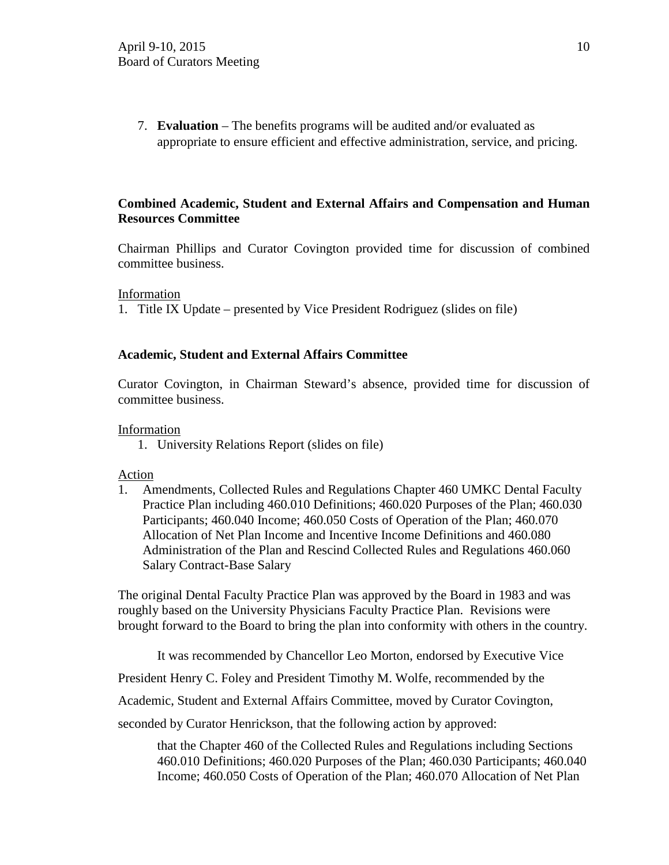7. **Evaluation** – The benefits programs will be audited and/or evaluated as appropriate to ensure efficient and effective administration, service, and pricing.

# **Combined Academic, Student and External Affairs and Compensation and Human Resources Committee**

Chairman Phillips and Curator Covington provided time for discussion of combined committee business.

#### Information

1. Title IX Update – presented by Vice President Rodriguez (slides on file)

## **Academic, Student and External Affairs Committee**

Curator Covington, in Chairman Steward's absence, provided time for discussion of committee business.

#### Information

1. University Relations Report (slides on file)

## Action

1. Amendments, Collected Rules and Regulations Chapter 460 UMKC Dental Faculty Practice Plan including 460.010 Definitions; 460.020 Purposes of the Plan; 460.030 Participants; 460.040 Income; 460.050 Costs of Operation of the Plan; 460.070 Allocation of Net Plan Income and Incentive Income Definitions and 460.080 Administration of the Plan and Rescind Collected Rules and Regulations 460.060 Salary Contract-Base Salary

The original Dental Faculty Practice Plan was approved by the Board in 1983 and was roughly based on the University Physicians Faculty Practice Plan. Revisions were brought forward to the Board to bring the plan into conformity with others in the country.

It was recommended by Chancellor Leo Morton, endorsed by Executive Vice

President Henry C. Foley and President Timothy M. Wolfe, recommended by the

Academic, Student and External Affairs Committee, moved by Curator Covington,

seconded by Curator Henrickson, that the following action by approved:

that the Chapter 460 of the Collected Rules and Regulations including Sections 460.010 Definitions; 460.020 Purposes of the Plan; 460.030 Participants; 460.040 Income; 460.050 Costs of Operation of the Plan; 460.070 Allocation of Net Plan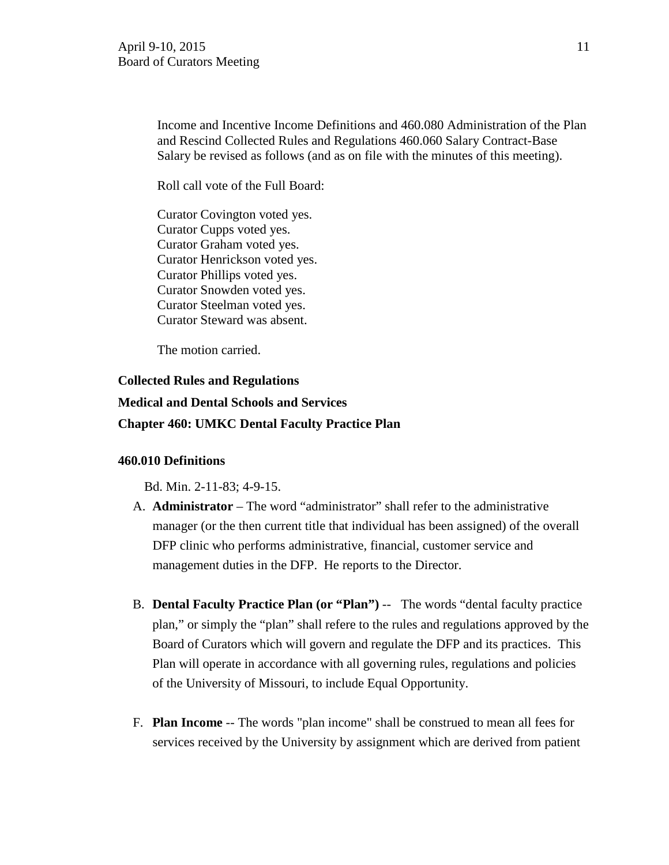Income and Incentive Income Definitions and 460.080 Administration of the Plan and Rescind Collected Rules and Regulations 460.060 Salary Contract-Base Salary be revised as follows (and as on file with the minutes of this meeting).

Roll call vote of the Full Board:

Curator Covington voted yes. Curator Cupps voted yes. Curator Graham voted yes. Curator Henrickson voted yes. Curator Phillips voted yes. Curator Snowden voted yes. Curator Steelman voted yes. Curator Steward was absent.

The motion carried.

# **Collected Rules and Regulations**

# **Medical and Dental Schools and Services**

#### **Chapter 460: UMKC Dental Faculty Practice Plan**

#### **460.010 Definitions**

Bd. Min. 2-11-83; 4-9-15.

- A. **Administrator** The word "administrator" shall refer to the administrative manager (or the then current title that individual has been assigned) of the overall DFP clinic who performs administrative, financial, customer service and management duties in the DFP. He reports to the Director.
- B. **Dental Faculty Practice Plan (or "Plan")** -- The words "dental faculty practice plan," or simply the "plan" shall refere to the rules and regulations approved by the Board of Curators which will govern and regulate the DFP and its practices. This Plan will operate in accordance with all governing rules, regulations and policies of the University of Missouri, to include Equal Opportunity.
- F. **Plan Income** -- The words "plan income" shall be construed to mean all fees for services received by the University by assignment which are derived from patient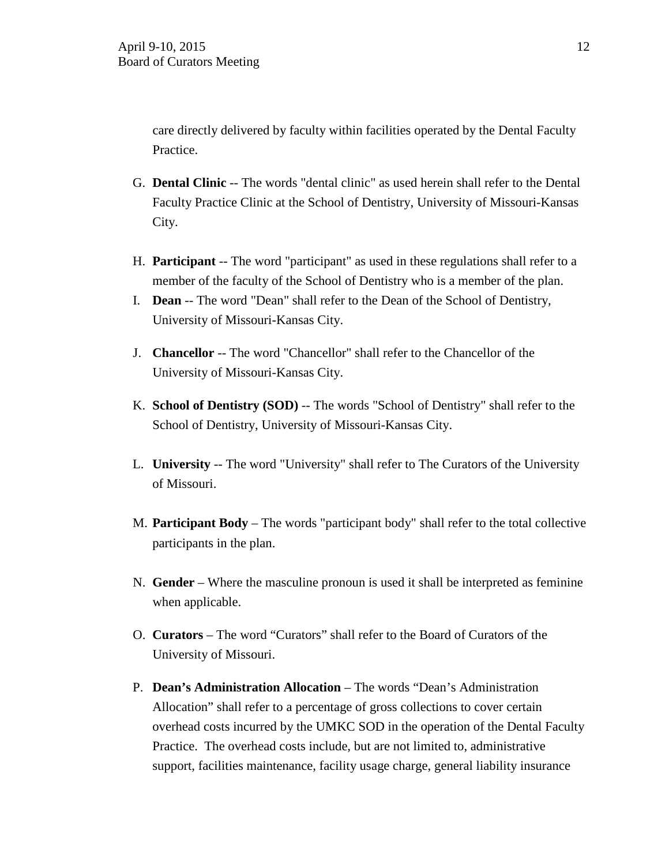care directly delivered by faculty within facilities operated by the Dental Faculty Practice.

- G. **Dental Clinic** -- The words "dental clinic" as used herein shall refer to the Dental Faculty Practice Clinic at the School of Dentistry, University of Missouri-Kansas City.
- H. **Participant** -- The word "participant" as used in these regulations shall refer to a member of the faculty of the School of Dentistry who is a member of the plan.
- I. **Dean** -- The word "Dean" shall refer to the Dean of the School of Dentistry, University of Missouri-Kansas City.
- J. **Chancellor** -- The word "Chancellor" shall refer to the Chancellor of the University of Missouri-Kansas City.
- K. **School of Dentistry (SOD)** -- The words "School of Dentistry" shall refer to the School of Dentistry, University of Missouri-Kansas City.
- L. **University** -- The word "University" shall refer to The Curators of the University of Missouri.
- M. **Participant Body** The words "participant body" shall refer to the total collective participants in the plan.
- N. **Gender** Where the masculine pronoun is used it shall be interpreted as feminine when applicable.
- O. **Curators**  The word "Curators" shall refer to the Board of Curators of the University of Missouri.
- P. **Dean's Administration Allocation** The words "Dean's Administration Allocation" shall refer to a percentage of gross collections to cover certain overhead costs incurred by the UMKC SOD in the operation of the Dental Faculty Practice. The overhead costs include, but are not limited to, administrative support, facilities maintenance, facility usage charge, general liability insurance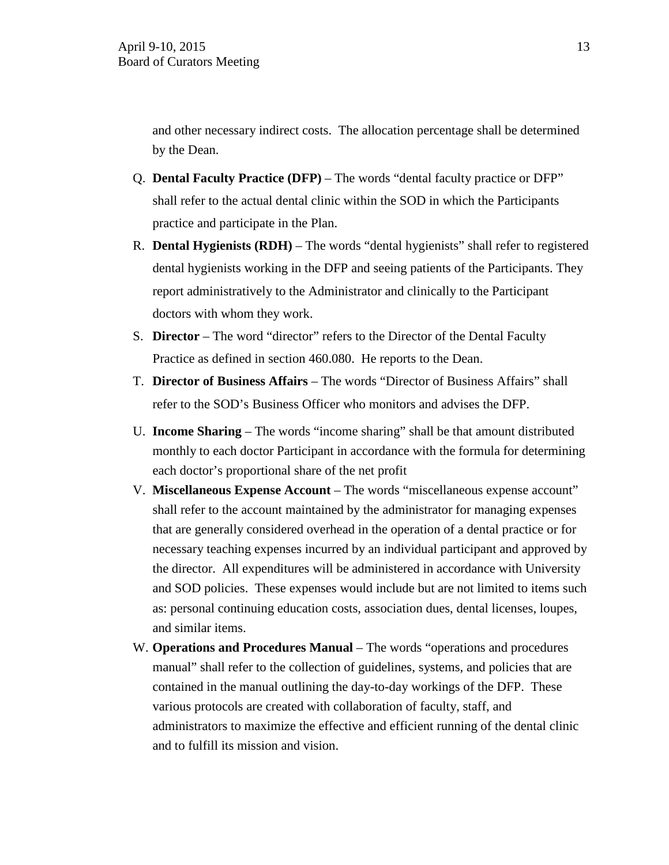and other necessary indirect costs. The allocation percentage shall be determined by the Dean.

- Q. **Dental Faculty Practice (DFP)** The words "dental faculty practice or DFP" shall refer to the actual dental clinic within the SOD in which the Participants practice and participate in the Plan.
- R. **Dental Hygienists (RDH)**  The words "dental hygienists" shall refer to registered dental hygienists working in the DFP and seeing patients of the Participants. They report administratively to the Administrator and clinically to the Participant doctors with whom they work.
- S. **Director**  The word "director" refers to the Director of the Dental Faculty Practice as defined in section 460.080. He reports to the Dean.
- T. **Director of Business Affairs**  The words "Director of Business Affairs" shall refer to the SOD's Business Officer who monitors and advises the DFP.
- U. **Income Sharing**  The words "income sharing" shall be that amount distributed monthly to each doctor Participant in accordance with the formula for determining each doctor's proportional share of the net profit
- V. **Miscellaneous Expense Account**  The words "miscellaneous expense account" shall refer to the account maintained by the administrator for managing expenses that are generally considered overhead in the operation of a dental practice or for necessary teaching expenses incurred by an individual participant and approved by the director. All expenditures will be administered in accordance with University and SOD policies. These expenses would include but are not limited to items such as: personal continuing education costs, association dues, dental licenses, loupes, and similar items.
- W. **Operations and Procedures Manual** The words "operations and procedures" manual" shall refer to the collection of guidelines, systems, and policies that are contained in the manual outlining the day-to-day workings of the DFP. These various protocols are created with collaboration of faculty, staff, and administrators to maximize the effective and efficient running of the dental clinic and to fulfill its mission and vision.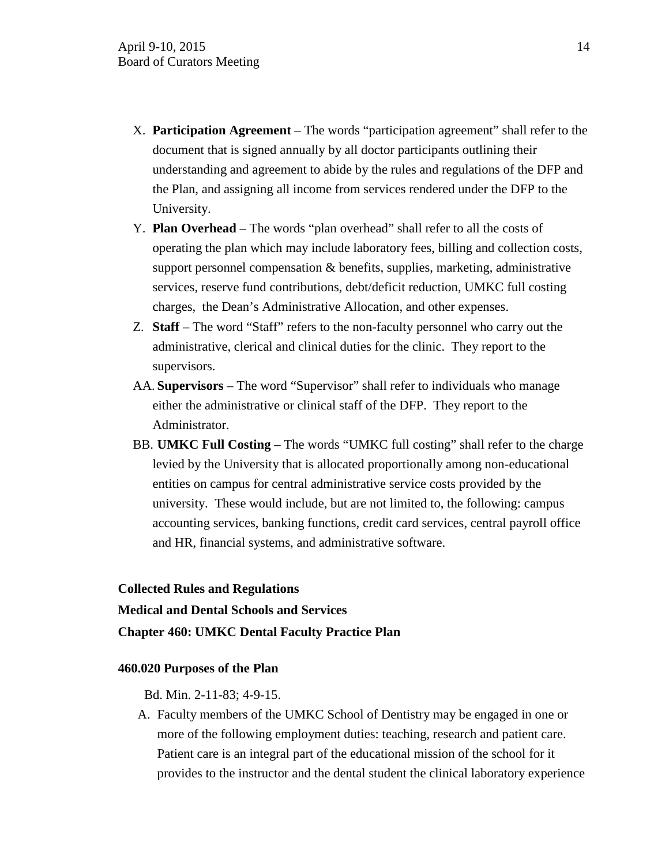- X. **Participation Agreement**  The words "participation agreement" shall refer to the document that is signed annually by all doctor participants outlining their understanding and agreement to abide by the rules and regulations of the DFP and the Plan, and assigning all income from services rendered under the DFP to the University.
- Y. **Plan Overhead**  The words "plan overhead" shall refer to all the costs of operating the plan which may include laboratory fees, billing and collection costs, support personnel compensation  $\&$  benefits, supplies, marketing, administrative services, reserve fund contributions, debt/deficit reduction, UMKC full costing charges, the Dean's Administrative Allocation, and other expenses.
- Z. **Staff**  The word "Staff" refers to the non-faculty personnel who carry out the administrative, clerical and clinical duties for the clinic. They report to the supervisors.
- AA. **Supervisors**  The word "Supervisor" shall refer to individuals who manage either the administrative or clinical staff of the DFP. They report to the Administrator.
- BB. **UMKC Full Costing**  The words "UMKC full costing" shall refer to the charge levied by the University that is allocated proportionally among non-educational entities on campus for central administrative service costs provided by the university. These would include, but are not limited to, the following: campus accounting services, banking functions, credit card services, central payroll office and HR, financial systems, and administrative software.

#### **Collected Rules and Regulations**

**Medical and Dental Schools and Services**

### **Chapter 460: UMKC Dental Faculty Practice Plan**

## **460.020 Purposes of the Plan**

Bd. Min. 2-11-83; 4-9-15.

A. Faculty members of the UMKC School of Dentistry may be engaged in one or more of the following employment duties: teaching, research and patient care. Patient care is an integral part of the educational mission of the school for it provides to the instructor and the dental student the clinical laboratory experience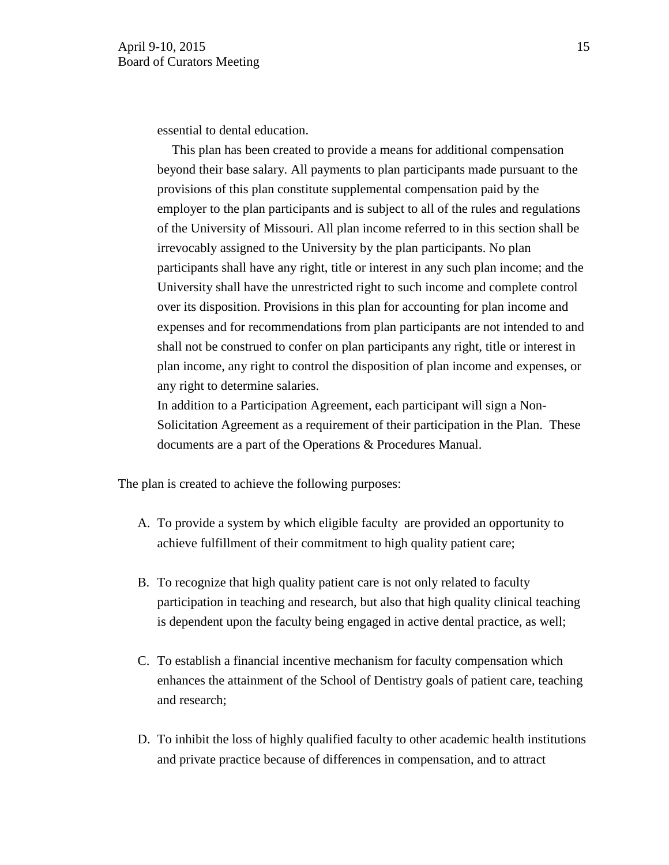essential to dental education.

 This plan has been created to provide a means for additional compensation beyond their base salary. All payments to plan participants made pursuant to the provisions of this plan constitute supplemental compensation paid by the employer to the plan participants and is subject to all of the rules and regulations of the University of Missouri. All plan income referred to in this section shall be irrevocably assigned to the University by the plan participants. No plan participants shall have any right, title or interest in any such plan income; and the University shall have the unrestricted right to such income and complete control over its disposition. Provisions in this plan for accounting for plan income and expenses and for recommendations from plan participants are not intended to and shall not be construed to confer on plan participants any right, title or interest in plan income, any right to control the disposition of plan income and expenses, or any right to determine salaries.

In addition to a Participation Agreement, each participant will sign a Non-Solicitation Agreement as a requirement of their participation in the Plan. These documents are a part of the Operations & Procedures Manual.

The plan is created to achieve the following purposes:

- A. To provide a system by which eligible faculty are provided an opportunity to achieve fulfillment of their commitment to high quality patient care;
- B. To recognize that high quality patient care is not only related to faculty participation in teaching and research, but also that high quality clinical teaching is dependent upon the faculty being engaged in active dental practice, as well;
- C. To establish a financial incentive mechanism for faculty compensation which enhances the attainment of the School of Dentistry goals of patient care, teaching and research;
- D. To inhibit the loss of highly qualified faculty to other academic health institutions and private practice because of differences in compensation, and to attract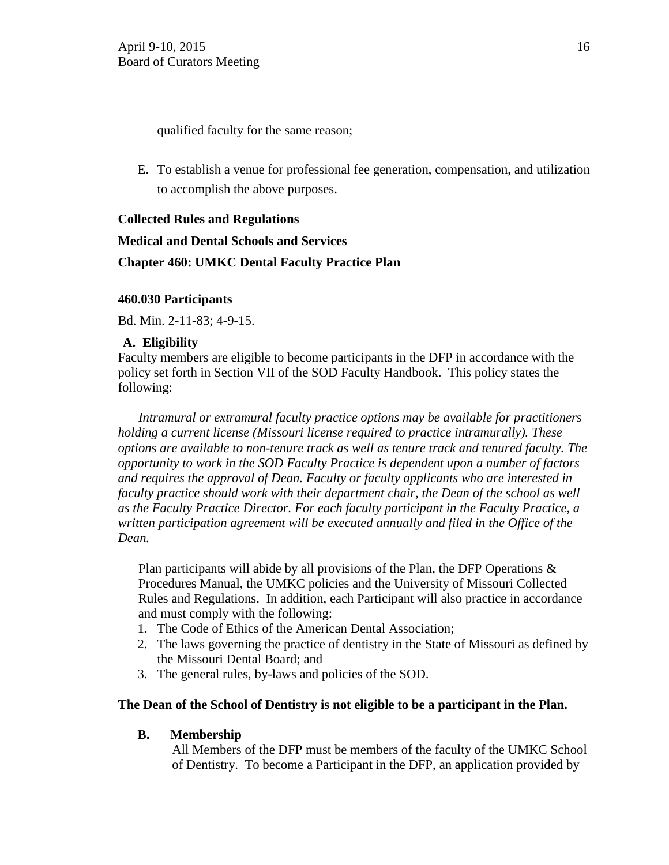qualified faculty for the same reason;

E. To establish a venue for professional fee generation, compensation, and utilization to accomplish the above purposes.

# **Collected Rules and Regulations**

# **Medical and Dental Schools and Services Chapter 460: UMKC Dental Faculty Practice Plan**

# **460.030 Participants**

Bd. Min. 2-11-83; 4-9-15.

# **A. Eligibility**

Faculty members are eligible to become participants in the DFP in accordance with the policy set forth in Section VII of the SOD Faculty Handbook. This policy states the following:

*Intramural or extramural faculty practice options may be available for practitioners holding a current license (Missouri license required to practice intramurally). These options are available to non-tenure track as well as tenure track and tenured faculty. The opportunity to work in the SOD Faculty Practice is dependent upon a number of factors and requires the approval of Dean. Faculty or faculty applicants who are interested in faculty practice should work with their department chair, the Dean of the school as well as the Faculty Practice Director. For each faculty participant in the Faculty Practice, a written participation agreement will be executed annually and filed in the Office of the Dean.*

Plan participants will abide by all provisions of the Plan, the DFP Operations  $\&$ Procedures Manual, the UMKC policies and the University of Missouri Collected Rules and Regulations. In addition, each Participant will also practice in accordance and must comply with the following:

- 1. The Code of Ethics of the American Dental Association;
- 2. The laws governing the practice of dentistry in the State of Missouri as defined by the Missouri Dental Board; and
- 3. The general rules, by-laws and policies of the SOD.

# **The Dean of the School of Dentistry is not eligible to be a participant in the Plan.**

# **B. Membership**

All Members of the DFP must be members of the faculty of the UMKC School of Dentistry. To become a Participant in the DFP, an application provided by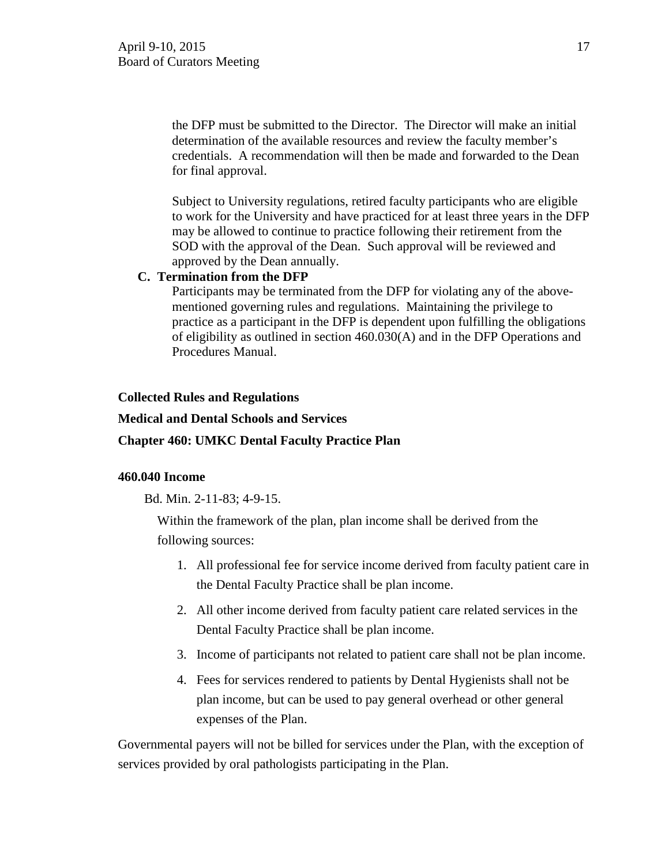the DFP must be submitted to the Director. The Director will make an initial determination of the available resources and review the faculty member's credentials. A recommendation will then be made and forwarded to the Dean for final approval.

Subject to University regulations, retired faculty participants who are eligible to work for the University and have practiced for at least three years in the DFP may be allowed to continue to practice following their retirement from the SOD with the approval of the Dean. Such approval will be reviewed and approved by the Dean annually.

## **C. Termination from the DFP**

Participants may be terminated from the DFP for violating any of the abovementioned governing rules and regulations. Maintaining the privilege to practice as a participant in the DFP is dependent upon fulfilling the obligations of eligibility as outlined in section 460.030(A) and in the DFP Operations and Procedures Manual.

## **Collected Rules and Regulations**

## **Medical and Dental Schools and Services**

# **Chapter 460: UMKC Dental Faculty Practice Plan**

# **460.040 Income**

Bd. Min. 2-11-83; 4-9-15.

Within the framework of the plan, plan income shall be derived from the following sources:

- 1. All professional fee for service income derived from faculty patient care in the Dental Faculty Practice shall be plan income.
- 2. All other income derived from faculty patient care related services in the Dental Faculty Practice shall be plan income.
- 3. Income of participants not related to patient care shall not be plan income.
- 4. Fees for services rendered to patients by Dental Hygienists shall not be plan income, but can be used to pay general overhead or other general expenses of the Plan.

Governmental payers will not be billed for services under the Plan, with the exception of services provided by oral pathologists participating in the Plan.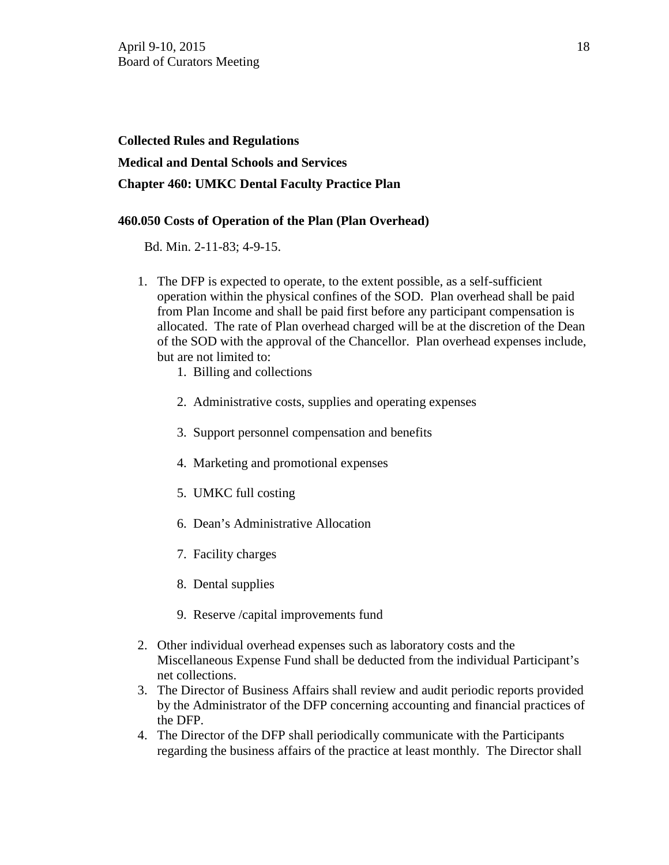# **Collected Rules and Regulations Medical and Dental Schools and Services Chapter 460: UMKC Dental Faculty Practice Plan**

# **460.050 Costs of Operation of the Plan (Plan Overhead)**

Bd. Min. 2-11-83; 4-9-15.

- 1. The DFP is expected to operate, to the extent possible, as a self-sufficient operation within the physical confines of the SOD. Plan overhead shall be paid from Plan Income and shall be paid first before any participant compensation is allocated. The rate of Plan overhead charged will be at the discretion of the Dean of the SOD with the approval of the Chancellor. Plan overhead expenses include, but are not limited to:
	- 1. Billing and collections
	- 2. Administrative costs, supplies and operating expenses
	- 3. Support personnel compensation and benefits
	- 4. Marketing and promotional expenses
	- 5. UMKC full costing
	- 6. Dean's Administrative Allocation
	- 7. Facility charges
	- 8. Dental supplies
	- 9. Reserve /capital improvements fund
- 2. Other individual overhead expenses such as laboratory costs and the Miscellaneous Expense Fund shall be deducted from the individual Participant's net collections.
- 3. The Director of Business Affairs shall review and audit periodic reports provided by the Administrator of the DFP concerning accounting and financial practices of the DFP.
- 4. The Director of the DFP shall periodically communicate with the Participants regarding the business affairs of the practice at least monthly. The Director shall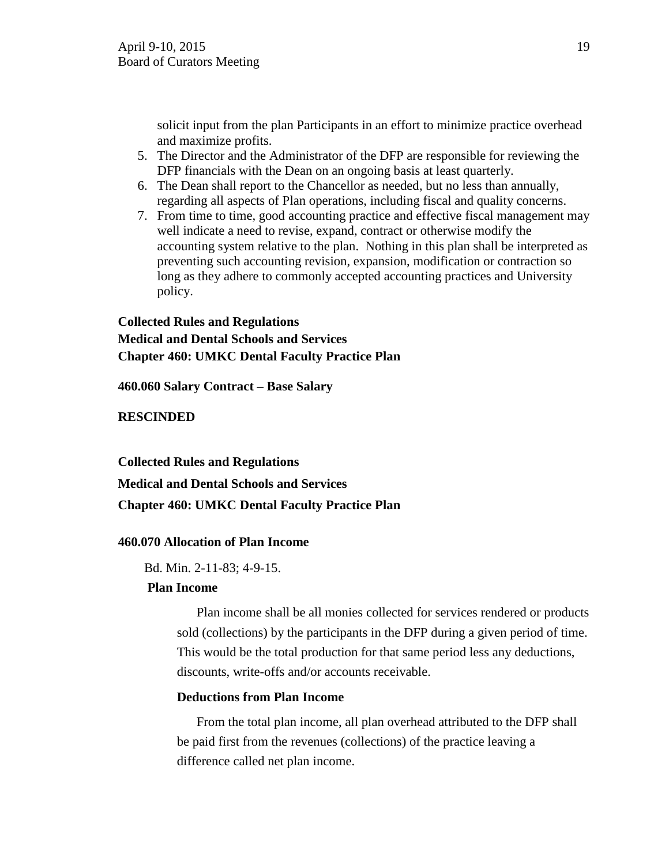solicit input from the plan Participants in an effort to minimize practice overhead and maximize profits.

- 5. The Director and the Administrator of the DFP are responsible for reviewing the DFP financials with the Dean on an ongoing basis at least quarterly.
- 6. The Dean shall report to the Chancellor as needed, but no less than annually, regarding all aspects of Plan operations, including fiscal and quality concerns.
- 7. From time to time, good accounting practice and effective fiscal management may well indicate a need to revise, expand, contract or otherwise modify the accounting system relative to the plan. Nothing in this plan shall be interpreted as preventing such accounting revision, expansion, modification or contraction so long as they adhere to commonly accepted accounting practices and University policy.

# **Collected Rules and Regulations Medical and Dental Schools and Services Chapter 460: UMKC Dental Faculty Practice Plan**

**460.060 Salary Contract – Base Salary** 

# **RESCINDED**

**Collected Rules and Regulations** 

**Medical and Dental Schools and Services**

# **Chapter 460: UMKC Dental Faculty Practice Plan**

# **460.070 Allocation of Plan Income**

Bd. Min. 2-11-83; 4-9-15.

# **Plan Income**

Plan income shall be all monies collected for services rendered or products sold (collections) by the participants in the DFP during a given period of time. This would be the total production for that same period less any deductions, discounts, write-offs and/or accounts receivable.

# **Deductions from Plan Income**

From the total plan income, all plan overhead attributed to the DFP shall be paid first from the revenues (collections) of the practice leaving a difference called net plan income.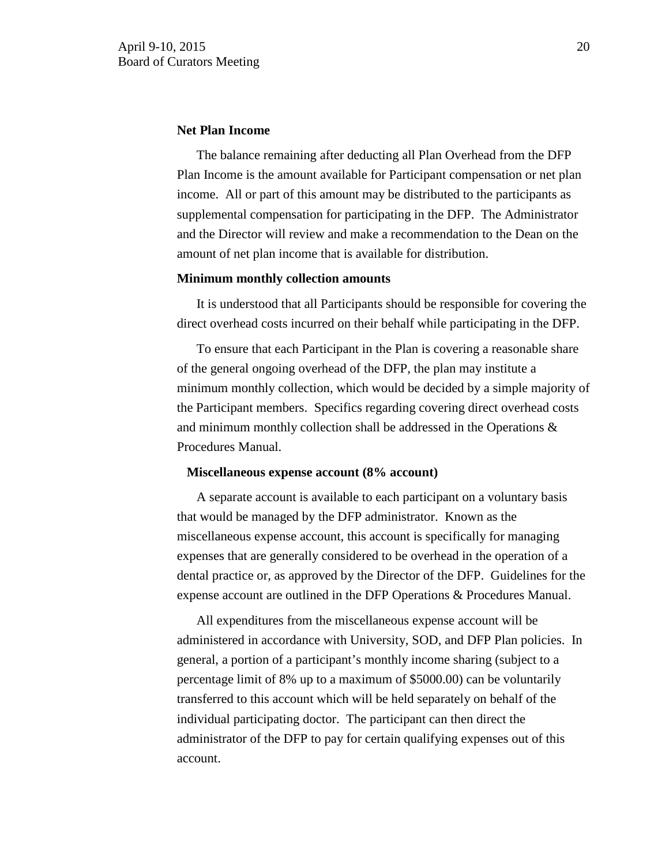#### **Net Plan Income**

The balance remaining after deducting all Plan Overhead from the DFP Plan Income is the amount available for Participant compensation or net plan income. All or part of this amount may be distributed to the participants as supplemental compensation for participating in the DFP. The Administrator and the Director will review and make a recommendation to the Dean on the amount of net plan income that is available for distribution.

#### **Minimum monthly collection amounts**

 It is understood that all Participants should be responsible for covering the direct overhead costs incurred on their behalf while participating in the DFP.

To ensure that each Participant in the Plan is covering a reasonable share of the general ongoing overhead of the DFP, the plan may institute a minimum monthly collection, which would be decided by a simple majority of the Participant members. Specifics regarding covering direct overhead costs and minimum monthly collection shall be addressed in the Operations & Procedures Manual.

#### **Miscellaneous expense account (8% account)**

 A separate account is available to each participant on a voluntary basis that would be managed by the DFP administrator. Known as the miscellaneous expense account, this account is specifically for managing expenses that are generally considered to be overhead in the operation of a dental practice or, as approved by the Director of the DFP. Guidelines for the expense account are outlined in the DFP Operations & Procedures Manual.

All expenditures from the miscellaneous expense account will be administered in accordance with University, SOD, and DFP Plan policies. In general, a portion of a participant's monthly income sharing (subject to a percentage limit of 8% up to a maximum of \$5000.00) can be voluntarily transferred to this account which will be held separately on behalf of the individual participating doctor. The participant can then direct the administrator of the DFP to pay for certain qualifying expenses out of this account.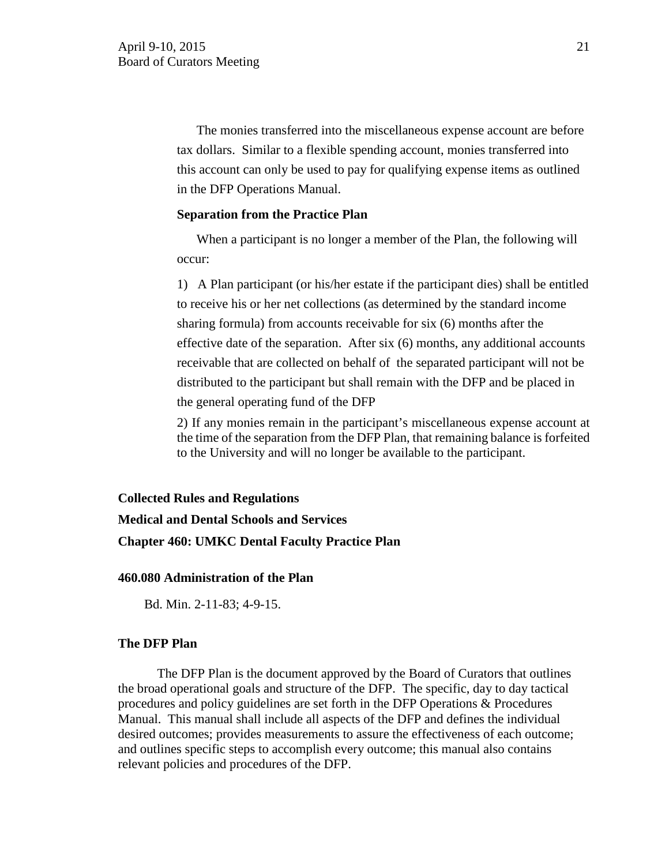The monies transferred into the miscellaneous expense account are before tax dollars. Similar to a flexible spending account, monies transferred into this account can only be used to pay for qualifying expense items as outlined in the DFP Operations Manual.

### **Separation from the Practice Plan**

 When a participant is no longer a member of the Plan, the following will occur:

1) A Plan participant (or his/her estate if the participant dies) shall be entitled to receive his or her net collections (as determined by the standard income sharing formula) from accounts receivable for six (6) months after the effective date of the separation. After six (6) months, any additional accounts receivable that are collected on behalf of the separated participant will not be distributed to the participant but shall remain with the DFP and be placed in the general operating fund of the DFP

2) If any monies remain in the participant's miscellaneous expense account at the time of the separation from the DFP Plan, that remaining balance is forfeited to the University and will no longer be available to the participant.

#### **Collected Rules and Regulations**

# **Medical and Dental Schools and Services Chapter 460: UMKC Dental Faculty Practice Plan**

#### **460.080 Administration of the Plan**

Bd. Min. 2-11-83; 4-9-15.

#### **The DFP Plan**

The DFP Plan is the document approved by the Board of Curators that outlines the broad operational goals and structure of the DFP. The specific, day to day tactical procedures and policy guidelines are set forth in the DFP Operations & Procedures Manual. This manual shall include all aspects of the DFP and defines the individual desired outcomes; provides measurements to assure the effectiveness of each outcome; and outlines specific steps to accomplish every outcome; this manual also contains relevant policies and procedures of the DFP.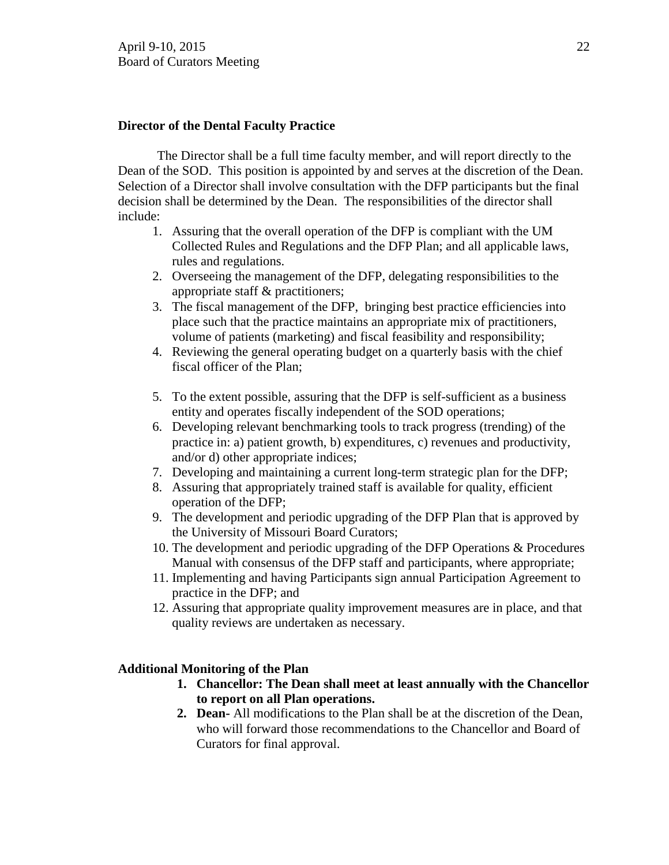# **Director of the Dental Faculty Practice**

The Director shall be a full time faculty member, and will report directly to the Dean of the SOD. This position is appointed by and serves at the discretion of the Dean. Selection of a Director shall involve consultation with the DFP participants but the final decision shall be determined by the Dean. The responsibilities of the director shall include:

- 1. Assuring that the overall operation of the DFP is compliant with the UM Collected Rules and Regulations and the DFP Plan; and all applicable laws, rules and regulations.
- 2. Overseeing the management of the DFP, delegating responsibilities to the appropriate staff & practitioners;
- 3. The fiscal management of the DFP, bringing best practice efficiencies into place such that the practice maintains an appropriate mix of practitioners, volume of patients (marketing) and fiscal feasibility and responsibility;
- 4. Reviewing the general operating budget on a quarterly basis with the chief fiscal officer of the Plan;
- 5. To the extent possible, assuring that the DFP is self-sufficient as a business entity and operates fiscally independent of the SOD operations;
- 6. Developing relevant benchmarking tools to track progress (trending) of the practice in: a) patient growth, b) expenditures, c) revenues and productivity, and/or d) other appropriate indices;
- 7. Developing and maintaining a current long-term strategic plan for the DFP;
- 8. Assuring that appropriately trained staff is available for quality, efficient operation of the DFP;
- 9. The development and periodic upgrading of the DFP Plan that is approved by the University of Missouri Board Curators;
- 10. The development and periodic upgrading of the DFP Operations & Procedures Manual with consensus of the DFP staff and participants, where appropriate;
- 11. Implementing and having Participants sign annual Participation Agreement to practice in the DFP; and
- 12. Assuring that appropriate quality improvement measures are in place, and that quality reviews are undertaken as necessary.

#### **Additional Monitoring of the Plan**

- **1. Chancellor: The Dean shall meet at least annually with the Chancellor to report on all Plan operations.**
- **2. Dean-** All modifications to the Plan shall be at the discretion of the Dean, who will forward those recommendations to the Chancellor and Board of Curators for final approval.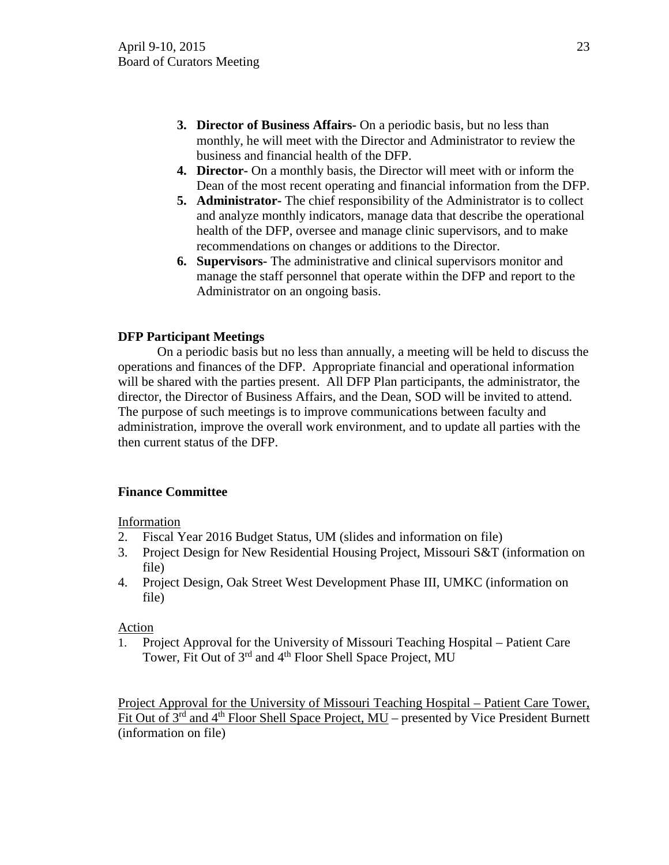- **3. Director of Business Affairs-** On a periodic basis, but no less than monthly, he will meet with the Director and Administrator to review the business and financial health of the DFP.
- **4. Director-** On a monthly basis, the Director will meet with or inform the Dean of the most recent operating and financial information from the DFP.
- **5. Administrator-** The chief responsibility of the Administrator is to collect and analyze monthly indicators, manage data that describe the operational health of the DFP, oversee and manage clinic supervisors, and to make recommendations on changes or additions to the Director.
- **6. Supervisors-** The administrative and clinical supervisors monitor and manage the staff personnel that operate within the DFP and report to the Administrator on an ongoing basis.

# **DFP Participant Meetings**

On a periodic basis but no less than annually, a meeting will be held to discuss the operations and finances of the DFP. Appropriate financial and operational information will be shared with the parties present. All DFP Plan participants, the administrator, the director, the Director of Business Affairs, and the Dean, SOD will be invited to attend. The purpose of such meetings is to improve communications between faculty and administration, improve the overall work environment, and to update all parties with the then current status of the DFP.

# **Finance Committee**

Information

- 2. Fiscal Year 2016 Budget Status, UM (slides and information on file)
- 3. Project Design for New Residential Housing Project, Missouri S&T (information on file)
- 4. Project Design, Oak Street West Development Phase III, UMKC (information on file)

# Action

1. Project Approval for the University of Missouri Teaching Hospital – Patient Care Tower, Fit Out of 3<sup>rd</sup> and 4<sup>th</sup> Floor Shell Space Project, MU

Project Approval for the University of Missouri Teaching Hospital – Patient Care Tower, Fit Out of  $3^{rd}$  and  $4^{th}$  Floor Shell Space Project, MU – presented by Vice President Burnett (information on file)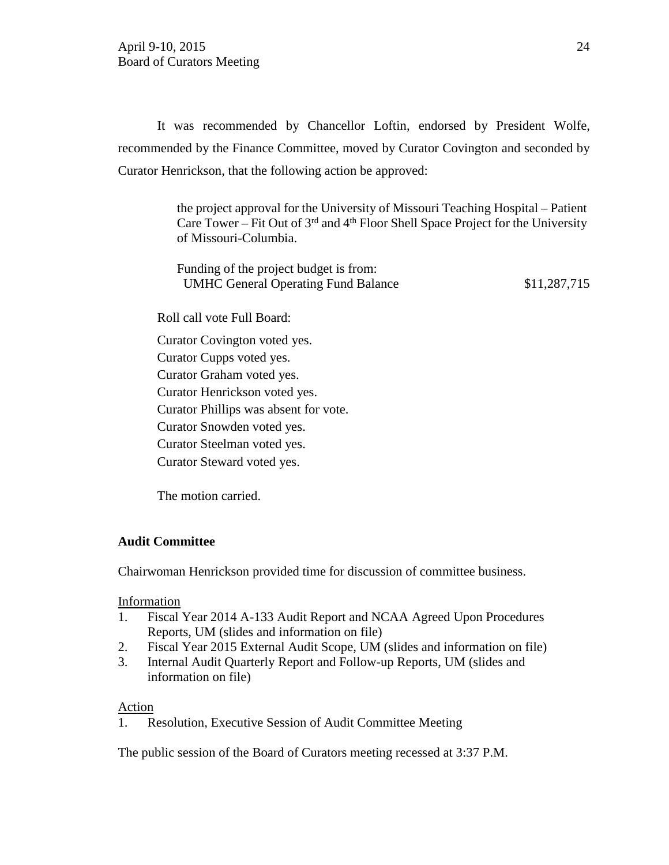It was recommended by Chancellor Loftin, endorsed by President Wolfe, recommended by the Finance Committee, moved by Curator Covington and seconded by Curator Henrickson, that the following action be approved:

> the project approval for the University of Missouri Teaching Hospital – Patient Care Tower – Fit Out of  $3<sup>rd</sup>$  and  $4<sup>th</sup>$  Floor Shell Space Project for the University of Missouri-Columbia.

> Funding of the project budget is from: UMHC General Operating Fund Balance \$11,287,715

Roll call vote Full Board:

Curator Covington voted yes.

Curator Cupps voted yes.

Curator Graham voted yes.

Curator Henrickson voted yes.

Curator Phillips was absent for vote.

Curator Snowden voted yes.

Curator Steelman voted yes.

Curator Steward voted yes.

The motion carried.

# **Audit Committee**

Chairwoman Henrickson provided time for discussion of committee business.

#### Information

- 1. Fiscal Year 2014 A-133 Audit Report and NCAA Agreed Upon Procedures Reports, UM (slides and information on file)
- 2. Fiscal Year 2015 External Audit Scope, UM (slides and information on file)
- 3. Internal Audit Quarterly Report and Follow-up Reports, UM (slides and information on file)

#### Action

1. Resolution, Executive Session of Audit Committee Meeting

The public session of the Board of Curators meeting recessed at 3:37 P.M.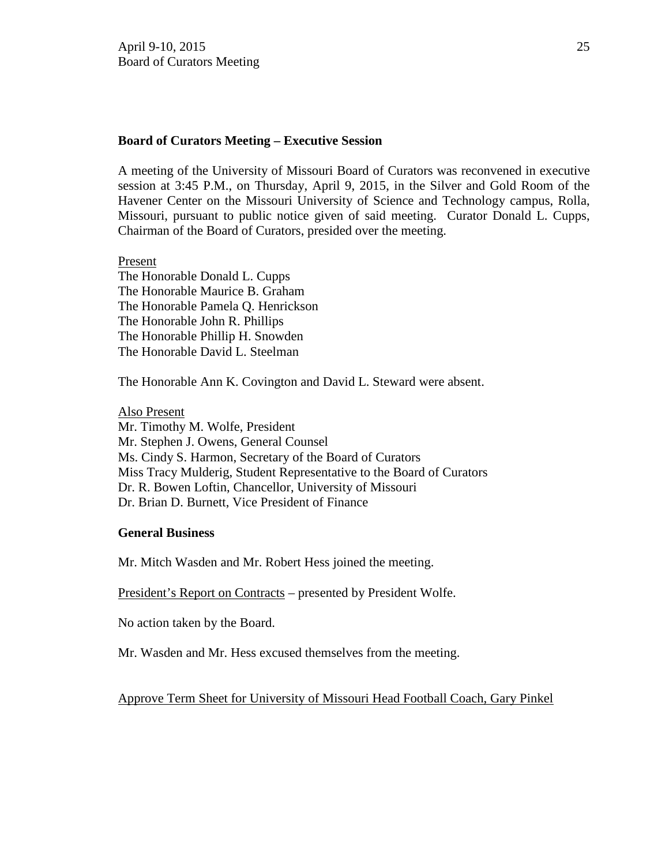### **Board of Curators Meeting – Executive Session**

A meeting of the University of Missouri Board of Curators was reconvened in executive session at 3:45 P.M., on Thursday, April 9, 2015, in the Silver and Gold Room of the Havener Center on the Missouri University of Science and Technology campus, Rolla, Missouri, pursuant to public notice given of said meeting. Curator Donald L. Cupps, Chairman of the Board of Curators, presided over the meeting.

Present

The Honorable Donald L. Cupps The Honorable Maurice B. Graham The Honorable Pamela Q. Henrickson The Honorable John R. Phillips The Honorable Phillip H. Snowden The Honorable David L. Steelman

The Honorable Ann K. Covington and David L. Steward were absent.

Also Present Mr. Timothy M. Wolfe, President Mr. Stephen J. Owens, General Counsel Ms. Cindy S. Harmon, Secretary of the Board of Curators Miss Tracy Mulderig, Student Representative to the Board of Curators Dr. R. Bowen Loftin, Chancellor, University of Missouri Dr. Brian D. Burnett, Vice President of Finance

#### **General Business**

Mr. Mitch Wasden and Mr. Robert Hess joined the meeting.

President's Report on Contracts – presented by President Wolfe.

No action taken by the Board.

Mr. Wasden and Mr. Hess excused themselves from the meeting.

Approve Term Sheet for University of Missouri Head Football Coach, Gary Pinkel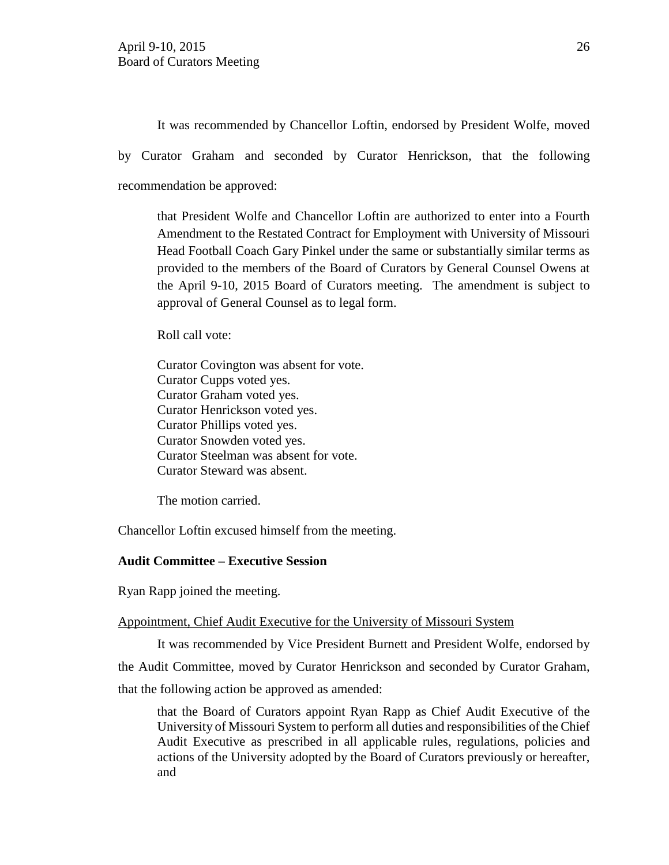It was recommended by Chancellor Loftin, endorsed by President Wolfe, moved by Curator Graham and seconded by Curator Henrickson, that the following recommendation be approved:

that President Wolfe and Chancellor Loftin are authorized to enter into a Fourth Amendment to the Restated Contract for Employment with University of Missouri Head Football Coach Gary Pinkel under the same or substantially similar terms as provided to the members of the Board of Curators by General Counsel Owens at the April 9-10, 2015 Board of Curators meeting. The amendment is subject to approval of General Counsel as to legal form.

Roll call vote:

Curator Covington was absent for vote. Curator Cupps voted yes. Curator Graham voted yes. Curator Henrickson voted yes. Curator Phillips voted yes. Curator Snowden voted yes. Curator Steelman was absent for vote. Curator Steward was absent.

The motion carried.

Chancellor Loftin excused himself from the meeting.

## **Audit Committee – Executive Session**

Ryan Rapp joined the meeting.

#### Appointment, Chief Audit Executive for the University of Missouri System

It was recommended by Vice President Burnett and President Wolfe, endorsed by the Audit Committee, moved by Curator Henrickson and seconded by Curator Graham, that the following action be approved as amended:

that the Board of Curators appoint Ryan Rapp as Chief Audit Executive of the University of Missouri System to perform all duties and responsibilities of the Chief Audit Executive as prescribed in all applicable rules, regulations, policies and actions of the University adopted by the Board of Curators previously or hereafter, and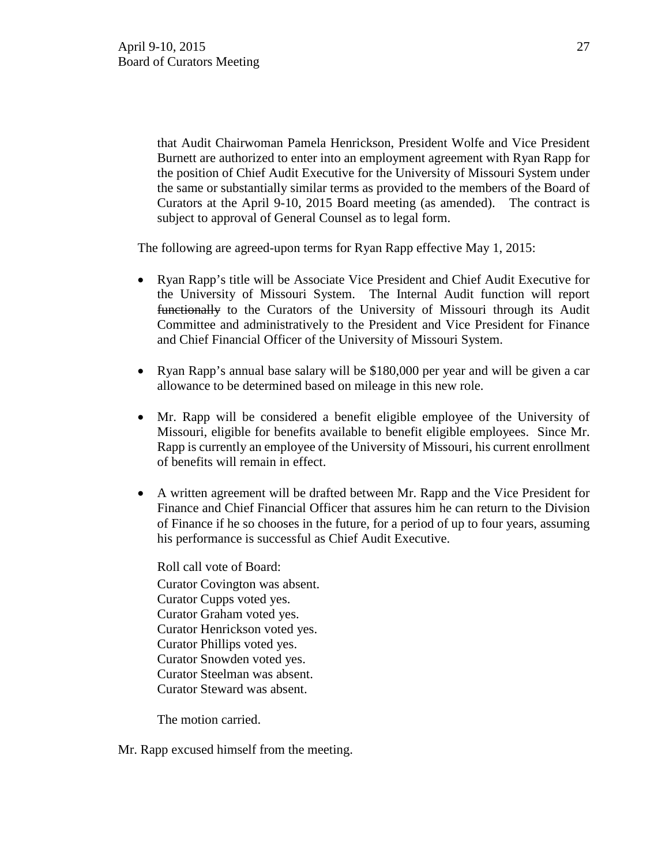that Audit Chairwoman Pamela Henrickson, President Wolfe and Vice President Burnett are authorized to enter into an employment agreement with Ryan Rapp for the position of Chief Audit Executive for the University of Missouri System under the same or substantially similar terms as provided to the members of the Board of Curators at the April 9-10, 2015 Board meeting (as amended). The contract is subject to approval of General Counsel as to legal form.

The following are agreed-upon terms for Ryan Rapp effective May 1, 2015:

- Ryan Rapp's title will be Associate Vice President and Chief Audit Executive for the University of Missouri System. The Internal Audit function will report functionally to the Curators of the University of Missouri through its Audit Committee and administratively to the President and Vice President for Finance and Chief Financial Officer of the University of Missouri System.
- Ryan Rapp's annual base salary will be \$180,000 per year and will be given a car allowance to be determined based on mileage in this new role.
- Mr. Rapp will be considered a benefit eligible employee of the University of Missouri, eligible for benefits available to benefit eligible employees. Since Mr. Rapp is currently an employee of the University of Missouri, his current enrollment of benefits will remain in effect.
- A written agreement will be drafted between Mr. Rapp and the Vice President for Finance and Chief Financial Officer that assures him he can return to the Division of Finance if he so chooses in the future, for a period of up to four years, assuming his performance is successful as Chief Audit Executive.

Roll call vote of Board: Curator Covington was absent. Curator Cupps voted yes. Curator Graham voted yes. Curator Henrickson voted yes. Curator Phillips voted yes. Curator Snowden voted yes. Curator Steelman was absent. Curator Steward was absent.

The motion carried.

Mr. Rapp excused himself from the meeting.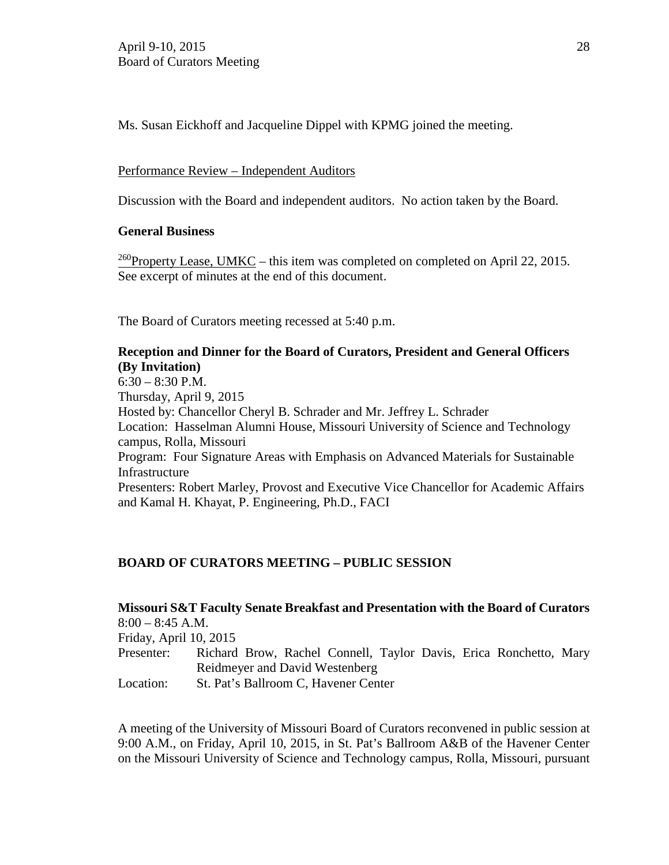Ms. Susan Eickhoff and Jacqueline Dippel with KPMG joined the meeting.

# Performance Review – Independent Auditors

Discussion with the Board and independent auditors. No action taken by the Board.

## **General Business**

<sup>260</sup>Property Lease, UMKC – this item was completed on completed on April 22, 2015. See excerpt of minutes at the end of this document.

The Board of Curators meeting recessed at 5:40 p.m.

# **Reception and Dinner for the Board of Curators, President and General Officers (By Invitation)**

6:30 – 8:30 P.M. Thursday, April 9, 2015 Hosted by: Chancellor Cheryl B. Schrader and Mr. Jeffrey L. Schrader Location: Hasselman Alumni House, Missouri University of Science and Technology campus, Rolla, Missouri Program: Four Signature Areas with Emphasis on Advanced Materials for Sustainable Infrastructure Presenters: Robert Marley, Provost and Executive Vice Chancellor for Academic Affairs and Kamal H. Khayat, P. Engineering, Ph.D., FACI

# **BOARD OF CURATORS MEETING – PUBLIC SESSION**

|                        | Missouri S&T Faculty Senate Breakfast and Presentation with the Board of Curators |
|------------------------|-----------------------------------------------------------------------------------|
| $8:00 - 8:45$ A.M.     |                                                                                   |
| Friday, April 10, 2015 |                                                                                   |
| Presenter:             | Richard Brow, Rachel Connell, Taylor Davis, Erica Ronchetto, Mary                 |
|                        | Reidmeyer and David Westenberg                                                    |
| Location:              | St. Pat's Ballroom C, Havener Center                                              |

A meeting of the University of Missouri Board of Curators reconvened in public session at 9:00 A.M., on Friday, April 10, 2015, in St. Pat's Ballroom A&B of the Havener Center on the Missouri University of Science and Technology campus, Rolla, Missouri, pursuant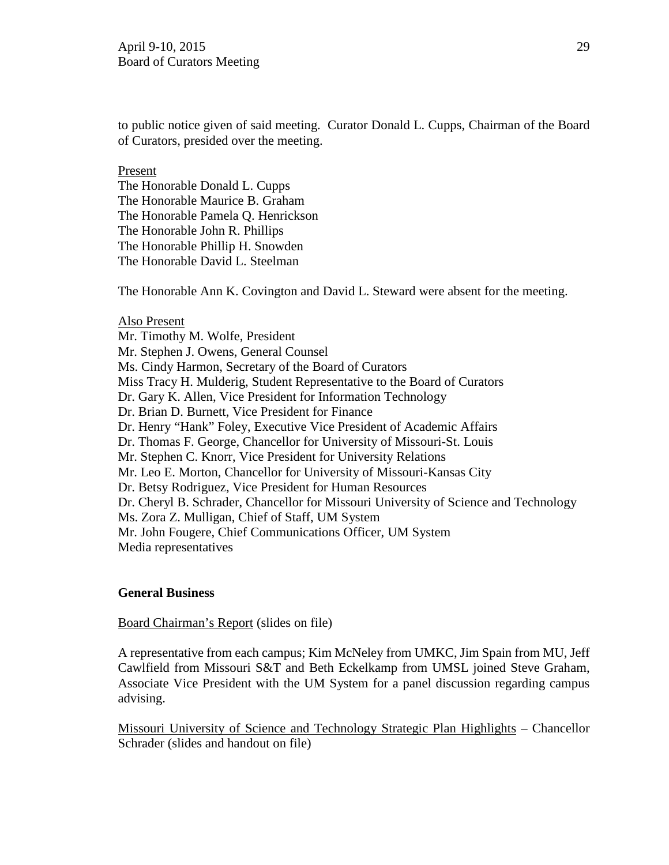to public notice given of said meeting. Curator Donald L. Cupps, Chairman of the Board of Curators, presided over the meeting.

#### Present

The Honorable Donald L. Cupps The Honorable Maurice B. Graham The Honorable Pamela Q. Henrickson The Honorable John R. Phillips The Honorable Phillip H. Snowden The Honorable David L. Steelman

The Honorable Ann K. Covington and David L. Steward were absent for the meeting.

#### Also Present

Mr. Timothy M. Wolfe, President Mr. Stephen J. Owens, General Counsel Ms. Cindy Harmon, Secretary of the Board of Curators Miss Tracy H. Mulderig, Student Representative to the Board of Curators Dr. Gary K. Allen, Vice President for Information Technology Dr. Brian D. Burnett, Vice President for Finance Dr. Henry "Hank" Foley, Executive Vice President of Academic Affairs Dr. Thomas F. George, Chancellor for University of Missouri-St. Louis Mr. Stephen C. Knorr, Vice President for University Relations Mr. Leo E. Morton, Chancellor for University of Missouri-Kansas City Dr. Betsy Rodriguez, Vice President for Human Resources Dr. Cheryl B. Schrader, Chancellor for Missouri University of Science and Technology Ms. Zora Z. Mulligan, Chief of Staff, UM System Mr. John Fougere, Chief Communications Officer, UM System Media representatives

#### **General Business**

Board Chairman's Report (slides on file)

A representative from each campus; Kim McNeley from UMKC, Jim Spain from MU, Jeff Cawlfield from Missouri S&T and Beth Eckelkamp from UMSL joined Steve Graham, Associate Vice President with the UM System for a panel discussion regarding campus advising.

Missouri University of Science and Technology Strategic Plan Highlights – Chancellor Schrader (slides and handout on file)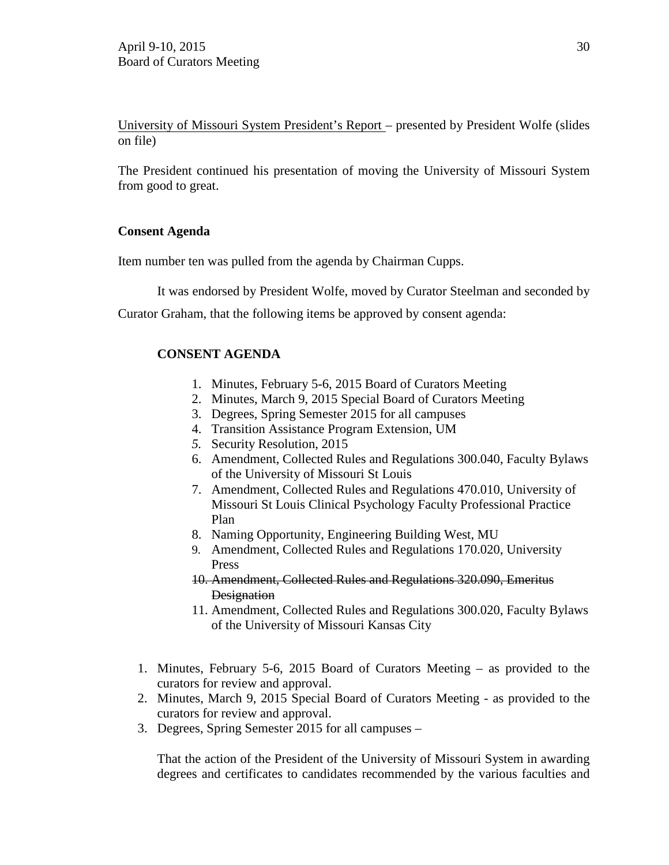University of Missouri System President's Report – presented by President Wolfe (slides on file)

The President continued his presentation of moving the University of Missouri System from good to great.

# **Consent Agenda**

Item number ten was pulled from the agenda by Chairman Cupps.

It was endorsed by President Wolfe, moved by Curator Steelman and seconded by

Curator Graham, that the following items be approved by consent agenda:

# **CONSENT AGENDA**

- 1. Minutes, February 5-6, 2015 Board of Curators Meeting
- 2. Minutes, March 9, 2015 Special Board of Curators Meeting
- 3. Degrees, Spring Semester 2015 for all campuses
- 4. Transition Assistance Program Extension, UM
- *5.* Security Resolution, 2015
- 6. Amendment, Collected Rules and Regulations 300.040, Faculty Bylaws of the University of Missouri St Louis
- 7. Amendment, Collected Rules and Regulations 470.010, University of Missouri St Louis Clinical Psychology Faculty Professional Practice Plan
- 8. Naming Opportunity, Engineering Building West, MU
- 9. Amendment, Collected Rules and Regulations 170.020, University Press
- 10. Amendment, Collected Rules and Regulations 320.090, Emeritus **Designation**
- 11. Amendment, Collected Rules and Regulations 300.020, Faculty Bylaws of the University of Missouri Kansas City
- 1. Minutes, February 5-6, 2015 Board of Curators Meeting as provided to the curators for review and approval.
- 2. Minutes, March 9, 2015 Special Board of Curators Meeting as provided to the curators for review and approval.
- 3. Degrees, Spring Semester 2015 for all campuses –

That the action of the President of the University of Missouri System in awarding degrees and certificates to candidates recommended by the various faculties and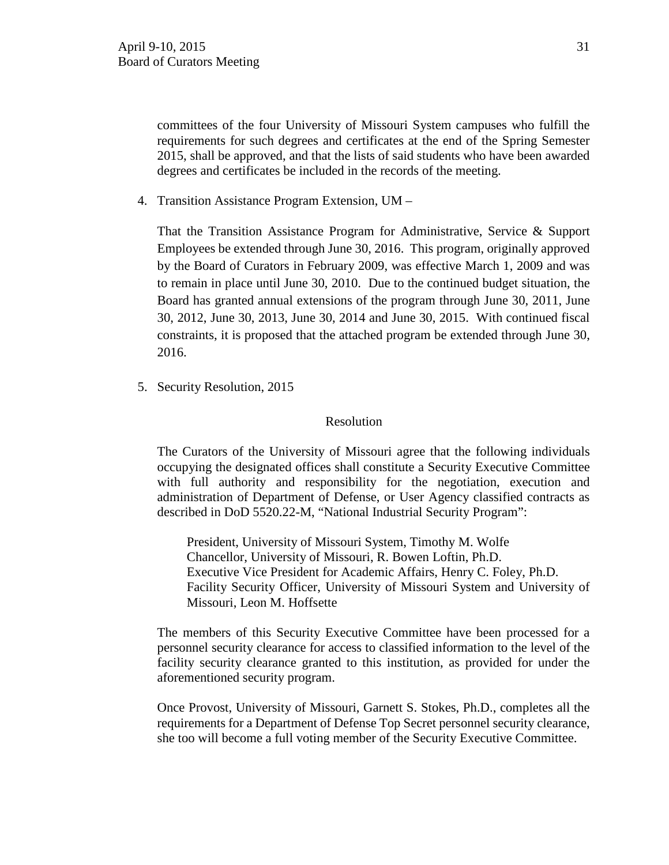committees of the four University of Missouri System campuses who fulfill the requirements for such degrees and certificates at the end of the Spring Semester 2015, shall be approved, and that the lists of said students who have been awarded degrees and certificates be included in the records of the meeting.

4. Transition Assistance Program Extension, UM –

That the Transition Assistance Program for Administrative, Service & Support Employees be extended through June 30, 2016. This program, originally approved by the Board of Curators in February 2009, was effective March 1, 2009 and was to remain in place until June 30, 2010. Due to the continued budget situation, the Board has granted annual extensions of the program through June 30, 2011, June 30, 2012, June 30, 2013, June 30, 2014 and June 30, 2015. With continued fiscal constraints, it is proposed that the attached program be extended through June 30, 2016.

5. Security Resolution, 2015

#### Resolution

The Curators of the University of Missouri agree that the following individuals occupying the designated offices shall constitute a Security Executive Committee with full authority and responsibility for the negotiation, execution and administration of Department of Defense, or User Agency classified contracts as described in DoD 5520.22-M, "National Industrial Security Program":

President, University of Missouri System, Timothy M. Wolfe Chancellor, University of Missouri, R. Bowen Loftin, Ph.D. Executive Vice President for Academic Affairs, Henry C. Foley, Ph.D. Facility Security Officer, University of Missouri System and University of Missouri, Leon M. Hoffsette

The members of this Security Executive Committee have been processed for a personnel security clearance for access to classified information to the level of the facility security clearance granted to this institution, as provided for under the aforementioned security program.

Once Provost, University of Missouri, Garnett S. Stokes, Ph.D., completes all the requirements for a Department of Defense Top Secret personnel security clearance, she too will become a full voting member of the Security Executive Committee.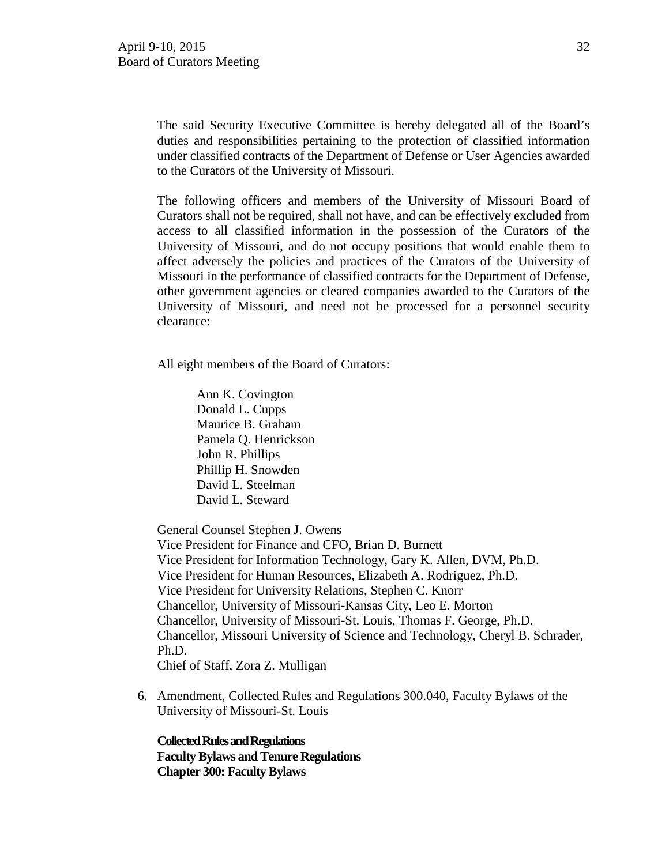The said Security Executive Committee is hereby delegated all of the Board's duties and responsibilities pertaining to the protection of classified information under classified contracts of the Department of Defense or User Agencies awarded to the Curators of the University of Missouri.

The following officers and members of the University of Missouri Board of Curators shall not be required, shall not have, and can be effectively excluded from access to all classified information in the possession of the Curators of the University of Missouri, and do not occupy positions that would enable them to affect adversely the policies and practices of the Curators of the University of Missouri in the performance of classified contracts for the Department of Defense, other government agencies or cleared companies awarded to the Curators of the University of Missouri, and need not be processed for a personnel security clearance:

All eight members of the Board of Curators:

 Ann K. Covington [Donald L. Cupps](http://www.umsystem.edu/curators/members/cuppsd)  Maurice B. Graham Pamela Q. Henrickson John R. Phillips Phillip H. Snowden David L. Steelman [David L. Steward](http://www.umsystem.edu/curators/members/stewardd)

General Counsel Stephen J. Owens

Vice President for Finance and CFO, Brian D. Burnett Vice President for Information Technology, Gary K. Allen, DVM, Ph.D. Vice President for Human Resources, Elizabeth A. Rodriguez, Ph.D. Vice President for University Relations, Stephen C. Knorr Chancellor, University of Missouri-Kansas City, Leo E. Morton Chancellor, University of Missouri-St. Louis, Thomas F. George, Ph.D. Chancellor, Missouri University of Science and Technology, Cheryl B. Schrader, Ph.D. Chief of Staff, Zora Z. Mulligan

6. Amendment, Collected Rules and Regulations 300.040, Faculty Bylaws of the University of Missouri-St. Louis

**Collected Rules and Regulations Faculty Bylaws and Tenure Regulations Chapter 300: Faculty Bylaws**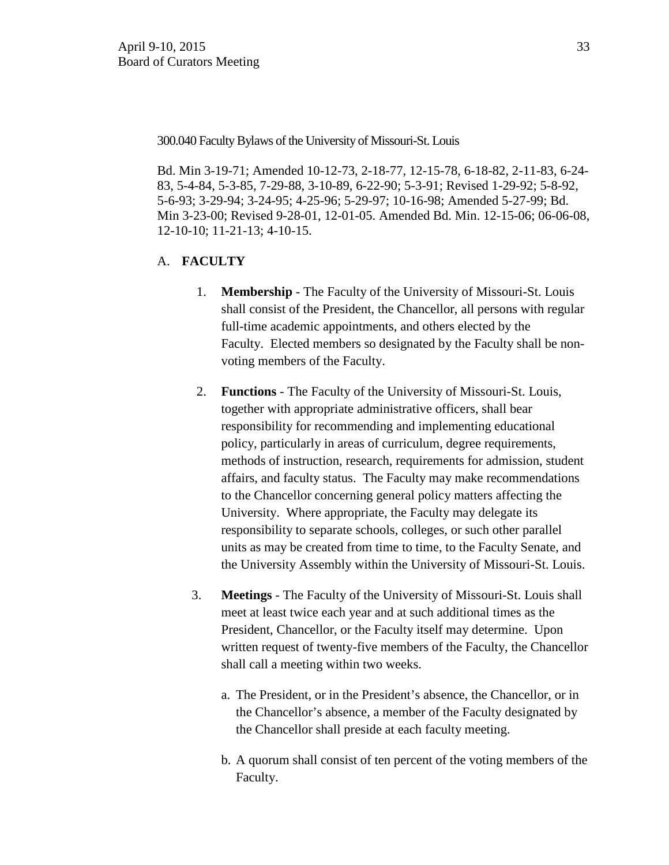300.040 Faculty Bylaws of the University of Missouri-St. Louis

Bd. Min 3-19-71; Amended 10-12-73, 2-18-77, 12-15-78, 6-18-82, 2-11-83, 6-24- 83, 5-4-84, 5-3-85, 7-29-88, 3-10-89, 6-22-90; 5-3-91; Revised 1-29-92; 5-8-92, 5-6-93; 3-29-94; 3-24-95; 4-25-96; 5-29-97; 10-16-98; Amended 5-27-99; Bd. Min 3-23-00; Revised 9-28-01, 12-01-05. Amended Bd. Min. 12-15-06; 06-06-08, 12-10-10; 11-21-13; 4-10-15.

- A. **FACULTY**
	- 1. **Membership** The Faculty of the University of Missouri-St. Louis shall consist of the President, the Chancellor, all persons with regular full-time academic appointments, and others elected by the Faculty. Elected members so designated by the Faculty shall be nonvoting members of the Faculty.
	- 2. **Functions** The Faculty of the University of Missouri-St. Louis, together with appropriate administrative officers, shall bear responsibility for recommending and implementing educational policy, particularly in areas of curriculum, degree requirements, methods of instruction, research, requirements for admission, student affairs, and faculty status. The Faculty may make recommendations to the Chancellor concerning general policy matters affecting the University. Where appropriate, the Faculty may delegate its responsibility to separate schools, colleges, or such other parallel units as may be created from time to time, to the Faculty Senate, and the University Assembly within the University of Missouri-St. Louis.
	- 3. **Meetings** The Faculty of the University of Missouri-St. Louis shall meet at least twice each year and at such additional times as the President, Chancellor, or the Faculty itself may determine. Upon written request of twenty-five members of the Faculty, the Chancellor shall call a meeting within two weeks.
		- a. The President, or in the President's absence, the Chancellor, or in the Chancellor's absence, a member of the Faculty designated by the Chancellor shall preside at each faculty meeting.
		- b. A quorum shall consist of ten percent of the voting members of the Faculty.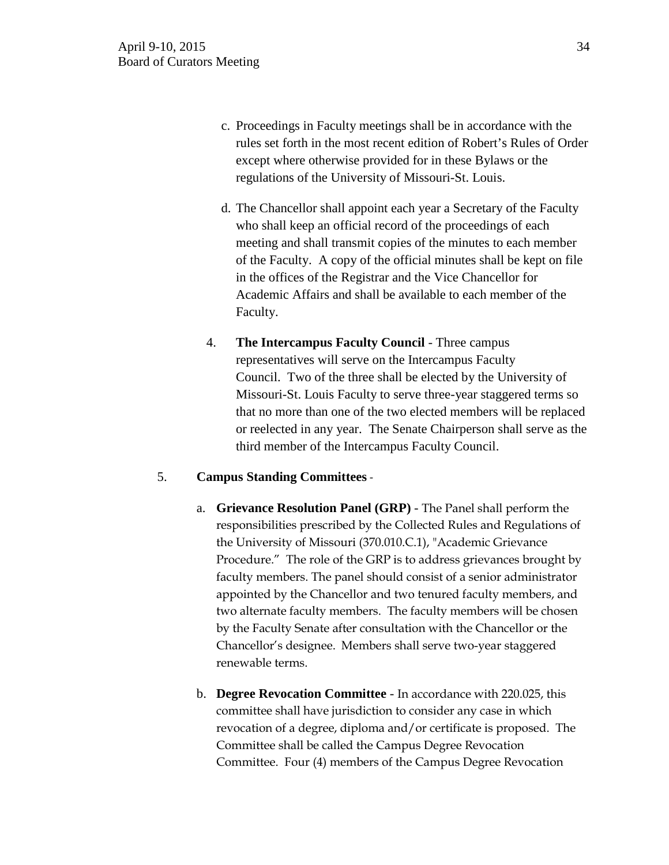- c. Proceedings in Faculty meetings shall be in accordance with the rules set forth in the most recent edition of Robert's Rules of Order except where otherwise provided for in these Bylaws or the regulations of the University of Missouri-St. Louis.
- d. The Chancellor shall appoint each year a Secretary of the Faculty who shall keep an official record of the proceedings of each meeting and shall transmit copies of the minutes to each member of the Faculty. A copy of the official minutes shall be kept on file in the offices of the Registrar and the Vice Chancellor for Academic Affairs and shall be available to each member of the Faculty.
- 4. **The Intercampus Faculty Council** Three campus representatives will serve on the Intercampus Faculty Council. Two of the three shall be elected by the University of Missouri-St. Louis Faculty to serve three-year staggered terms so that no more than one of the two elected members will be replaced or reelected in any year. The Senate Chairperson shall serve as the third member of the Intercampus Faculty Council.

# 5. **Campus Standing Committees** -

- a. **Grievance Resolution Panel (GRP)** The Panel shall perform the responsibilities prescribed by the Collected Rules and Regulations of the University of Missouri (370.010.C.1), "Academic Grievance Procedure." The role of the GRP is to address grievances brought by faculty members. The panel should consist of a senior administrator appointed by the Chancellor and two tenured faculty members, and two alternate faculty members. The faculty members will be chosen by the Faculty Senate after consultation with the Chancellor or the Chancellor's designee. Members shall serve two-year staggered renewable terms.
- b. **Degree Revocation Committee**  In accordance with 220.025, this committee shall have jurisdiction to consider any case in which revocation of a degree, diploma and/or certificate is proposed. The Committee shall be called the Campus Degree Revocation Committee. Four (4) members of the Campus Degree Revocation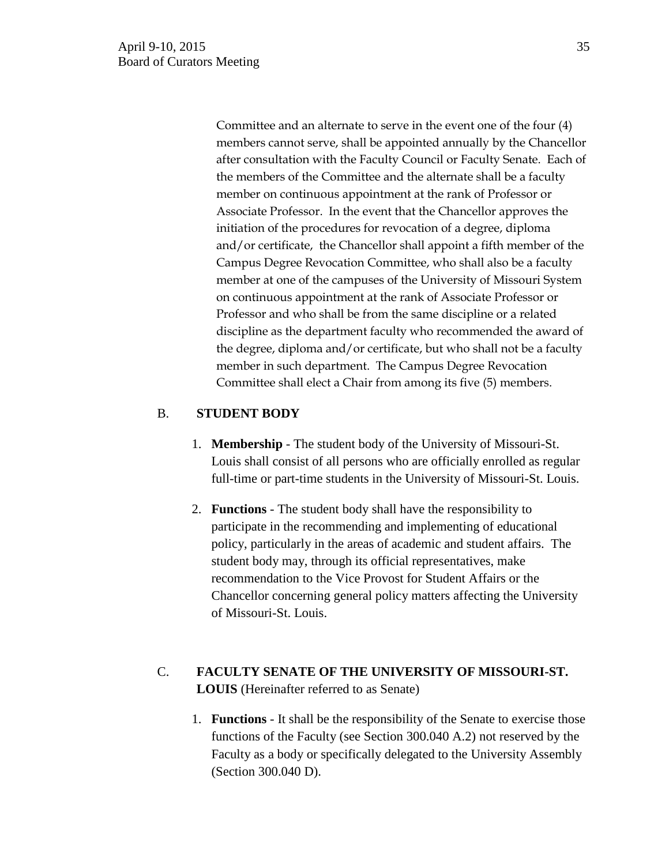Committee and an alternate to serve in the event one of the four (4) members cannot serve, shall be appointed annually by the Chancellor after consultation with the Faculty Council or Faculty Senate. Each of the members of the Committee and the alternate shall be a faculty member on continuous appointment at the rank of Professor or Associate Professor. In the event that the Chancellor approves the initiation of the procedures for revocation of a degree, diploma and/or certificate, the Chancellor shall appoint a fifth member of the Campus Degree Revocation Committee, who shall also be a faculty member at one of the campuses of the University of Missouri System on continuous appointment at the rank of Associate Professor or Professor and who shall be from the same discipline or a related discipline as the department faculty who recommended the award of the degree, diploma and/or certificate, but who shall not be a faculty member in such department. The Campus Degree Revocation Committee shall elect a Chair from among its five (5) members.

# B. **STUDENT BODY**

- 1. **Membership** The student body of the University of Missouri-St. Louis shall consist of all persons who are officially enrolled as regular full-time or part-time students in the University of Missouri-St. Louis.
- 2. **Functions** The student body shall have the responsibility to participate in the recommending and implementing of educational policy, particularly in the areas of academic and student affairs. The student body may, through its official representatives, make recommendation to the Vice Provost for Student Affairs or the Chancellor concerning general policy matters affecting the University of Missouri-St. Louis.

# C. **FACULTY SENATE OF THE UNIVERSITY OF MISSOURI-ST. LOUIS** (Hereinafter referred to as Senate)

1. **Functions** - It shall be the responsibility of the Senate to exercise those functions of the Faculty (see Section 300.040 A.2) not reserved by the Faculty as a body or specifically delegated to the University Assembly (Section 300.040 D).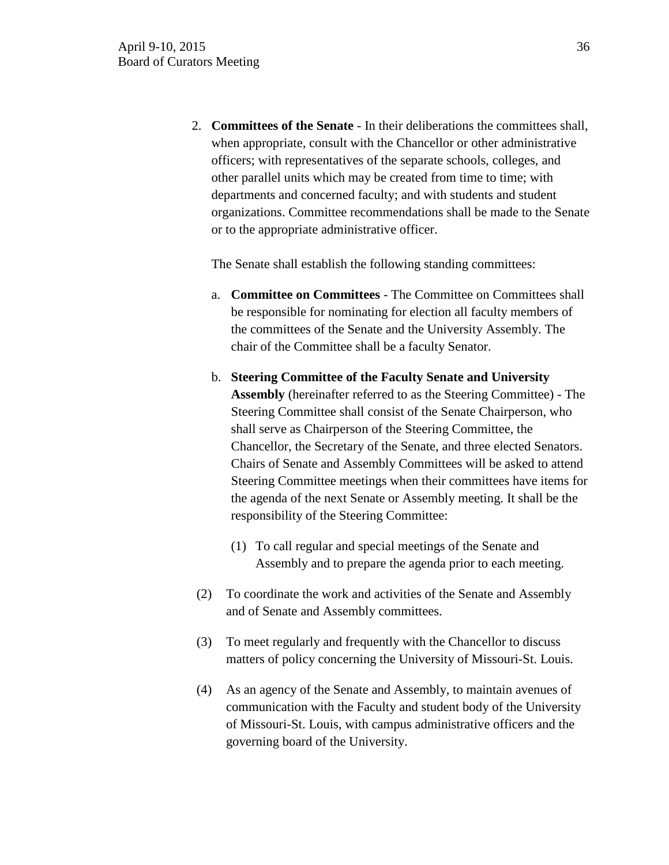2. **Committees of the Senate** - In their deliberations the committees shall, when appropriate, consult with the Chancellor or other administrative officers; with representatives of the separate schools, colleges, and other parallel units which may be created from time to time; with departments and concerned faculty; and with students and student organizations. Committee recommendations shall be made to the Senate or to the appropriate administrative officer.

The Senate shall establish the following standing committees:

- a. **Committee on Committees** The Committee on Committees shall be responsible for nominating for election all faculty members of the committees of the Senate and the University Assembly. The chair of the Committee shall be a faculty Senator.
- b. **Steering Committee of the Faculty Senate and University Assembly** (hereinafter referred to as the Steering Committee) - The Steering Committee shall consist of the Senate Chairperson, who shall serve as Chairperson of the Steering Committee, the Chancellor, the Secretary of the Senate, and three elected Senators. Chairs of Senate and Assembly Committees will be asked to attend Steering Committee meetings when their committees have items for the agenda of the next Senate or Assembly meeting. It shall be the responsibility of the Steering Committee:
	- (1) To call regular and special meetings of the Senate and Assembly and to prepare the agenda prior to each meeting.
- (2) To coordinate the work and activities of the Senate and Assembly and of Senate and Assembly committees.
- (3) To meet regularly and frequently with the Chancellor to discuss matters of policy concerning the University of Missouri-St. Louis.
- (4) As an agency of the Senate and Assembly, to maintain avenues of communication with the Faculty and student body of the University of Missouri-St. Louis, with campus administrative officers and the governing board of the University.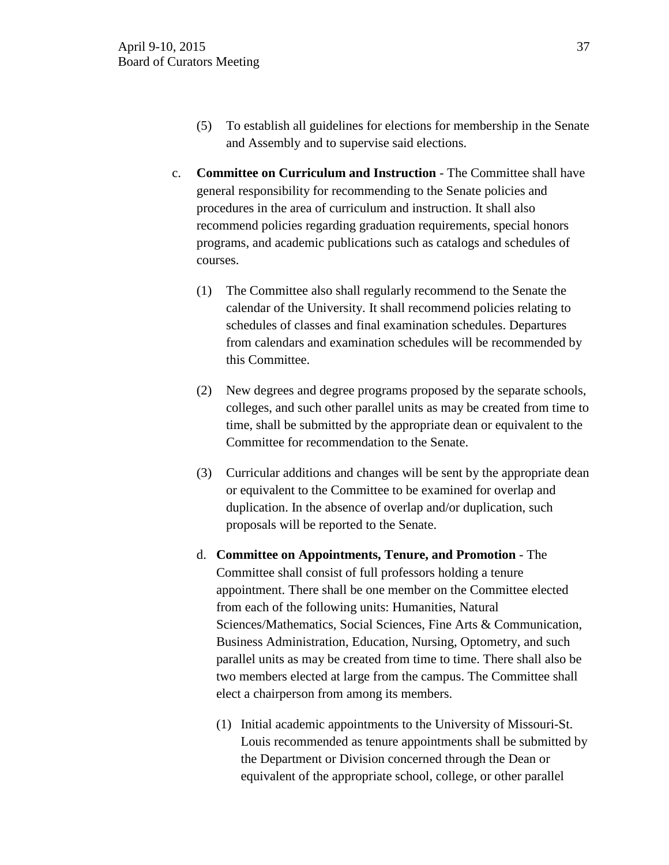- (5) To establish all guidelines for elections for membership in the Senate and Assembly and to supervise said elections.
- c. **Committee on Curriculum and Instruction** The Committee shall have general responsibility for recommending to the Senate policies and procedures in the area of curriculum and instruction. It shall also recommend policies regarding graduation requirements, special honors programs, and academic publications such as catalogs and schedules of courses.
	- (1) The Committee also shall regularly recommend to the Senate the calendar of the University. It shall recommend policies relating to schedules of classes and final examination schedules. Departures from calendars and examination schedules will be recommended by this Committee.
	- (2) New degrees and degree programs proposed by the separate schools, colleges, and such other parallel units as may be created from time to time, shall be submitted by the appropriate dean or equivalent to the Committee for recommendation to the Senate.
	- (3) Curricular additions and changes will be sent by the appropriate dean or equivalent to the Committee to be examined for overlap and duplication. In the absence of overlap and/or duplication, such proposals will be reported to the Senate.
	- d. **Committee on Appointments, Tenure, and Promotion** The Committee shall consist of full professors holding a tenure appointment. There shall be one member on the Committee elected from each of the following units: Humanities, Natural Sciences/Mathematics, Social Sciences, Fine Arts & Communication, Business Administration, Education, Nursing, Optometry, and such parallel units as may be created from time to time. There shall also be two members elected at large from the campus. The Committee shall elect a chairperson from among its members.
		- (1) Initial academic appointments to the University of Missouri-St. Louis recommended as tenure appointments shall be submitted by the Department or Division concerned through the Dean or equivalent of the appropriate school, college, or other parallel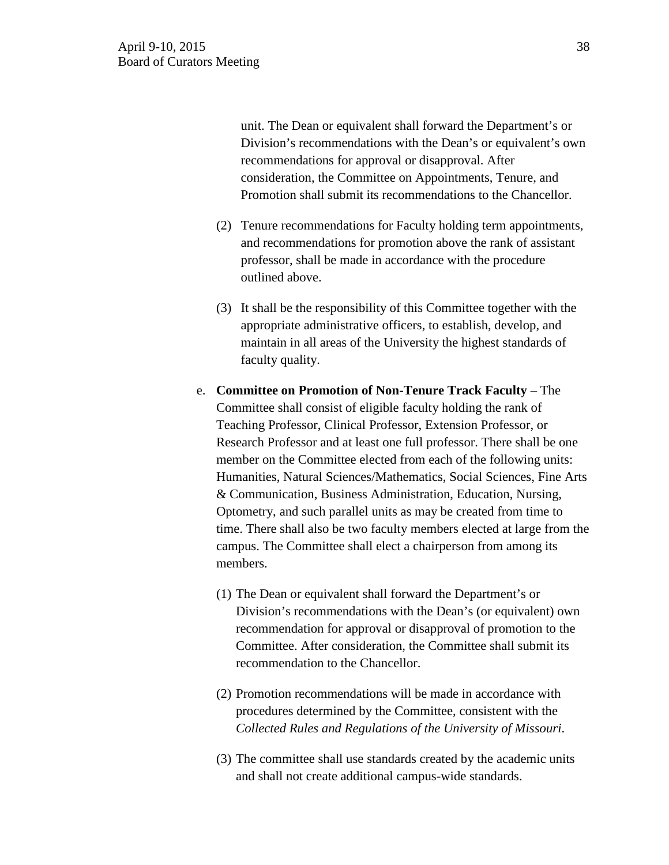unit. The Dean or equivalent shall forward the Department's or Division's recommendations with the Dean's or equivalent's own recommendations for approval or disapproval. After consideration, the Committee on Appointments, Tenure, and Promotion shall submit its recommendations to the Chancellor.

- (2) Tenure recommendations for Faculty holding term appointments, and recommendations for promotion above the rank of assistant professor, shall be made in accordance with the procedure outlined above.
- (3) It shall be the responsibility of this Committee together with the appropriate administrative officers, to establish, develop, and maintain in all areas of the University the highest standards of faculty quality.
- e. **Committee on Promotion of Non-Tenure Track Faculty** The Committee shall consist of eligible faculty holding the rank of Teaching Professor, Clinical Professor, Extension Professor, or Research Professor and at least one full professor. There shall be one member on the Committee elected from each of the following units: Humanities, Natural Sciences/Mathematics, Social Sciences, Fine Arts & Communication, Business Administration, Education, Nursing, Optometry, and such parallel units as may be created from time to time. There shall also be two faculty members elected at large from the campus. The Committee shall elect a chairperson from among its members.
	- (1) The Dean or equivalent shall forward the Department's or Division's recommendations with the Dean's (or equivalent) own recommendation for approval or disapproval of promotion to the Committee. After consideration, the Committee shall submit its recommendation to the Chancellor.
	- (2) Promotion recommendations will be made in accordance with procedures determined by the Committee, consistent with the *Collected Rules and Regulations of the University of Missouri*.
	- (3) The committee shall use standards created by the academic units and shall not create additional campus-wide standards.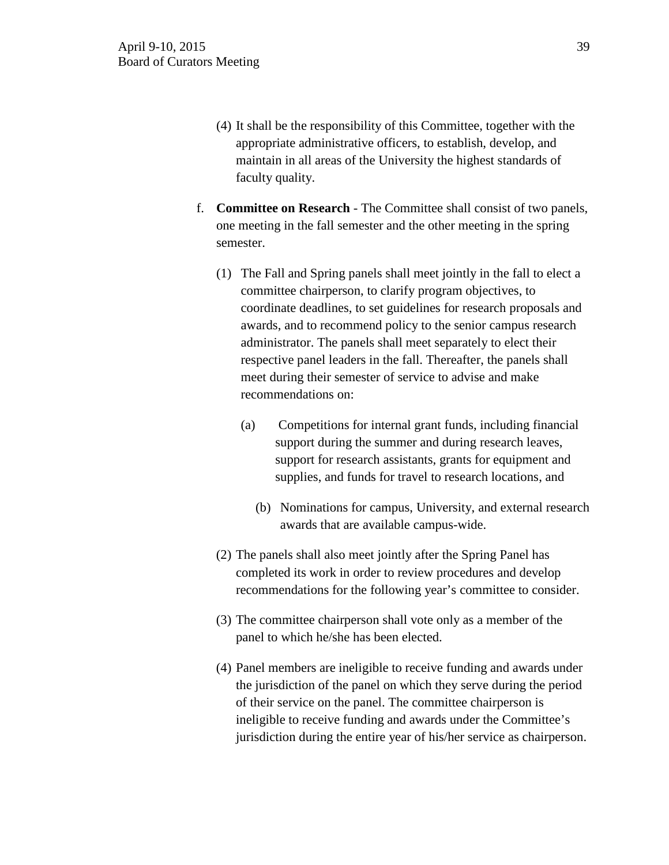- (4) It shall be the responsibility of this Committee, together with the appropriate administrative officers, to establish, develop, and maintain in all areas of the University the highest standards of faculty quality.
- f. **Committee on Research** The Committee shall consist of two panels, one meeting in the fall semester and the other meeting in the spring semester.
	- (1) The Fall and Spring panels shall meet jointly in the fall to elect a committee chairperson, to clarify program objectives, to coordinate deadlines, to set guidelines for research proposals and awards, and to recommend policy to the senior campus research administrator. The panels shall meet separately to elect their respective panel leaders in the fall. Thereafter, the panels shall meet during their semester of service to advise and make recommendations on:
		- (a) Competitions for internal grant funds, including financial support during the summer and during research leaves, support for research assistants, grants for equipment and supplies, and funds for travel to research locations, and
			- (b) Nominations for campus, University, and external research awards that are available campus-wide.
	- (2) The panels shall also meet jointly after the Spring Panel has completed its work in order to review procedures and develop recommendations for the following year's committee to consider.
	- (3) The committee chairperson shall vote only as a member of the panel to which he/she has been elected.
	- (4) Panel members are ineligible to receive funding and awards under the jurisdiction of the panel on which they serve during the period of their service on the panel. The committee chairperson is ineligible to receive funding and awards under the Committee's jurisdiction during the entire year of his/her service as chairperson.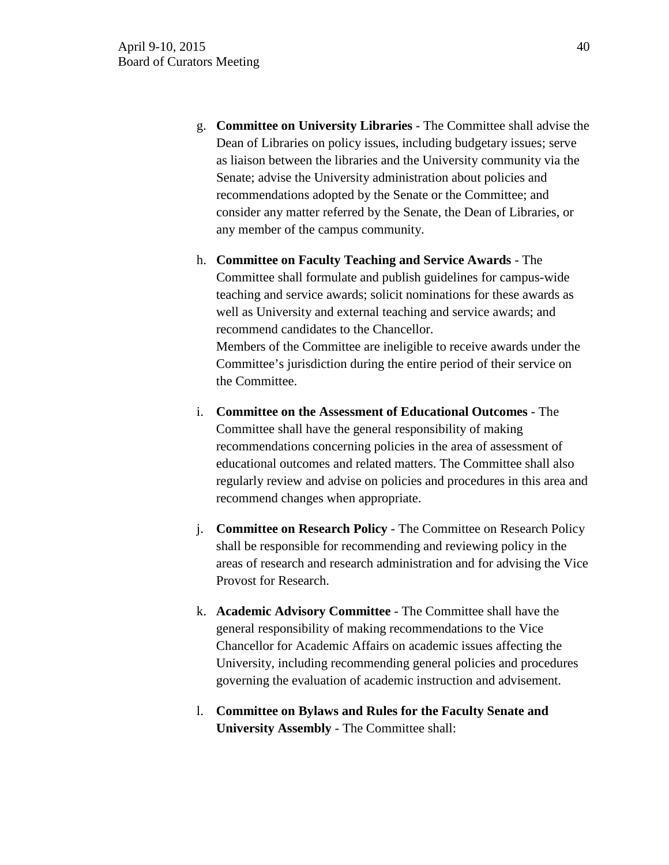- g. **Committee on University Libraries**  The Committee shall advise the Dean of Libraries on policy issues, including budgetary issues; serve as liaison between the libraries and the University community via the Senate; advise the University administration about policies and recommendations adopted by the Senate or the Committee; and consider any matter referred by the Senate, the Dean of Libraries, or any member of the campus community.
- h. **Committee on Faculty Teaching and Service Awards** The Committee shall formulate and publish guidelines for campus-wide teaching and service awards; solicit nominations for these awards as well as University and external teaching and service awards; and recommend candidates to the Chancellor. Members of the Committee are ineligible to receive awards under the Committee's jurisdiction during the entire period of their service on the Committee.
- i. **Committee on the Assessment of Educational Outcomes** The Committee shall have the general responsibility of making recommendations concerning policies in the area of assessment of educational outcomes and related matters. The Committee shall also regularly review and advise on policies and procedures in this area and recommend changes when appropriate.
- j. **Committee on Research Policy**  The Committee on Research Policy shall be responsible for recommending and reviewing policy in the areas of research and research administration and for advising the Vice Provost for Research.
- k. **Academic Advisory Committee** The Committee shall have the general responsibility of making recommendations to the Vice Chancellor for Academic Affairs on academic issues affecting the University, including recommending general policies and procedures governing the evaluation of academic instruction and advisement.
- l. **Committee on Bylaws and Rules for the Faculty Senate and University Assembly** - The Committee shall: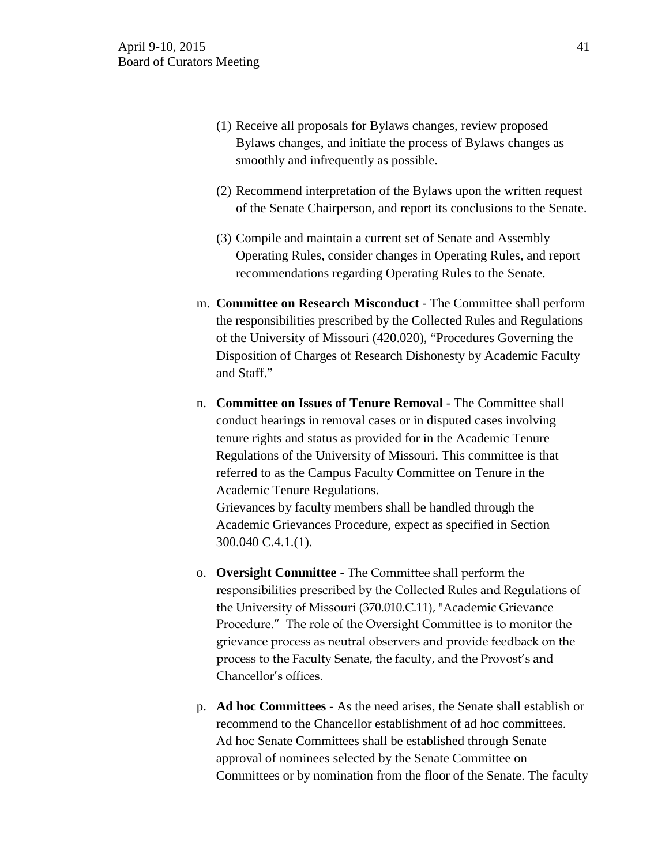- (1) Receive all proposals for Bylaws changes, review proposed Bylaws changes, and initiate the process of Bylaws changes as smoothly and infrequently as possible.
- (2) Recommend interpretation of the Bylaws upon the written request of the Senate Chairperson, and report its conclusions to the Senate.
- (3) Compile and maintain a current set of Senate and Assembly Operating Rules, consider changes in Operating Rules, and report recommendations regarding Operating Rules to the Senate.
- m. **Committee on Research Misconduct** The Committee shall perform the responsibilities prescribed by the Collected Rules and Regulations of the University of Missouri (420.020), "Procedures Governing the Disposition of Charges of Research Dishonesty by Academic Faculty and Staff."
- n. **Committee on Issues of Tenure Removal** The Committee shall conduct hearings in removal cases or in disputed cases involving tenure rights and status as provided for in the Academic Tenure Regulations of the University of Missouri. This committee is that referred to as the Campus Faculty Committee on Tenure in the Academic Tenure Regulations.

Grievances by faculty members shall be handled through the Academic Grievances Procedure, expect as specified in Section 300.040 C.4.1.(1).

- o. **Oversight Committee** The Committee shall perform the responsibilities prescribed by the Collected Rules and Regulations of the University of Missouri (370.010.C.11), "Academic Grievance Procedure." The role of the Oversight Committee is to monitor the grievance process as neutral observers and provide feedback on the process to the Faculty Senate, the faculty, and the Provost's and Chancellor's offices.
- p. **Ad hoc Committees** As the need arises, the Senate shall establish or recommend to the Chancellor establishment of ad hoc committees. Ad hoc Senate Committees shall be established through Senate approval of nominees selected by the Senate Committee on Committees or by nomination from the floor of the Senate. The faculty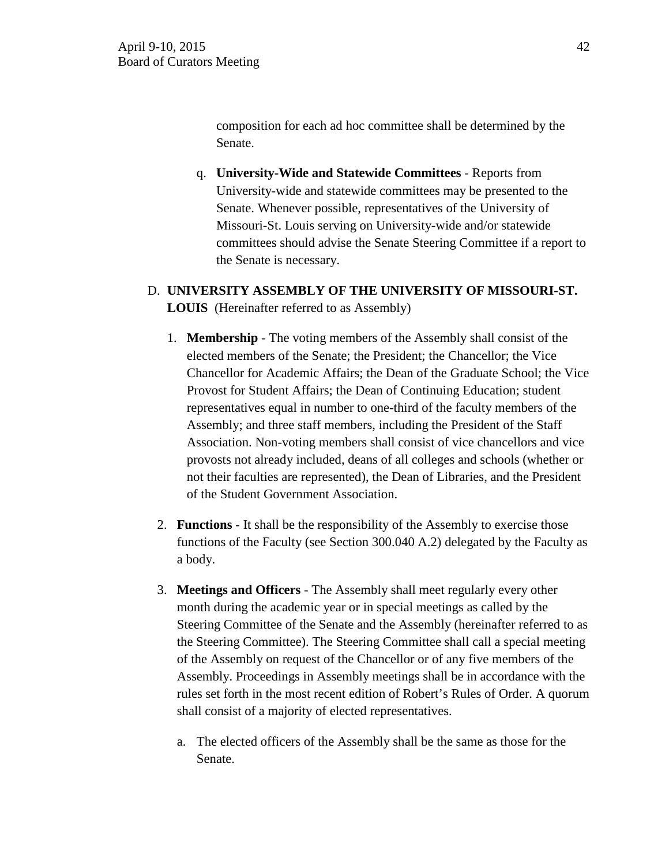composition for each ad hoc committee shall be determined by the Senate.

- q. **University-Wide and Statewide Committees** Reports from University-wide and statewide committees may be presented to the Senate. Whenever possible, representatives of the University of Missouri-St. Louis serving on University-wide and/or statewide committees should advise the Senate Steering Committee if a report to the Senate is necessary.
- D. **UNIVERSITY ASSEMBLY OF THE UNIVERSITY OF MISSOURI-ST. LOUIS** (Hereinafter referred to as Assembly)
	- 1. **Membership** The voting members of the Assembly shall consist of the elected members of the Senate; the President; the Chancellor; the Vice Chancellor for Academic Affairs; the Dean of the Graduate School; the Vice Provost for Student Affairs; the Dean of Continuing Education; student representatives equal in number to one-third of the faculty members of the Assembly; and three staff members, including the President of the Staff Association. Non-voting members shall consist of vice chancellors and vice provosts not already included, deans of all colleges and schools (whether or not their faculties are represented), the Dean of Libraries, and the President of the Student Government Association.
	- 2. **Functions** It shall be the responsibility of the Assembly to exercise those functions of the Faculty (see Section 300.040 A.2) delegated by the Faculty as a body.
	- 3. **Meetings and Officers** The Assembly shall meet regularly every other month during the academic year or in special meetings as called by the Steering Committee of the Senate and the Assembly (hereinafter referred to as the Steering Committee). The Steering Committee shall call a special meeting of the Assembly on request of the Chancellor or of any five members of the Assembly. Proceedings in Assembly meetings shall be in accordance with the rules set forth in the most recent edition of Robert's Rules of Order. A quorum shall consist of a majority of elected representatives.
		- a. The elected officers of the Assembly shall be the same as those for the Senate.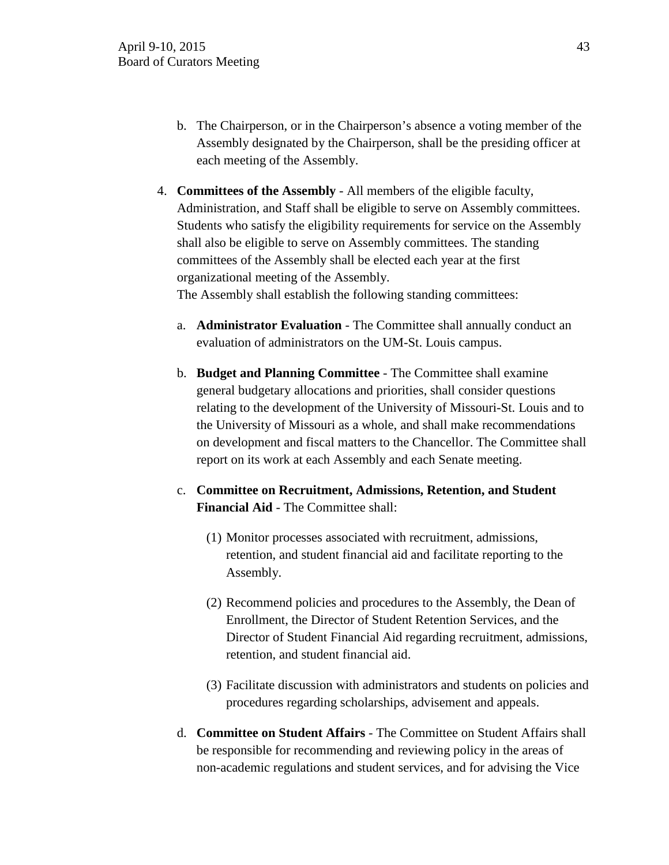- b. The Chairperson, or in the Chairperson's absence a voting member of the Assembly designated by the Chairperson, shall be the presiding officer at each meeting of the Assembly.
- 4. **Committees of the Assembly** All members of the eligible faculty, Administration, and Staff shall be eligible to serve on Assembly committees. Students who satisfy the eligibility requirements for service on the Assembly shall also be eligible to serve on Assembly committees. The standing committees of the Assembly shall be elected each year at the first organizational meeting of the Assembly.

The Assembly shall establish the following standing committees:

- a. **Administrator Evaluation** The Committee shall annually conduct an evaluation of administrators on the UM-St. Louis campus.
- b. **Budget and Planning Committee** The Committee shall examine general budgetary allocations and priorities, shall consider questions relating to the development of the University of Missouri-St. Louis and to the University of Missouri as a whole, and shall make recommendations on development and fiscal matters to the Chancellor. The Committee shall report on its work at each Assembly and each Senate meeting.
- c. **Committee on Recruitment, Admissions, Retention, and Student Financial Aid** - The Committee shall:
	- (1) Monitor processes associated with recruitment, admissions, retention, and student financial aid and facilitate reporting to the Assembly.
	- (2) Recommend policies and procedures to the Assembly, the Dean of Enrollment, the Director of Student Retention Services, and the Director of Student Financial Aid regarding recruitment, admissions, retention, and student financial aid.
	- (3) Facilitate discussion with administrators and students on policies and procedures regarding scholarships, advisement and appeals.
- d. **Committee on Student Affairs** The Committee on Student Affairs shall be responsible for recommending and reviewing policy in the areas of non-academic regulations and student services, and for advising the Vice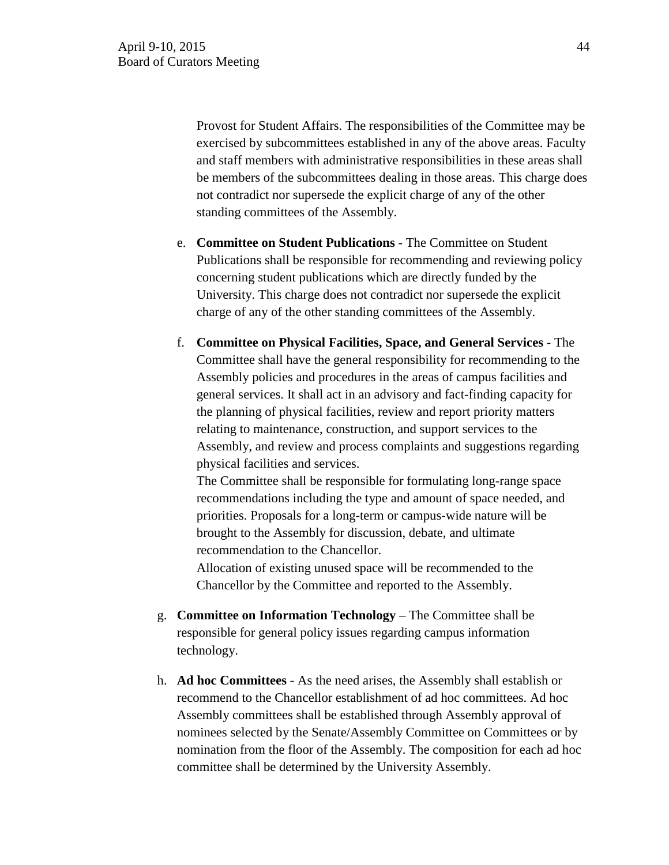Provost for Student Affairs. The responsibilities of the Committee may be exercised by subcommittees established in any of the above areas. Faculty and staff members with administrative responsibilities in these areas shall be members of the subcommittees dealing in those areas. This charge does not contradict nor supersede the explicit charge of any of the other standing committees of the Assembly.

- e. **Committee on Student Publications** The Committee on Student Publications shall be responsible for recommending and reviewing policy concerning student publications which are directly funded by the University. This charge does not contradict nor supersede the explicit charge of any of the other standing committees of the Assembly.
- f. **Committee on Physical Facilities, Space, and General Services** The Committee shall have the general responsibility for recommending to the Assembly policies and procedures in the areas of campus facilities and general services. It shall act in an advisory and fact-finding capacity for the planning of physical facilities, review and report priority matters relating to maintenance, construction, and support services to the Assembly, and review and process complaints and suggestions regarding physical facilities and services.

The Committee shall be responsible for formulating long-range space recommendations including the type and amount of space needed, and priorities. Proposals for a long-term or campus-wide nature will be brought to the Assembly for discussion, debate, and ultimate recommendation to the Chancellor.

Allocation of existing unused space will be recommended to the Chancellor by the Committee and reported to the Assembly.

- g. **Committee on Information Technology** The Committee shall be responsible for general policy issues regarding campus information technology.
- h. **Ad hoc Committees** As the need arises, the Assembly shall establish or recommend to the Chancellor establishment of ad hoc committees. Ad hoc Assembly committees shall be established through Assembly approval of nominees selected by the Senate/Assembly Committee on Committees or by nomination from the floor of the Assembly. The composition for each ad hoc committee shall be determined by the University Assembly.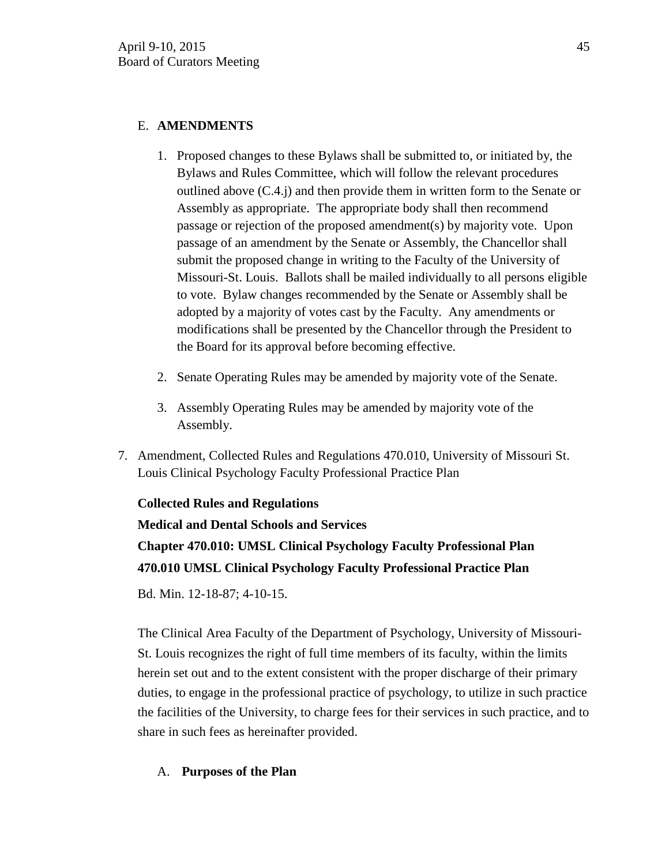## E. **AMENDMENTS**

- 1. Proposed changes to these Bylaws shall be submitted to, or initiated by, the Bylaws and Rules Committee, which will follow the relevant procedures outlined above (C.4.j) and then provide them in written form to the Senate or Assembly as appropriate. The appropriate body shall then recommend passage or rejection of the proposed amendment(s) by majority vote. Upon passage of an amendment by the Senate or Assembly, the Chancellor shall submit the proposed change in writing to the Faculty of the University of Missouri-St. Louis. Ballots shall be mailed individually to all persons eligible to vote. Bylaw changes recommended by the Senate or Assembly shall be adopted by a majority of votes cast by the Faculty. Any amendments or modifications shall be presented by the Chancellor through the President to the Board for its approval before becoming effective.
- 2. Senate Operating Rules may be amended by majority vote of the Senate.
- 3. Assembly Operating Rules may be amended by majority vote of the Assembly.
- 7. Amendment, Collected Rules and Regulations 470.010, University of Missouri St. Louis Clinical Psychology Faculty Professional Practice Plan

**Collected Rules and Regulations** 

**Medical and Dental Schools and Services Chapter 470.010: UMSL Clinical Psychology Faculty Professional Plan 470.010 UMSL Clinical Psychology Faculty Professional Practice Plan** 

Bd. Min. 12-18-87; 4-10-15.

The Clinical Area Faculty of the Department of Psychology, University of Missouri-St. Louis recognizes the right of full time members of its faculty, within the limits herein set out and to the extent consistent with the proper discharge of their primary duties, to engage in the professional practice of psychology, to utilize in such practice the facilities of the University, to charge fees for their services in such practice, and to share in such fees as hereinafter provided.

# A. **Purposes of the Plan**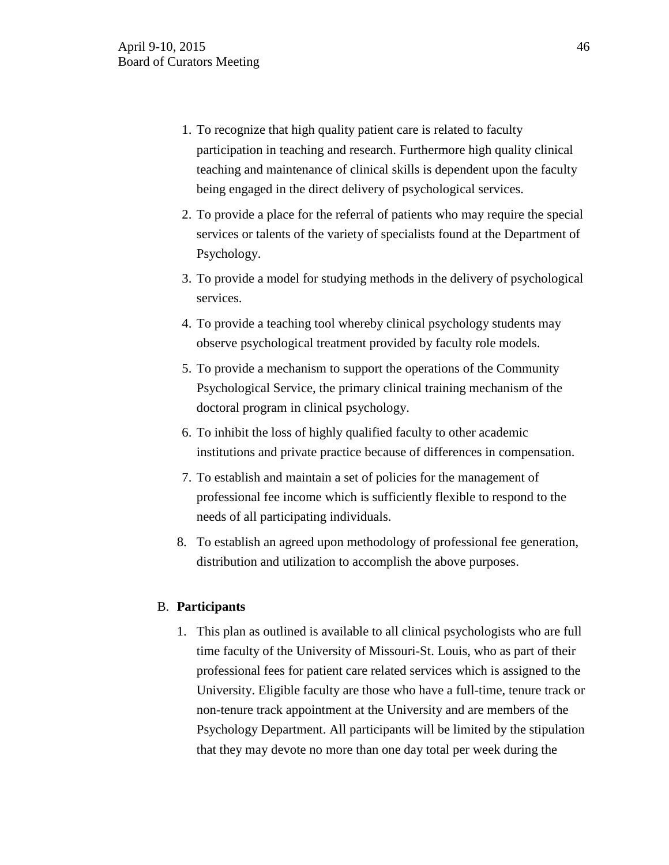- 1. To recognize that high quality patient care is related to faculty participation in teaching and research. Furthermore high quality clinical teaching and maintenance of clinical skills is dependent upon the faculty being engaged in the direct delivery of psychological services.
- 2. To provide a place for the referral of patients who may require the special services or talents of the variety of specialists found at the Department of Psychology.
- 3. To provide a model for studying methods in the delivery of psychological services.
- 4. To provide a teaching tool whereby clinical psychology students may observe psychological treatment provided by faculty role models.
- 5. To provide a mechanism to support the operations of the Community Psychological Service, the primary clinical training mechanism of the doctoral program in clinical psychology.
- 6. To inhibit the loss of highly qualified faculty to other academic institutions and private practice because of differences in compensation.
- 7. To establish and maintain a set of policies for the management of professional fee income which is sufficiently flexible to respond to the needs of all participating individuals.
- 8. To establish an agreed upon methodology of professional fee generation, distribution and utilization to accomplish the above purposes.

## B. **Participants**

1. This plan as outlined is available to all clinical psychologists who are full time faculty of the University of Missouri-St. Louis, who as part of their professional fees for patient care related services which is assigned to the University. Eligible faculty are those who have a full-time, tenure track or non-tenure track appointment at the University and are members of the Psychology Department. All participants will be limited by the stipulation that they may devote no more than one day total per week during the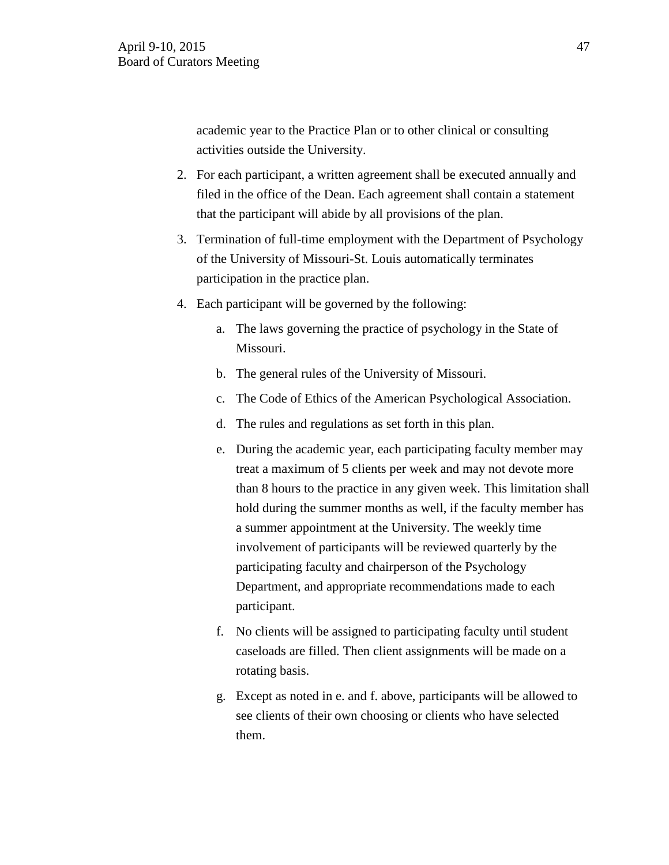academic year to the Practice Plan or to other clinical or consulting activities outside the University.

- 2. For each participant, a written agreement shall be executed annually and filed in the office of the Dean. Each agreement shall contain a statement that the participant will abide by all provisions of the plan.
- 3. Termination of full-time employment with the Department of Psychology of the University of Missouri-St. Louis automatically terminates participation in the practice plan.
- 4. Each participant will be governed by the following:
	- a. The laws governing the practice of psychology in the State of Missouri.
	- b. The general rules of the University of Missouri.
	- c. The Code of Ethics of the American Psychological Association.
	- d. The rules and regulations as set forth in this plan.
	- e. During the academic year, each participating faculty member may treat a maximum of 5 clients per week and may not devote more than 8 hours to the practice in any given week. This limitation shall hold during the summer months as well, if the faculty member has a summer appointment at the University. The weekly time involvement of participants will be reviewed quarterly by the participating faculty and chairperson of the Psychology Department, and appropriate recommendations made to each participant.
	- f. No clients will be assigned to participating faculty until student caseloads are filled. Then client assignments will be made on a rotating basis.
	- g. Except as noted in e. and f. above, participants will be allowed to see clients of their own choosing or clients who have selected them.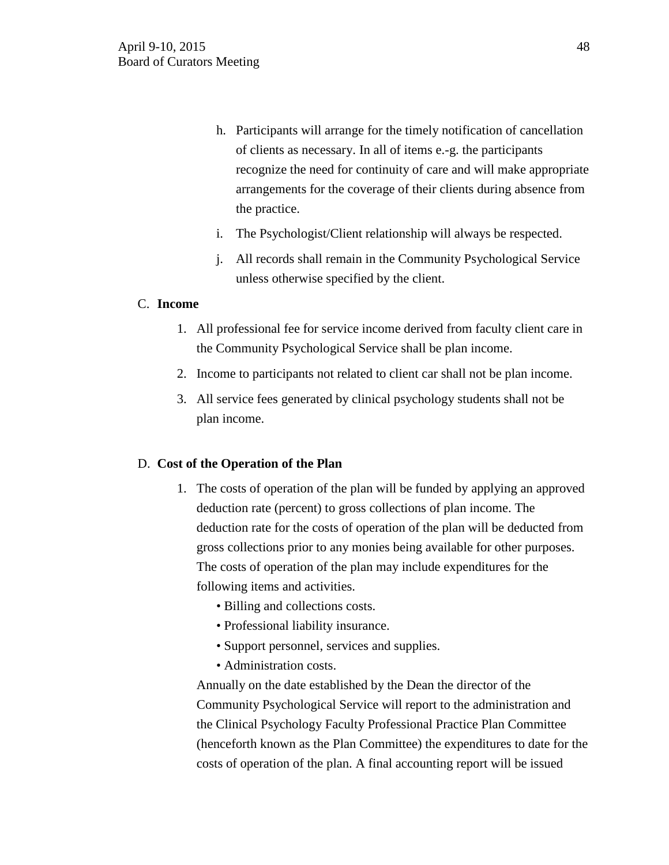- h. Participants will arrange for the timely notification of cancellation of clients as necessary. In all of items e.-g. the participants recognize the need for continuity of care and will make appropriate arrangements for the coverage of their clients during absence from the practice.
- i. The Psychologist/Client relationship will always be respected.
- j. All records shall remain in the Community Psychological Service unless otherwise specified by the client.

## C. **Income**

- 1. All professional fee for service income derived from faculty client care in the Community Psychological Service shall be plan income.
- 2. Income to participants not related to client car shall not be plan income.
- 3. All service fees generated by clinical psychology students shall not be plan income.

## D. **Cost of the Operation of the Plan**

- 1. The costs of operation of the plan will be funded by applying an approved deduction rate (percent) to gross collections of plan income. The deduction rate for the costs of operation of the plan will be deducted from gross collections prior to any monies being available for other purposes. The costs of operation of the plan may include expenditures for the following items and activities.
	- Billing and collections costs.
	- Professional liability insurance.
	- Support personnel, services and supplies.
	- Administration costs.

Annually on the date established by the Dean the director of the Community Psychological Service will report to the administration and the Clinical Psychology Faculty Professional Practice Plan Committee (henceforth known as the Plan Committee) the expenditures to date for the costs of operation of the plan. A final accounting report will be issued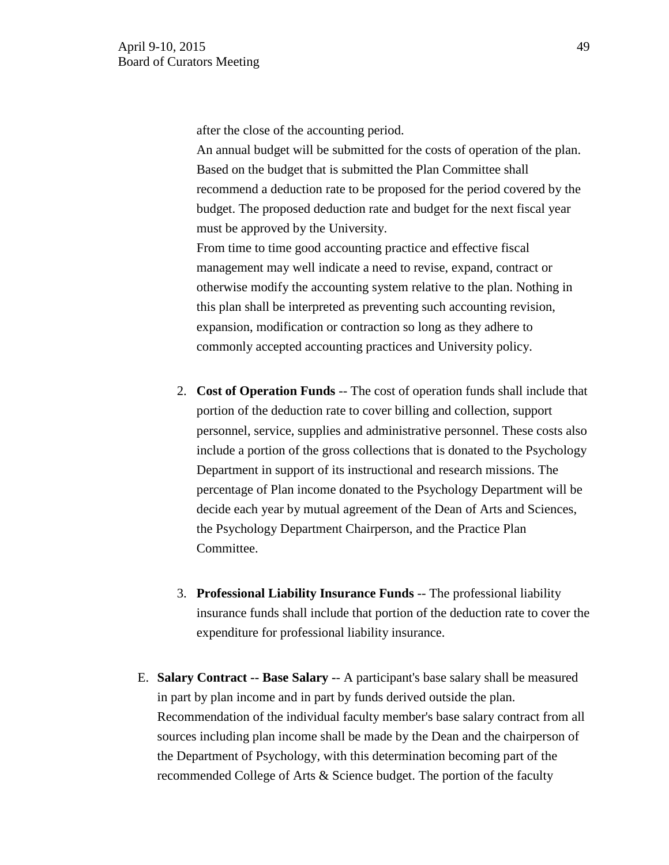after the close of the accounting period.

An annual budget will be submitted for the costs of operation of the plan. Based on the budget that is submitted the Plan Committee shall recommend a deduction rate to be proposed for the period covered by the budget. The proposed deduction rate and budget for the next fiscal year must be approved by the University.

From time to time good accounting practice and effective fiscal management may well indicate a need to revise, expand, contract or otherwise modify the accounting system relative to the plan. Nothing in this plan shall be interpreted as preventing such accounting revision, expansion, modification or contraction so long as they adhere to commonly accepted accounting practices and University policy.

- 2. **Cost of Operation Funds** -- The cost of operation funds shall include that portion of the deduction rate to cover billing and collection, support personnel, service, supplies and administrative personnel. These costs also include a portion of the gross collections that is donated to the Psychology Department in support of its instructional and research missions. The percentage of Plan income donated to the Psychology Department will be decide each year by mutual agreement of the Dean of Arts and Sciences, the Psychology Department Chairperson, and the Practice Plan Committee.
- 3. **Professional Liability Insurance Funds** -- The professional liability insurance funds shall include that portion of the deduction rate to cover the expenditure for professional liability insurance.
- E. **Salary Contract -- Base Salary -** A participant's base salary shall be measured in part by plan income and in part by funds derived outside the plan. Recommendation of the individual faculty member's base salary contract from all sources including plan income shall be made by the Dean and the chairperson of the Department of Psychology, with this determination becoming part of the recommended College of Arts & Science budget. The portion of the faculty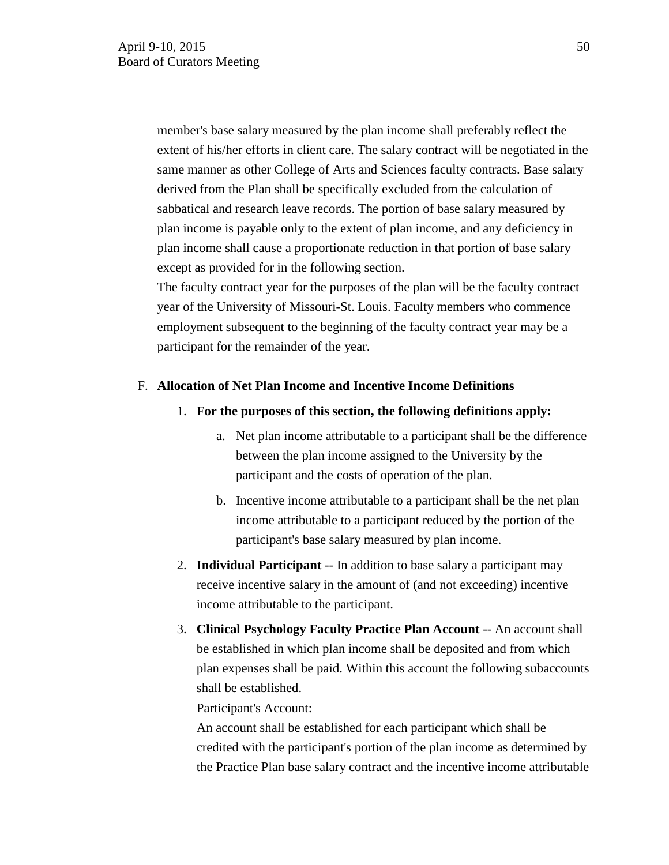member's base salary measured by the plan income shall preferably reflect the extent of his/her efforts in client care. The salary contract will be negotiated in the same manner as other College of Arts and Sciences faculty contracts. Base salary derived from the Plan shall be specifically excluded from the calculation of sabbatical and research leave records. The portion of base salary measured by plan income is payable only to the extent of plan income, and any deficiency in plan income shall cause a proportionate reduction in that portion of base salary except as provided for in the following section.

The faculty contract year for the purposes of the plan will be the faculty contract year of the University of Missouri-St. Louis. Faculty members who commence employment subsequent to the beginning of the faculty contract year may be a participant for the remainder of the year.

### F. **Allocation of Net Plan Income and Incentive Income Definitions**

- 1. **For the purposes of this section, the following definitions apply:** 
	- a. Net plan income attributable to a participant shall be the difference between the plan income assigned to the University by the participant and the costs of operation of the plan.
	- b. Incentive income attributable to a participant shall be the net plan income attributable to a participant reduced by the portion of the participant's base salary measured by plan income.
- 2. **Individual Participant** -- In addition to base salary a participant may receive incentive salary in the amount of (and not exceeding) incentive income attributable to the participant.
- 3. **Clinical Psychology Faculty Practice Plan Account** -- An account shall be established in which plan income shall be deposited and from which plan expenses shall be paid. Within this account the following subaccounts shall be established.

Participant's Account:

An account shall be established for each participant which shall be credited with the participant's portion of the plan income as determined by the Practice Plan base salary contract and the incentive income attributable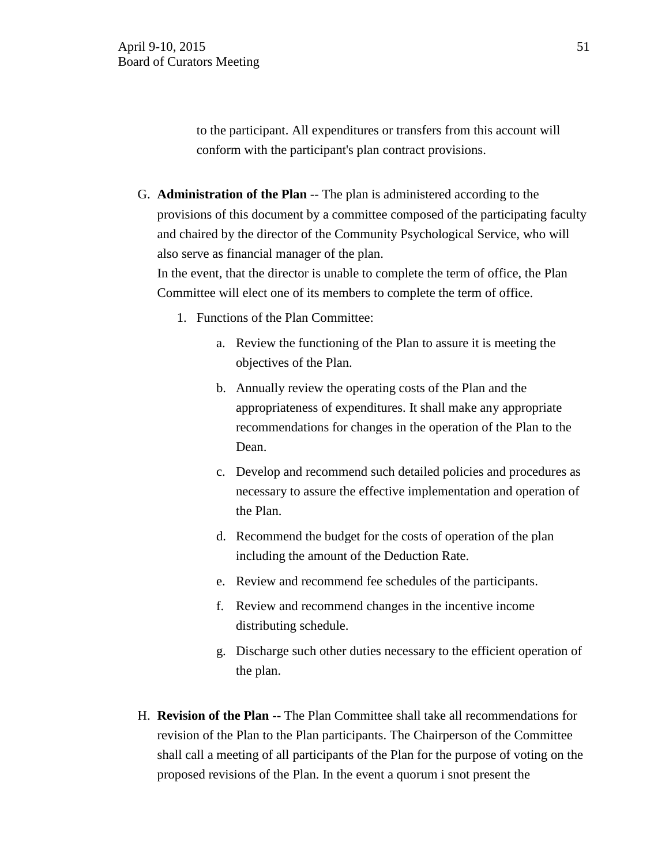to the participant. All expenditures or transfers from this account will conform with the participant's plan contract provisions.

G. **Administration of the Plan** -- The plan is administered according to the provisions of this document by a committee composed of the participating faculty and chaired by the director of the Community Psychological Service, who will also serve as financial manager of the plan.

In the event, that the director is unable to complete the term of office, the Plan Committee will elect one of its members to complete the term of office.

- 1. Functions of the Plan Committee:
	- a. Review the functioning of the Plan to assure it is meeting the objectives of the Plan.
	- b. Annually review the operating costs of the Plan and the appropriateness of expenditures. It shall make any appropriate recommendations for changes in the operation of the Plan to the Dean.
	- c. Develop and recommend such detailed policies and procedures as necessary to assure the effective implementation and operation of the Plan.
	- d. Recommend the budget for the costs of operation of the plan including the amount of the Deduction Rate.
	- e. Review and recommend fee schedules of the participants.
	- f. Review and recommend changes in the incentive income distributing schedule.
	- g. Discharge such other duties necessary to the efficient operation of the plan.
- H. **Revision of the Plan** -- The Plan Committee shall take all recommendations for revision of the Plan to the Plan participants. The Chairperson of the Committee shall call a meeting of all participants of the Plan for the purpose of voting on the proposed revisions of the Plan. In the event a quorum i snot present the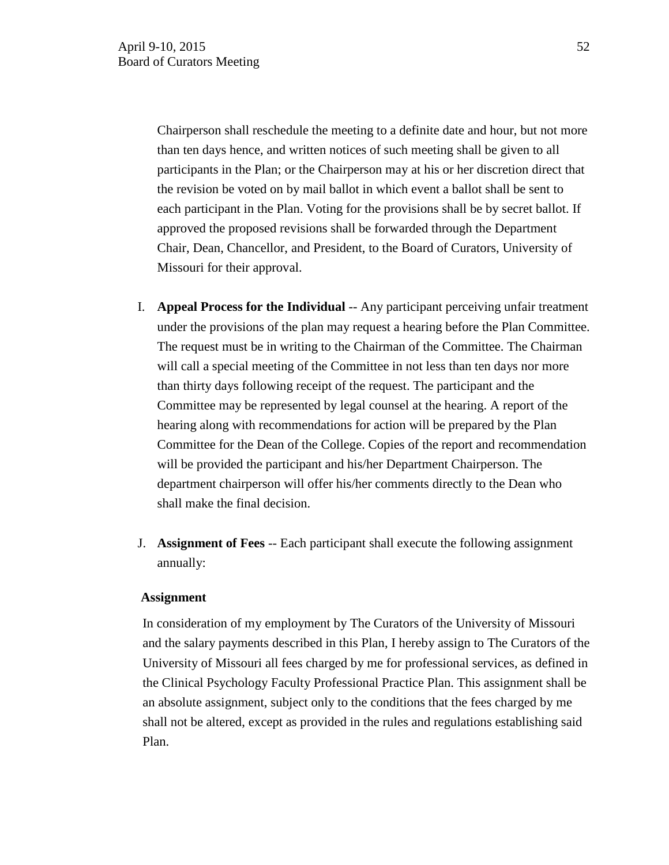Chairperson shall reschedule the meeting to a definite date and hour, but not more than ten days hence, and written notices of such meeting shall be given to all participants in the Plan; or the Chairperson may at his or her discretion direct that the revision be voted on by mail ballot in which event a ballot shall be sent to each participant in the Plan. Voting for the provisions shall be by secret ballot. If approved the proposed revisions shall be forwarded through the Department Chair, Dean, Chancellor, and President, to the Board of Curators, University of Missouri for their approval.

- I. **Appeal Process for the Individual** -- Any participant perceiving unfair treatment under the provisions of the plan may request a hearing before the Plan Committee. The request must be in writing to the Chairman of the Committee. The Chairman will call a special meeting of the Committee in not less than ten days nor more than thirty days following receipt of the request. The participant and the Committee may be represented by legal counsel at the hearing. A report of the hearing along with recommendations for action will be prepared by the Plan Committee for the Dean of the College. Copies of the report and recommendation will be provided the participant and his/her Department Chairperson. The department chairperson will offer his/her comments directly to the Dean who shall make the final decision.
- J. **Assignment of Fees** -- Each participant shall execute the following assignment annually:

### **Assignment**

In consideration of my employment by The Curators of the University of Missouri and the salary payments described in this Plan, I hereby assign to The Curators of the University of Missouri all fees charged by me for professional services, as defined in the Clinical Psychology Faculty Professional Practice Plan. This assignment shall be an absolute assignment, subject only to the conditions that the fees charged by me shall not be altered, except as provided in the rules and regulations establishing said Plan.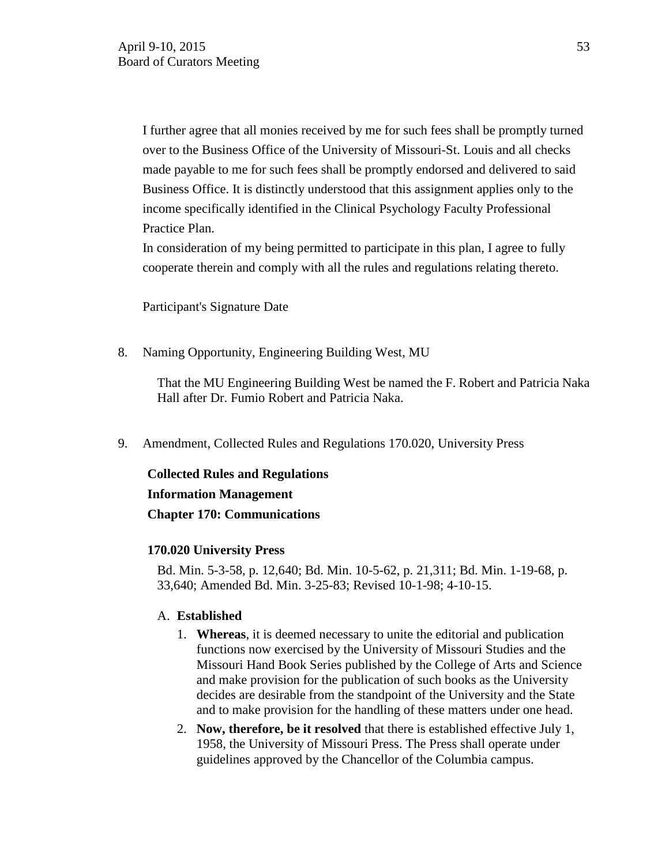I further agree that all monies received by me for such fees shall be promptly turned over to the Business Office of the University of Missouri-St. Louis and all checks made payable to me for such fees shall be promptly endorsed and delivered to said Business Office. It is distinctly understood that this assignment applies only to the income specifically identified in the Clinical Psychology Faculty Professional Practice Plan.

In consideration of my being permitted to participate in this plan, I agree to fully cooperate therein and comply with all the rules and regulations relating thereto.

Participant's Signature Date

8. Naming Opportunity, Engineering Building West, MU

That the MU Engineering Building West be named the F. Robert and Patricia Naka Hall after Dr. Fumio Robert and Patricia Naka.

9. Amendment, Collected Rules and Regulations 170.020, University Press

**Collected Rules and Regulations Information Management Chapter 170: Communications**

### **170.020 University Press**

Bd. Min. 5-3-58, p. 12,640; Bd. Min. 10-5-62, p. 21,311; Bd. Min. 1-19-68, p. 33,640; Amended Bd. Min. 3-25-83; Revised 10-1-98; 4-10-15.

### A. **Established**

- 1. **Whereas**, it is deemed necessary to unite the editorial and publication functions now exercised by the University of Missouri Studies and the Missouri Hand Book Series published by the College of Arts and Science and make provision for the publication of such books as the University decides are desirable from the standpoint of the University and the State and to make provision for the handling of these matters under one head.
- 2. **Now, therefore, be it resolved** that there is established effective July 1, 1958, the University of Missouri Press. The Press shall operate under guidelines approved by the Chancellor of the Columbia campus.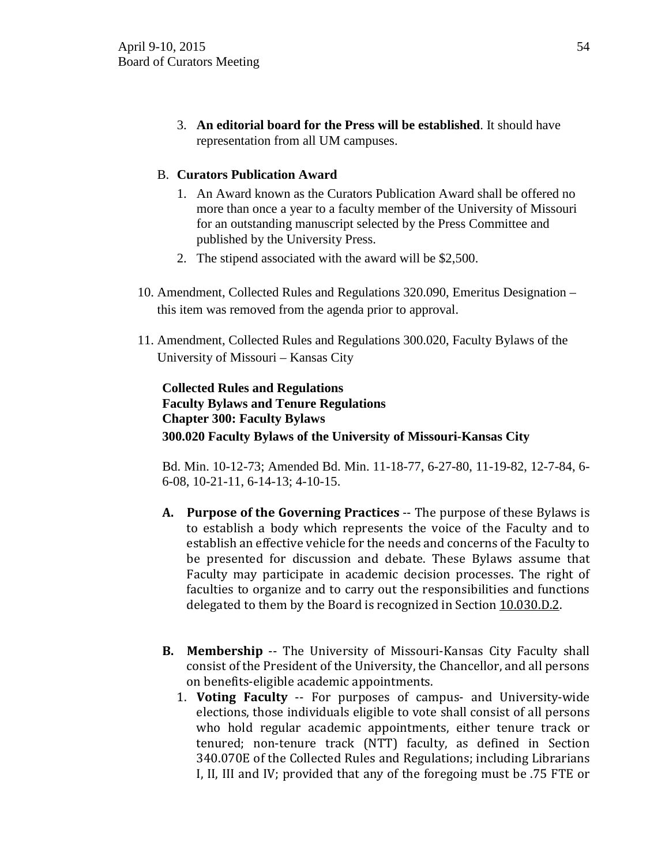3. **An editorial board for the Press will be established**. It should have representation from all UM campuses.

## B. **Curators Publication Award**

- 1. An Award known as the Curators Publication Award shall be offered no more than once a year to a faculty member of the University of Missouri for an outstanding manuscript selected by the Press Committee and published by the University Press.
- 2. The stipend associated with the award will be \$2,500.
- 10. Amendment, Collected Rules and Regulations 320.090, Emeritus Designation this item was removed from the agenda prior to approval.
- 11. Amendment, Collected Rules and Regulations 300.020, Faculty Bylaws of the University of Missouri – Kansas City

## **Collected Rules and Regulations Faculty Bylaws and Tenure Regulations Chapter 300: Faculty Bylaws 300.020 Faculty Bylaws of the University of Missouri-Kansas City**

Bd. Min. 10-12-73; Amended Bd. Min. 11-18-77, 6-27-80, 11-19-82, 12-7-84, 6- 6-08, 10-21-11, 6-14-13; 4-10-15.

- **A. Purpose of the Governing Practices** -- The purpose of these Bylaws is to establish a body which represents the voice of the Faculty and to establish an effective vehicle for the needs and concerns of the Faculty to be presented for discussion and debate. These Bylaws assume that Faculty may participate in academic decision processes. The right of faculties to organize and to carry out the responsibilities and functions delegated to them by the Board is recognized in Section 10.030.D.2.
- **B. Membership** -- The University of Missouri-Kansas City Faculty shall consist of the President of the University, the Chancellor, and all persons on benefits-eligible academic appointments.
	- 1. **Voting Faculty** -- For purposes of campus- and University-wide elections, those individuals eligible to vote shall consist of all persons who hold regular academic appointments, either tenure track or tenured; non-tenure track (NTT) faculty, as defined in Section 340.070E of the Collected Rules and Regulations; including Librarians I, II, III and IV; provided that any of the foregoing must be .75 FTE or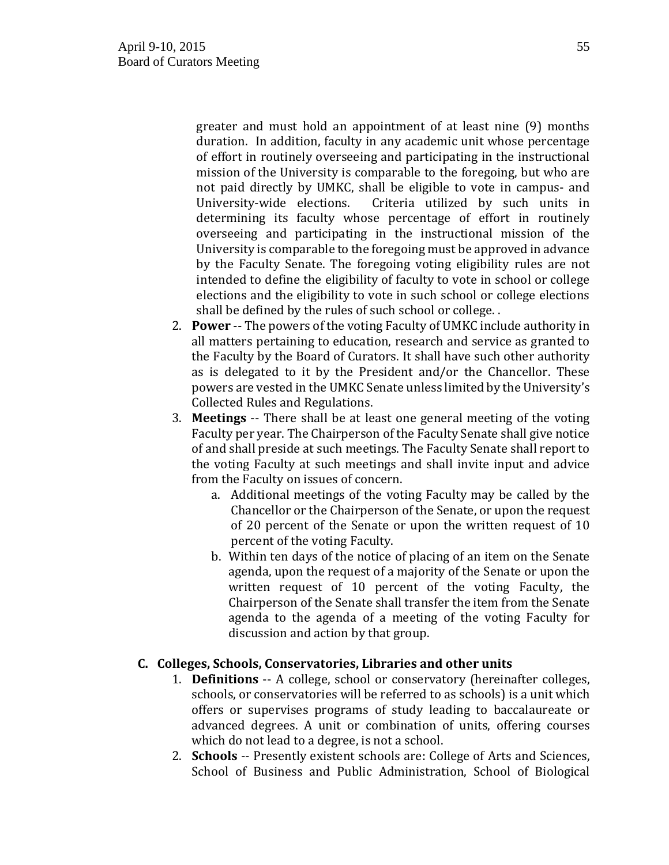greater and must hold an appointment of at least nine (9) months duration. In addition, faculty in any academic unit whose percentage of effort in routinely overseeing and participating in the instructional mission of the University is comparable to the foregoing, but who are not paid directly by UMKC, shall be eligible to vote in campus- and University-wide elections. Criteria utilized by such units in Criteria utilized by such units in determining its faculty whose percentage of effort in routinely overseeing and participating in the instructional mission of the University is comparable to the foregoing must be approved in advance by the Faculty Senate. The foregoing voting eligibility rules are not intended to define the eligibility of faculty to vote in school or college elections and the eligibility to vote in such school or college elections shall be defined by the rules of such school or college. .

- 2. **Power** -- The powers of the voting Faculty of UMKC include authority in all matters pertaining to education, research and service as granted to the Faculty by the Board of Curators. It shall have such other authority as is delegated to it by the President and/or the Chancellor. These powers are vested in the UMKC Senate unless limited by the University's Collected Rules and Regulations.
- 3. **Meetings** -- There shall be at least one general meeting of the voting Faculty per year. The Chairperson of the Faculty Senate shall give notice of and shall preside at such meetings. The Faculty Senate shall report to the voting Faculty at such meetings and shall invite input and advice from the Faculty on issues of concern.
	- a. Additional meetings of the voting Faculty may be called by the Chancellor or the Chairperson of the Senate, or upon the request of 20 percent of the Senate or upon the written request of 10 percent of the voting Faculty.
	- b. Within ten days of the notice of placing of an item on the Senate agenda, upon the request of a majority of the Senate or upon the written request of 10 percent of the voting Faculty, the Chairperson of the Senate shall transfer the item from the Senate agenda to the agenda of a meeting of the voting Faculty for discussion and action by that group.

## **C. Colleges, Schools, Conservatories, Libraries and other units**

- 1. **Definitions** -- A college, school or conservatory (hereinafter colleges, schools, or conservatories will be referred to as schools) is a unit which offers or supervises programs of study leading to baccalaureate or advanced degrees. A unit or combination of units, offering courses which do not lead to a degree, is not a school.
- 2. **Schools** -- Presently existent schools are: College of Arts and Sciences, School of Business and Public Administration, School of Biological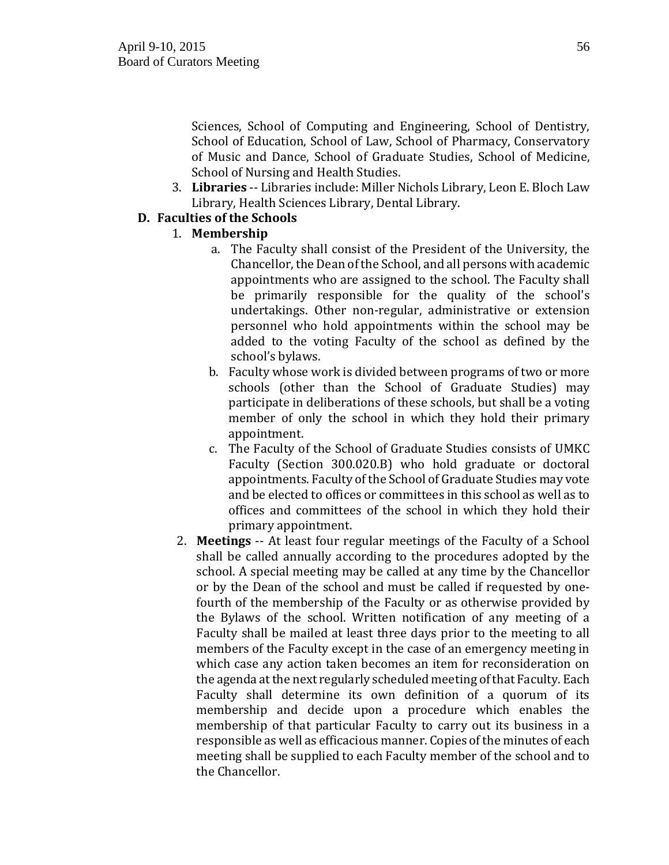Sciences, School of Computing and Engineering, School of Dentistry, School of Education, School of Law, School of Pharmacy, Conservatory of Music and Dance, School of Graduate Studies, School of Medicine, School of Nursing and Health Studies.

3. **Libraries** -- Libraries include: Miller Nichols Library, Leon E. Bloch Law Library, Health Sciences Library, Dental Library.

## **D. Faculties of the Schools**

- 1. **Membership**
	- a. The Faculty shall consist of the President of the University, the Chancellor, the Dean of the School, and all persons with academic appointments who are assigned to the school. The Faculty shall be primarily responsible for the quality of the school's undertakings. Other non-regular, administrative or extension personnel who hold appointments within the school may be added to the voting Faculty of the school as defined by the school's bylaws.
	- b. Faculty whose work is divided between programs of two or more schools (other than the School of Graduate Studies) may participate in deliberations of these schools, but shall be a voting member of only the school in which they hold their primary appointment.
	- c. The Faculty of the School of Graduate Studies consists of UMKC Faculty (Section 300.020.B) who hold graduate or doctoral appointments. Faculty of the School of Graduate Studies may vote and be elected to offices or committees in this school as well as to offices and committees of the school in which they hold their primary appointment.
- 2. **Meetings** -- At least four regular meetings of the Faculty of a School shall be called annually according to the procedures adopted by the school. A special meeting may be called at any time by the Chancellor or by the Dean of the school and must be called if requested by onefourth of the membership of the Faculty or as otherwise provided by the Bylaws of the school. Written notification of any meeting of a Faculty shall be mailed at least three days prior to the meeting to all members of the Faculty except in the case of an emergency meeting in which case any action taken becomes an item for reconsideration on the agenda at the next regularly scheduled meeting of that Faculty. Each Faculty shall determine its own definition of a quorum of its membership and decide upon a procedure which enables the membership of that particular Faculty to carry out its business in a responsible as well as efficacious manner. Copies of the minutes of each meeting shall be supplied to each Faculty member of the school and to the Chancellor.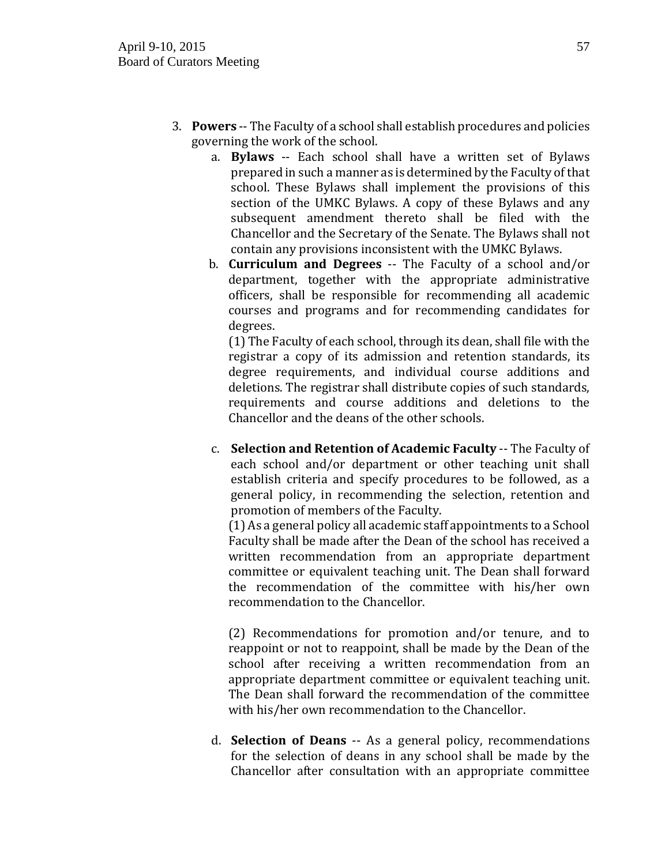- 3. **Powers** -- The Faculty of a school shall establish procedures and policies governing the work of the school.
	- a. **Bylaws** -- Each school shall have a written set of Bylaws prepared in such a manner as is determined by the Faculty of that school. These Bylaws shall implement the provisions of this section of the UMKC Bylaws. A copy of these Bylaws and any subsequent amendment thereto shall be filed with the Chancellor and the Secretary of the Senate. The Bylaws shall not contain any provisions inconsistent with the UMKC Bylaws.
	- b. **Curriculum and Degrees** -- The Faculty of a school and/or department, together with the appropriate administrative officers, shall be responsible for recommending all academic courses and programs and for recommending candidates for degrees.

(1) The Faculty of each school, through its dean, shall file with the registrar a copy of its admission and retention standards, its degree requirements, and individual course additions and deletions. The registrar shall distribute copies of such standards, requirements and course additions and deletions to the Chancellor and the deans of the other schools.

c. **Selection and Retention of Academic Faculty** -- The Faculty of each school and/or department or other teaching unit shall establish criteria and specify procedures to be followed, as a general policy, in recommending the selection, retention and promotion of members of the Faculty.

(1) As a general policy all academic staff appointments to a School Faculty shall be made after the Dean of the school has received a written recommendation from an appropriate department committee or equivalent teaching unit. The Dean shall forward the recommendation of the committee with his/her own recommendation to the Chancellor.

(2) Recommendations for promotion and/or tenure, and to reappoint or not to reappoint, shall be made by the Dean of the school after receiving a written recommendation from an appropriate department committee or equivalent teaching unit. The Dean shall forward the recommendation of the committee with his/her own recommendation to the Chancellor.

d. **Selection of Deans** -- As a general policy, recommendations for the selection of deans in any school shall be made by the Chancellor after consultation with an appropriate committee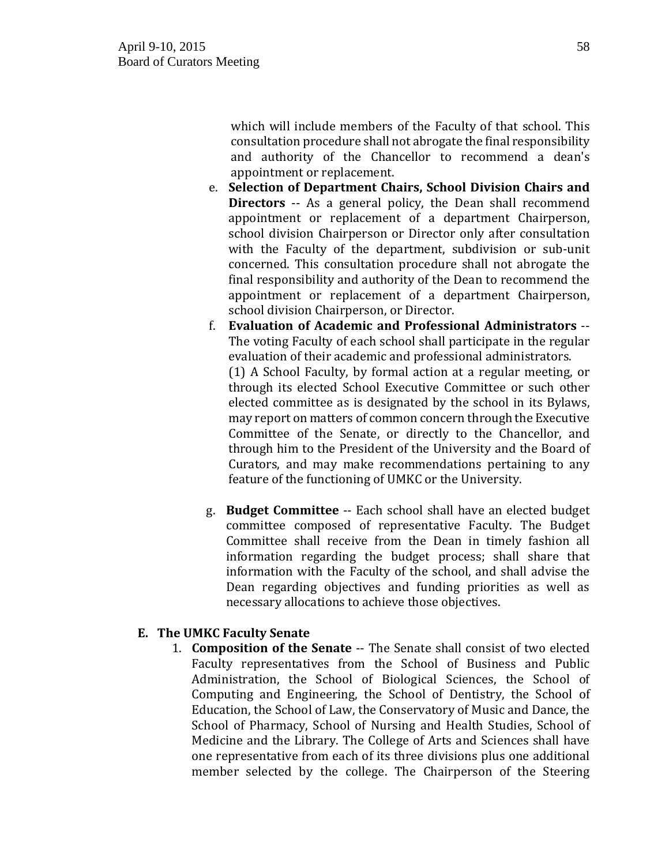which will include members of the Faculty of that school. This consultation procedure shall not abrogate the final responsibility and authority of the Chancellor to recommend a dean's appointment or replacement.

- e. **Selection of Department Chairs, School Division Chairs and Directors** -- As a general policy, the Dean shall recommend appointment or replacement of a department Chairperson, school division Chairperson or Director only after consultation with the Faculty of the department, subdivision or sub-unit concerned. This consultation procedure shall not abrogate the final responsibility and authority of the Dean to recommend the appointment or replacement of a department Chairperson, school division Chairperson, or Director.
- f. **Evaluation of Academic and Professional Administrators** -- The voting Faculty of each school shall participate in the regular evaluation of their academic and professional administrators. (1) A School Faculty, by formal action at a regular meeting, or through its elected School Executive Committee or such other elected committee as is designated by the school in its Bylaws, may report on matters of common concern through the Executive Committee of the Senate, or directly to the Chancellor, and through him to the President of the University and the Board of Curators, and may make recommendations pertaining to any feature of the functioning of UMKC or the University.
- g. **Budget Committee** -- Each school shall have an elected budget committee composed of representative Faculty. The Budget Committee shall receive from the Dean in timely fashion all information regarding the budget process; shall share that information with the Faculty of the school, and shall advise the Dean regarding objectives and funding priorities as well as necessary allocations to achieve those objectives.

## **E. The UMKC Faculty Senate**

1. **Composition of the Senate** -- The Senate shall consist of two elected Faculty representatives from the School of Business and Public Administration, the School of Biological Sciences, the School of Computing and Engineering, the School of Dentistry, the School of Education, the School of Law, the Conservatory of Music and Dance, the School of Pharmacy, School of Nursing and Health Studies, School of Medicine and the Library. The College of Arts and Sciences shall have one representative from each of its three divisions plus one additional member selected by the college. The Chairperson of the Steering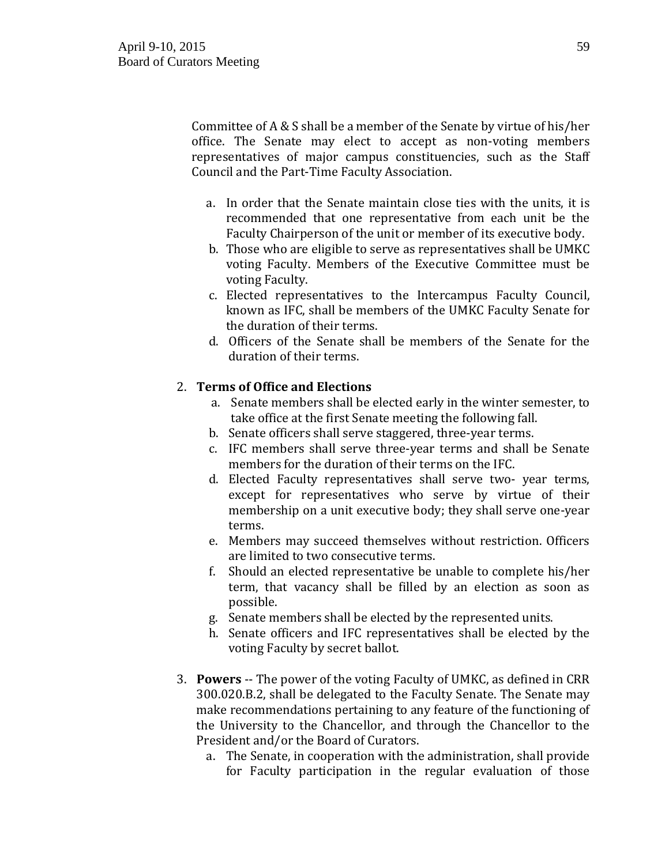Committee of A & S shall be a member of the Senate by virtue of his/her office. The Senate may elect to accept as non-voting members representatives of major campus constituencies, such as the Staff Council and the Part-Time Faculty Association.

- a. In order that the Senate maintain close ties with the units, it is recommended that one representative from each unit be the Faculty Chairperson of the unit or member of its executive body.
- b. Those who are eligible to serve as representatives shall be UMKC voting Faculty. Members of the Executive Committee must be voting Faculty.
- c. Elected representatives to the Intercampus Faculty Council, known as IFC, shall be members of the UMKC Faculty Senate for the duration of their terms.
- d. Officers of the Senate shall be members of the Senate for the duration of their terms.

## 2. **Terms of Office and Elections**

- a. Senate members shall be elected early in the winter semester, to take office at the first Senate meeting the following fall.
- b. Senate officers shall serve staggered, three-year terms.
- c. IFC members shall serve three-year terms and shall be Senate members for the duration of their terms on the IFC.
- d. Elected Faculty representatives shall serve two- year terms, except for representatives who serve by virtue of their membership on a unit executive body; they shall serve one-year terms.
- e. Members may succeed themselves without restriction. Officers are limited to two consecutive terms.
- f. Should an elected representative be unable to complete his/her term, that vacancy shall be filled by an election as soon as possible.
- g. Senate members shall be elected by the represented units.
- h. Senate officers and IFC representatives shall be elected by the voting Faculty by secret ballot.
- 3. **Powers** -- The power of the voting Faculty of UMKC, as defined in CRR 300.020.B.2, shall be delegated to the Faculty Senate. The Senate may make recommendations pertaining to any feature of the functioning of the University to the Chancellor, and through the Chancellor to the President and/or the Board of Curators.
	- a. The Senate, in cooperation with the administration, shall provide for Faculty participation in the regular evaluation of those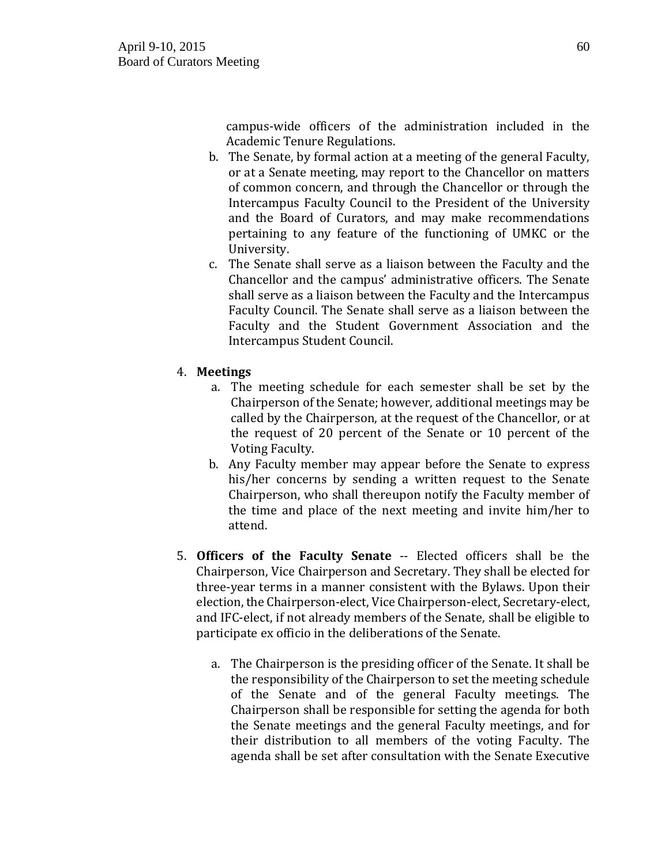campus-wide officers of the administration included in the Academic Tenure Regulations.

- b. The Senate, by formal action at a meeting of the general Faculty, or at a Senate meeting, may report to the Chancellor on matters of common concern, and through the Chancellor or through the Intercampus Faculty Council to the President of the University and the Board of Curators, and may make recommendations pertaining to any feature of the functioning of UMKC or the University.
- c. The Senate shall serve as a liaison between the Faculty and the Chancellor and the campus' administrative officers. The Senate shall serve as a liaison between the Faculty and the Intercampus Faculty Council. The Senate shall serve as a liaison between the Faculty and the Student Government Association and the Intercampus Student Council.

## 4. **Meetings**

- a. The meeting schedule for each semester shall be set by the Chairperson of the Senate; however, additional meetings may be called by the Chairperson, at the request of the Chancellor, or at the request of 20 percent of the Senate or 10 percent of the Voting Faculty.
- b. Any Faculty member may appear before the Senate to express his/her concerns by sending a written request to the Senate Chairperson, who shall thereupon notify the Faculty member of the time and place of the next meeting and invite him/her to attend.
- 5. **Officers of the Faculty Senate** -- Elected officers shall be the Chairperson, Vice Chairperson and Secretary. They shall be elected for three-year terms in a manner consistent with the Bylaws. Upon their election, the Chairperson-elect, Vice Chairperson-elect, Secretary-elect, and IFC-elect, if not already members of the Senate, shall be eligible to participate ex officio in the deliberations of the Senate.
	- a. The Chairperson is the presiding officer of the Senate. It shall be the responsibility of the Chairperson to set the meeting schedule of the Senate and of the general Faculty meetings. The Chairperson shall be responsible for setting the agenda for both the Senate meetings and the general Faculty meetings, and for their distribution to all members of the voting Faculty. The agenda shall be set after consultation with the Senate Executive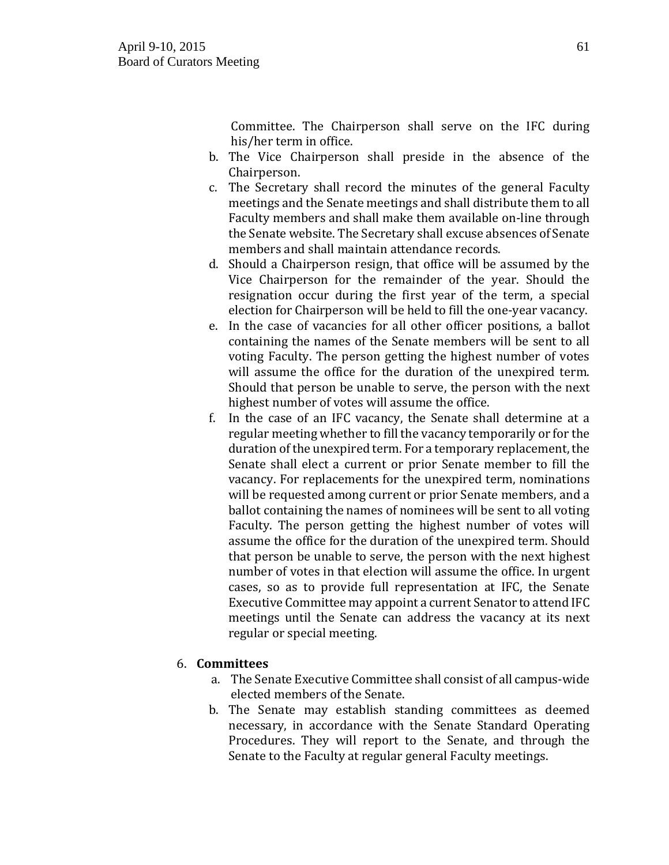Committee. The Chairperson shall serve on the IFC during his/her term in office.

- b. The Vice Chairperson shall preside in the absence of the Chairperson.
- c. The Secretary shall record the minutes of the general Faculty meetings and the Senate meetings and shall distribute them to all Faculty members and shall make them available on-line through the Senate website. The Secretary shall excuse absences of Senate members and shall maintain attendance records.
- d. Should a Chairperson resign, that office will be assumed by the Vice Chairperson for the remainder of the year. Should the resignation occur during the first year of the term, a special election for Chairperson will be held to fill the one-year vacancy.
- e. In the case of vacancies for all other officer positions, a ballot containing the names of the Senate members will be sent to all voting Faculty. The person getting the highest number of votes will assume the office for the duration of the unexpired term. Should that person be unable to serve, the person with the next highest number of votes will assume the office.
- f. In the case of an IFC vacancy, the Senate shall determine at a regular meeting whether to fill the vacancy temporarily or for the duration of the unexpired term. For a temporary replacement, the Senate shall elect a current or prior Senate member to fill the vacancy. For replacements for the unexpired term, nominations will be requested among current or prior Senate members, and a ballot containing the names of nominees will be sent to all voting Faculty. The person getting the highest number of votes will assume the office for the duration of the unexpired term. Should that person be unable to serve, the person with the next highest number of votes in that election will assume the office. In urgent cases, so as to provide full representation at IFC, the Senate Executive Committee may appoint a current Senator to attend IFC meetings until the Senate can address the vacancy at its next regular or special meeting.

## 6. **Committees**

- a. The Senate Executive Committee shall consist of all campus-wide elected members of the Senate.
- b. The Senate may establish standing committees as deemed necessary, in accordance with the Senate Standard Operating Procedures. They will report to the Senate, and through the Senate to the Faculty at regular general Faculty meetings.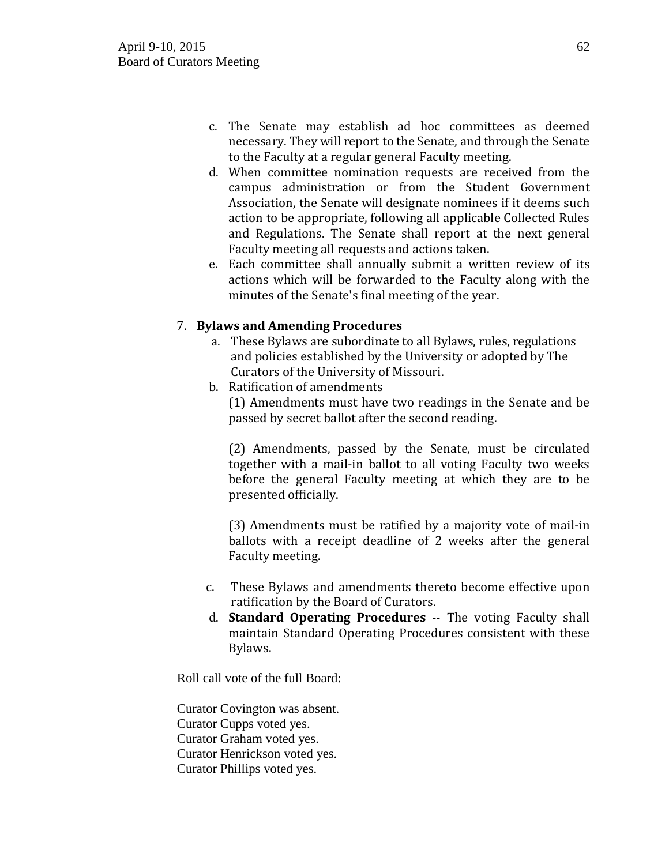- c. The Senate may establish ad hoc committees as deemed necessary. They will report to the Senate, and through the Senate to the Faculty at a regular general Faculty meeting.
- d. When committee nomination requests are received from the campus administration or from the Student Government Association, the Senate will designate nominees if it deems such action to be appropriate, following all applicable Collected Rules and Regulations. The Senate shall report at the next general Faculty meeting all requests and actions taken.
- e. Each committee shall annually submit a written review of its actions which will be forwarded to the Faculty along with the minutes of the Senate's final meeting of the year.

## 7. **Bylaws and Amending Procedures**

- a. These Bylaws are subordinate to all Bylaws, rules, regulations and policies established by the University or adopted by The Curators of the University of Missouri.
- b. Ratification of amendments (1) Amendments must have two readings in the Senate and be passed by secret ballot after the second reading.

(2) Amendments, passed by the Senate, must be circulated together with a mail-in ballot to all voting Faculty two weeks before the general Faculty meeting at which they are to be presented officially.

(3) Amendments must be ratified by a majority vote of mail-in ballots with a receipt deadline of 2 weeks after the general Faculty meeting.

- c. These Bylaws and amendments thereto become effective upon ratification by the Board of Curators.
- d. **Standard Operating Procedures** -- The voting Faculty shall maintain Standard Operating Procedures consistent with these Bylaws.

Roll call vote of the full Board:

Curator Covington was absent. Curator Cupps voted yes. Curator Graham voted yes. Curator Henrickson voted yes. Curator Phillips voted yes.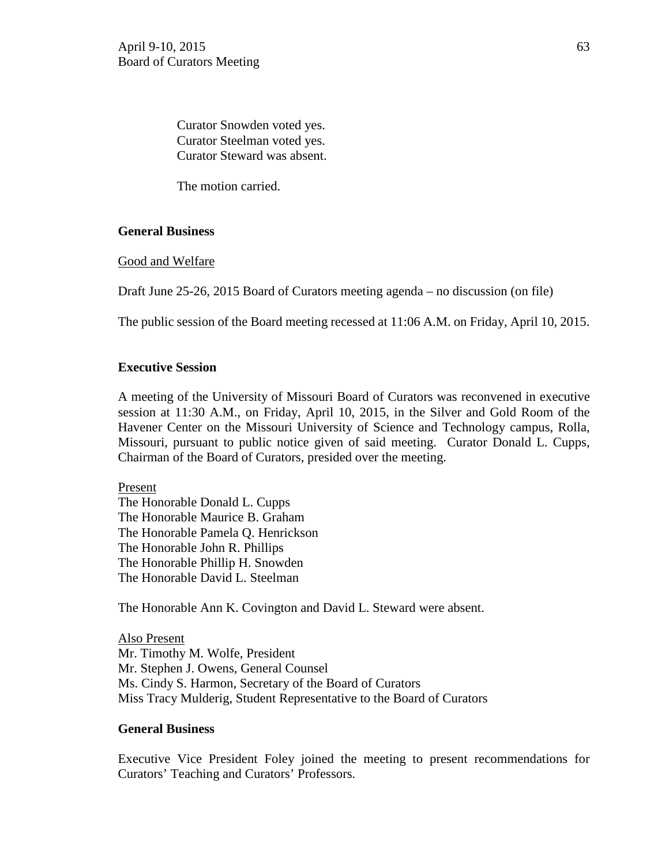Curator Snowden voted yes. Curator Steelman voted yes. Curator Steward was absent.

The motion carried.

## **General Business**

Good and Welfare

Draft June 25-26, 2015 Board of Curators meeting agenda – no discussion (on file)

The public session of the Board meeting recessed at 11:06 A.M. on Friday, April 10, 2015.

## **Executive Session**

A meeting of the University of Missouri Board of Curators was reconvened in executive session at 11:30 A.M., on Friday, April 10, 2015, in the Silver and Gold Room of the Havener Center on the Missouri University of Science and Technology campus, Rolla, Missouri, pursuant to public notice given of said meeting. Curator Donald L. Cupps, Chairman of the Board of Curators, presided over the meeting.

Present The Honorable Donald L. Cupps The Honorable Maurice B. Graham The Honorable Pamela Q. Henrickson

The Honorable John R. Phillips

The Honorable Phillip H. Snowden The Honorable David L. Steelman

The Honorable Ann K. Covington and David L. Steward were absent.

Also Present Mr. Timothy M. Wolfe, President Mr. Stephen J. Owens, General Counsel Ms. Cindy S. Harmon, Secretary of the Board of Curators Miss Tracy Mulderig, Student Representative to the Board of Curators

### **General Business**

Executive Vice President Foley joined the meeting to present recommendations for Curators' Teaching and Curators' Professors.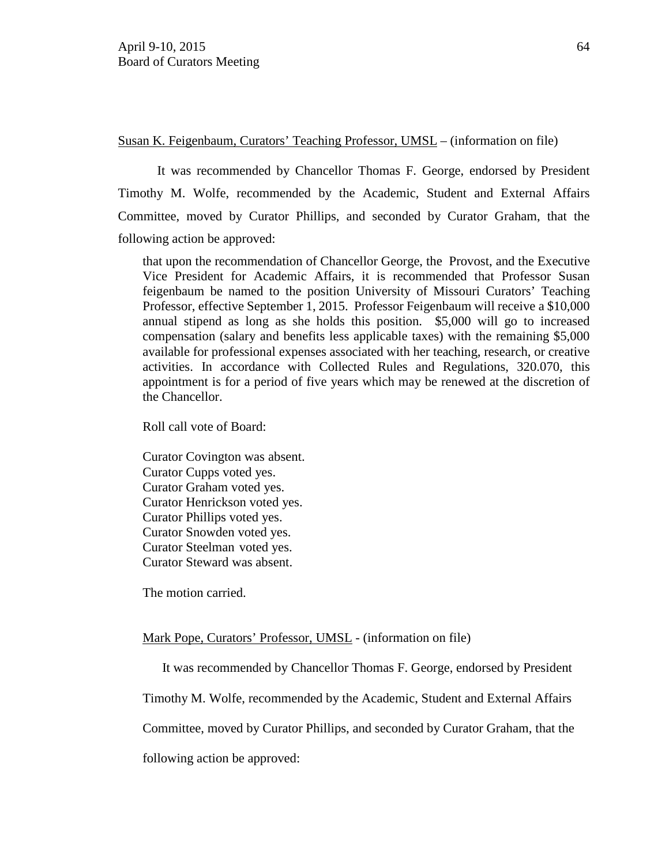Susan K. Feigenbaum, Curators' Teaching Professor, UMSL – (information on file)

It was recommended by Chancellor Thomas F. George, endorsed by President Timothy M. Wolfe, recommended by the Academic, Student and External Affairs Committee, moved by Curator Phillips, and seconded by Curator Graham, that the following action be approved:

that upon the recommendation of Chancellor George, the Provost, and the Executive Vice President for Academic Affairs, it is recommended that Professor Susan feigenbaum be named to the position University of Missouri Curators' Teaching Professor, effective September 1, 2015. Professor Feigenbaum will receive a \$10,000 annual stipend as long as she holds this position. \$5,000 will go to increased compensation (salary and benefits less applicable taxes) with the remaining \$5,000 available for professional expenses associated with her teaching, research, or creative activities. In accordance with Collected Rules and Regulations, 320.070, this appointment is for a period of five years which may be renewed at the discretion of the Chancellor.

Roll call vote of Board:

Curator Covington was absent. Curator Cupps voted yes. Curator Graham voted yes. Curator Henrickson voted yes. Curator Phillips voted yes. Curator Snowden voted yes. Curator Steelman voted yes. Curator Steward was absent.

The motion carried.

## Mark Pope, Curators' Professor, UMSL - (information on file)

It was recommended by Chancellor Thomas F. George, endorsed by President

Timothy M. Wolfe, recommended by the Academic, Student and External Affairs

Committee, moved by Curator Phillips, and seconded by Curator Graham, that the

following action be approved: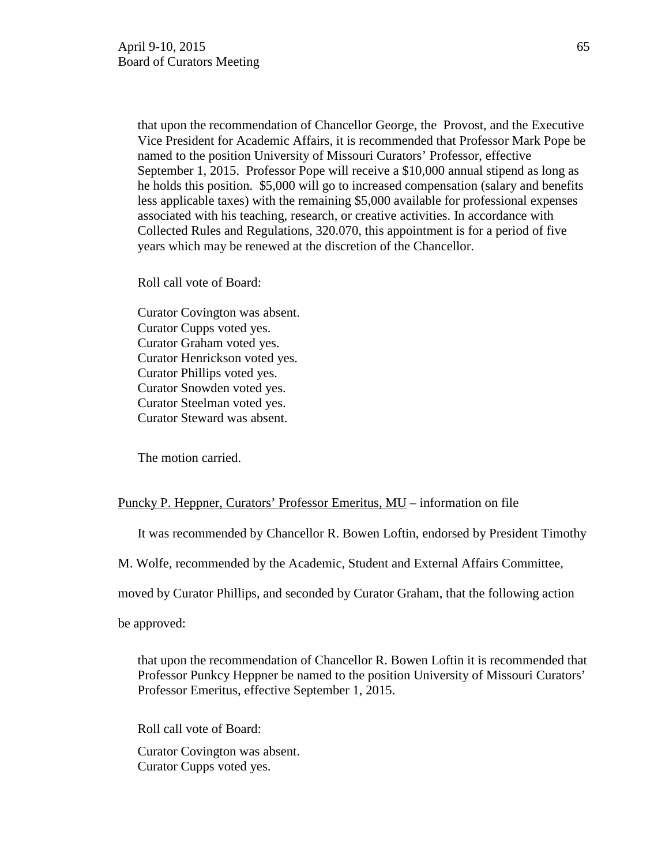that upon the recommendation of Chancellor George, the Provost, and the Executive Vice President for Academic Affairs, it is recommended that Professor Mark Pope be named to the position University of Missouri Curators' Professor, effective September 1, 2015. Professor Pope will receive a \$10,000 annual stipend as long as he holds this position. \$5,000 will go to increased compensation (salary and benefits less applicable taxes) with the remaining \$5,000 available for professional expenses associated with his teaching, research, or creative activities. In accordance with Collected Rules and Regulations, 320.070, this appointment is for a period of five years which may be renewed at the discretion of the Chancellor.

Roll call vote of Board:

Curator Covington was absent. Curator Cupps voted yes. Curator Graham voted yes. Curator Henrickson voted yes. Curator Phillips voted yes. Curator Snowden voted yes. Curator Steelman voted yes. Curator Steward was absent.

The motion carried.

#### Puncky P. Heppner, Curators' Professor Emeritus, MU – information on file

It was recommended by Chancellor R. Bowen Loftin, endorsed by President Timothy

M. Wolfe, recommended by the Academic, Student and External Affairs Committee,

moved by Curator Phillips, and seconded by Curator Graham, that the following action

be approved:

that upon the recommendation of Chancellor R. Bowen Loftin it is recommended that Professor Punkcy Heppner be named to the position University of Missouri Curators' Professor Emeritus, effective September 1, 2015.

Roll call vote of Board:

Curator Covington was absent. Curator Cupps voted yes.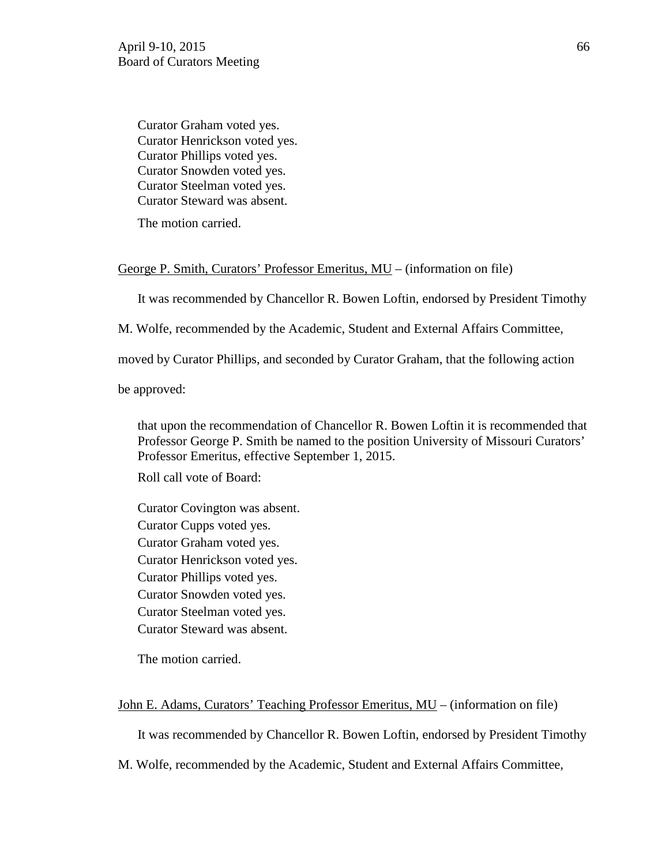Curator Graham voted yes. Curator Henrickson voted yes. Curator Phillips voted yes. Curator Snowden voted yes. Curator Steelman voted yes. Curator Steward was absent.

The motion carried.

#### George P. Smith, Curators' Professor Emeritus, MU – (information on file)

It was recommended by Chancellor R. Bowen Loftin, endorsed by President Timothy

M. Wolfe, recommended by the Academic, Student and External Affairs Committee,

moved by Curator Phillips, and seconded by Curator Graham, that the following action

be approved:

that upon the recommendation of Chancellor R. Bowen Loftin it is recommended that Professor George P. Smith be named to the position University of Missouri Curators' Professor Emeritus, effective September 1, 2015.

Roll call vote of Board:

Curator Covington was absent. Curator Cupps voted yes. Curator Graham voted yes. Curator Henrickson voted yes. Curator Phillips voted yes. Curator Snowden voted yes. Curator Steelman voted yes. Curator Steward was absent.

The motion carried.

John E. Adams, Curators' Teaching Professor Emeritus, MU – (information on file)

It was recommended by Chancellor R. Bowen Loftin, endorsed by President Timothy

M. Wolfe, recommended by the Academic, Student and External Affairs Committee,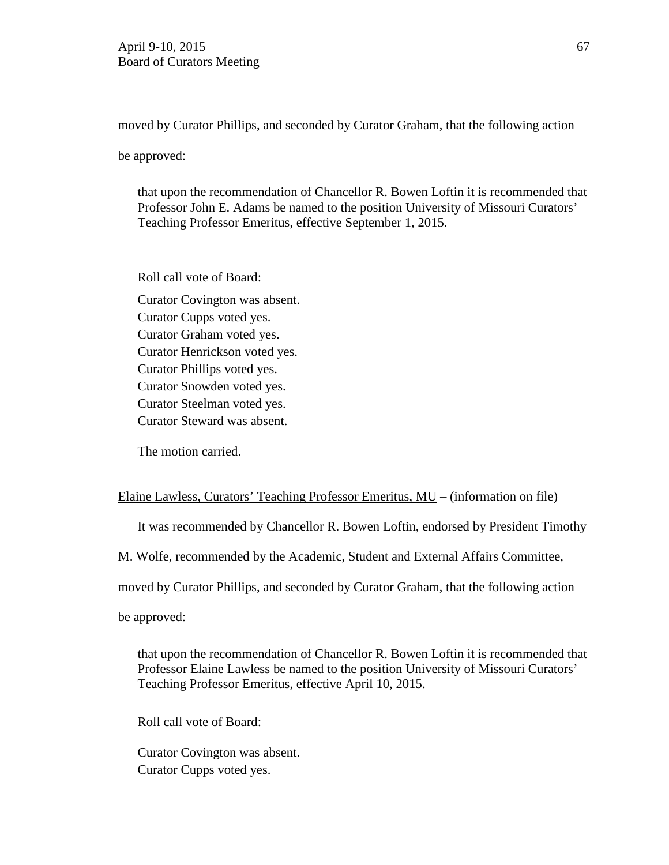moved by Curator Phillips, and seconded by Curator Graham, that the following action

be approved:

that upon the recommendation of Chancellor R. Bowen Loftin it is recommended that Professor John E. Adams be named to the position University of Missouri Curators' Teaching Professor Emeritus, effective September 1, 2015.

Roll call vote of Board:

Curator Covington was absent. Curator Cupps voted yes. Curator Graham voted yes. Curator Henrickson voted yes. Curator Phillips voted yes. Curator Snowden voted yes. Curator Steelman voted yes. Curator Steward was absent.

The motion carried.

### Elaine Lawless, Curators' Teaching Professor Emeritus, MU – (information on file)

It was recommended by Chancellor R. Bowen Loftin, endorsed by President Timothy

M. Wolfe, recommended by the Academic, Student and External Affairs Committee,

moved by Curator Phillips, and seconded by Curator Graham, that the following action

be approved:

that upon the recommendation of Chancellor R. Bowen Loftin it is recommended that Professor Elaine Lawless be named to the position University of Missouri Curators' Teaching Professor Emeritus, effective April 10, 2015.

Roll call vote of Board:

Curator Covington was absent. Curator Cupps voted yes.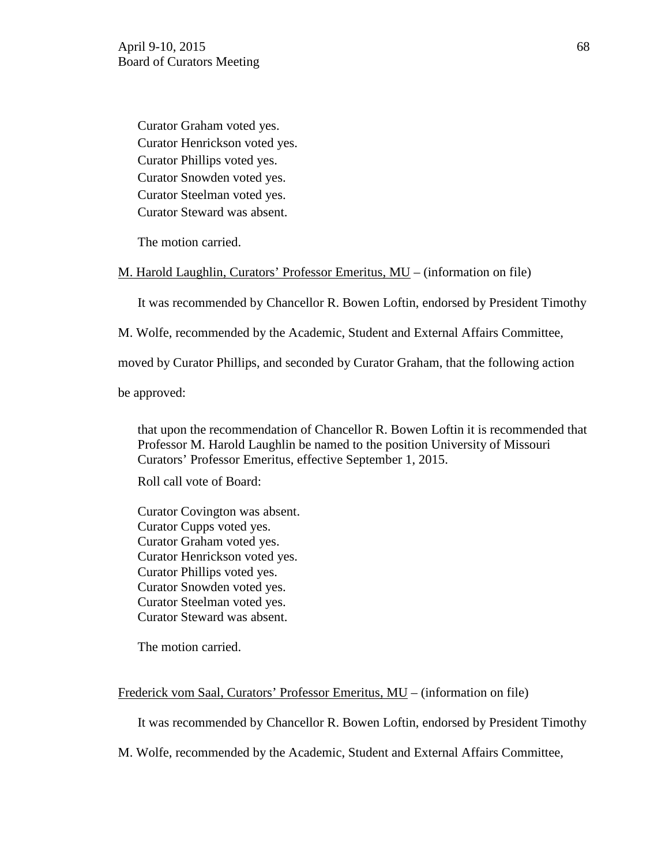Curator Graham voted yes. Curator Henrickson voted yes. Curator Phillips voted yes. Curator Snowden voted yes. Curator Steelman voted yes. Curator Steward was absent.

The motion carried.

### M. Harold Laughlin, Curators' Professor Emeritus, MU – (information on file)

It was recommended by Chancellor R. Bowen Loftin, endorsed by President Timothy

M. Wolfe, recommended by the Academic, Student and External Affairs Committee,

moved by Curator Phillips, and seconded by Curator Graham, that the following action

be approved:

that upon the recommendation of Chancellor R. Bowen Loftin it is recommended that Professor M. Harold Laughlin be named to the position University of Missouri Curators' Professor Emeritus, effective September 1, 2015.

Roll call vote of Board:

Curator Covington was absent. Curator Cupps voted yes. Curator Graham voted yes. Curator Henrickson voted yes. Curator Phillips voted yes. Curator Snowden voted yes. Curator Steelman voted yes. Curator Steward was absent.

The motion carried.

Frederick vom Saal, Curators' Professor Emeritus, MU – (information on file)

It was recommended by Chancellor R. Bowen Loftin, endorsed by President Timothy

M. Wolfe, recommended by the Academic, Student and External Affairs Committee,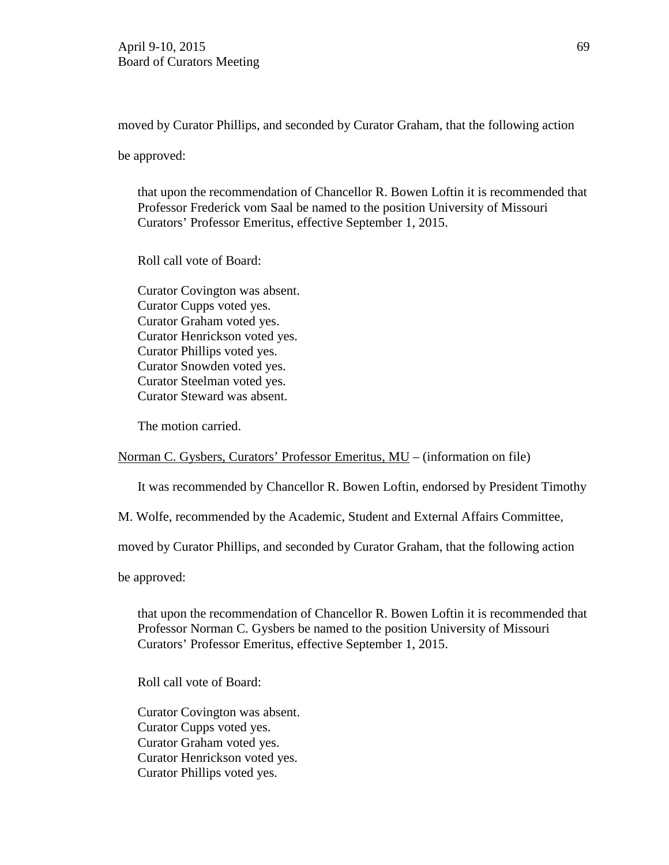moved by Curator Phillips, and seconded by Curator Graham, that the following action

be approved:

that upon the recommendation of Chancellor R. Bowen Loftin it is recommended that Professor Frederick vom Saal be named to the position University of Missouri Curators' Professor Emeritus, effective September 1, 2015.

Roll call vote of Board:

Curator Covington was absent. Curator Cupps voted yes. Curator Graham voted yes. Curator Henrickson voted yes. Curator Phillips voted yes. Curator Snowden voted yes. Curator Steelman voted yes. Curator Steward was absent.

The motion carried.

Norman C. Gysbers, Curators' Professor Emeritus, MU – (information on file)

It was recommended by Chancellor R. Bowen Loftin, endorsed by President Timothy

M. Wolfe, recommended by the Academic, Student and External Affairs Committee,

moved by Curator Phillips, and seconded by Curator Graham, that the following action

be approved:

that upon the recommendation of Chancellor R. Bowen Loftin it is recommended that Professor Norman C. Gysbers be named to the position University of Missouri Curators' Professor Emeritus, effective September 1, 2015.

Roll call vote of Board:

Curator Covington was absent. Curator Cupps voted yes. Curator Graham voted yes. Curator Henrickson voted yes. Curator Phillips voted yes.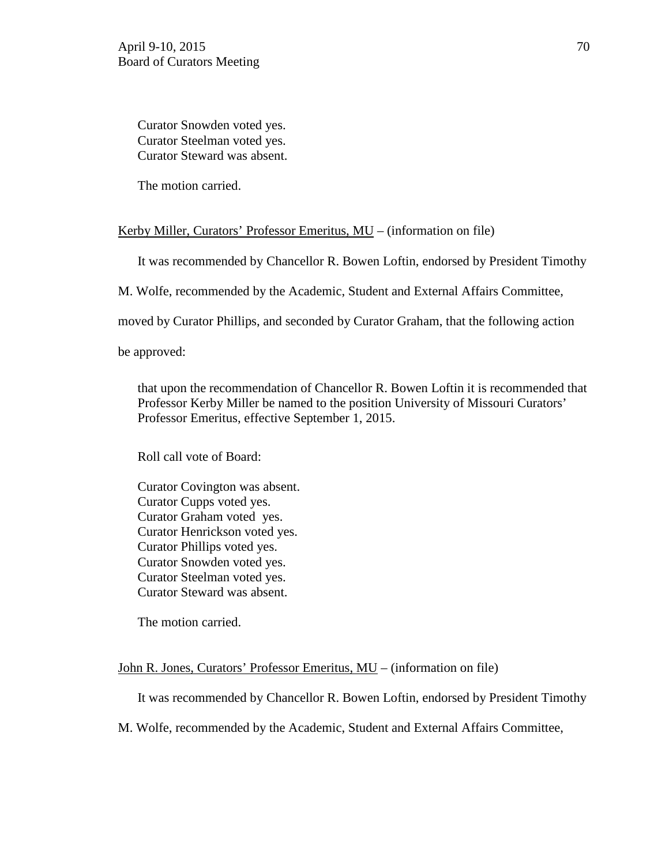Curator Snowden voted yes. Curator Steelman voted yes. Curator Steward was absent.

The motion carried.

## Kerby Miller, Curators' Professor Emeritus, MU – (information on file)

It was recommended by Chancellor R. Bowen Loftin, endorsed by President Timothy

M. Wolfe, recommended by the Academic, Student and External Affairs Committee,

moved by Curator Phillips, and seconded by Curator Graham, that the following action

be approved:

that upon the recommendation of Chancellor R. Bowen Loftin it is recommended that Professor Kerby Miller be named to the position University of Missouri Curators' Professor Emeritus, effective September 1, 2015.

Roll call vote of Board:

Curator Covington was absent. Curator Cupps voted yes. Curator Graham voted yes. Curator Henrickson voted yes. Curator Phillips voted yes. Curator Snowden voted yes. Curator Steelman voted yes. Curator Steward was absent.

The motion carried.

John R. Jones, Curators' Professor Emeritus, MU – (information on file)

It was recommended by Chancellor R. Bowen Loftin, endorsed by President Timothy

M. Wolfe, recommended by the Academic, Student and External Affairs Committee,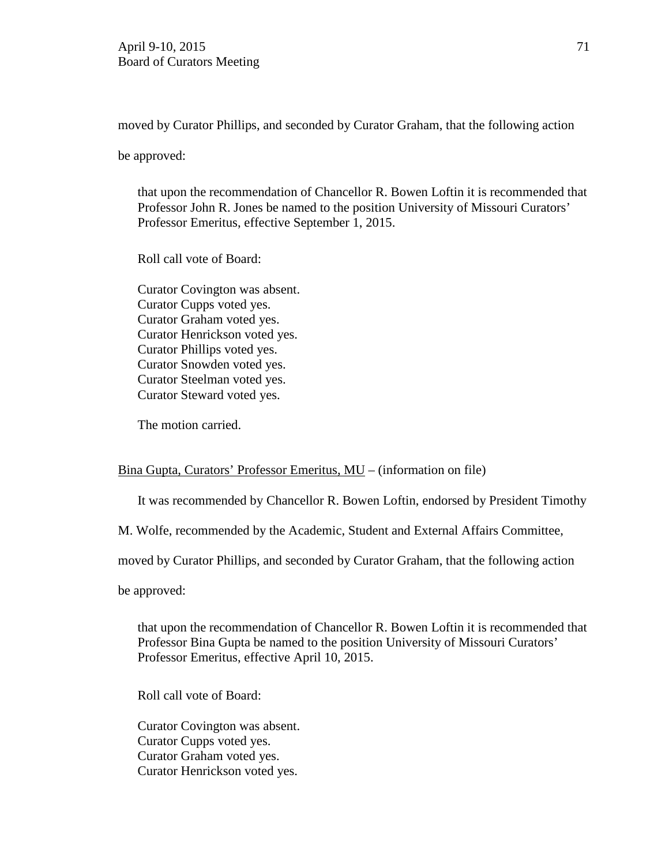moved by Curator Phillips, and seconded by Curator Graham, that the following action

be approved:

that upon the recommendation of Chancellor R. Bowen Loftin it is recommended that Professor John R. Jones be named to the position University of Missouri Curators' Professor Emeritus, effective September 1, 2015.

Roll call vote of Board:

Curator Covington was absent. Curator Cupps voted yes. Curator Graham voted yes. Curator Henrickson voted yes. Curator Phillips voted yes. Curator Snowden voted yes. Curator Steelman voted yes. Curator Steward voted yes.

The motion carried.

### Bina Gupta, Curators' Professor Emeritus, MU – (information on file)

It was recommended by Chancellor R. Bowen Loftin, endorsed by President Timothy

M. Wolfe, recommended by the Academic, Student and External Affairs Committee,

moved by Curator Phillips, and seconded by Curator Graham, that the following action

be approved:

that upon the recommendation of Chancellor R. Bowen Loftin it is recommended that Professor Bina Gupta be named to the position University of Missouri Curators' Professor Emeritus, effective April 10, 2015.

Roll call vote of Board:

Curator Covington was absent. Curator Cupps voted yes. Curator Graham voted yes. Curator Henrickson voted yes.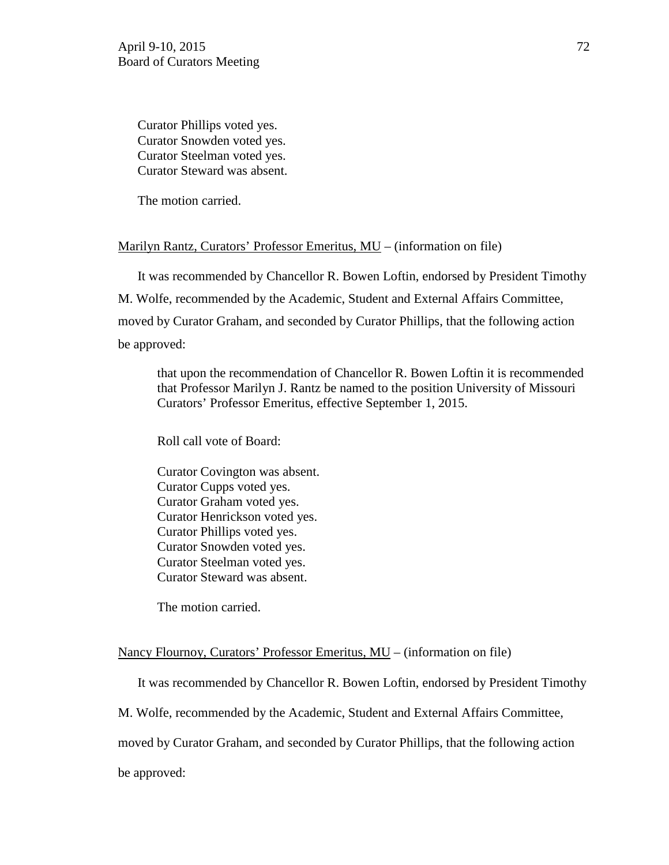Curator Phillips voted yes. Curator Snowden voted yes. Curator Steelman voted yes. Curator Steward was absent.

The motion carried.

### Marilyn Rantz, Curators' Professor Emeritus, MU – (information on file)

It was recommended by Chancellor R. Bowen Loftin, endorsed by President Timothy M. Wolfe, recommended by the Academic, Student and External Affairs Committee, moved by Curator Graham, and seconded by Curator Phillips, that the following action be approved:

that upon the recommendation of Chancellor R. Bowen Loftin it is recommended that Professor Marilyn J. Rantz be named to the position University of Missouri Curators' Professor Emeritus, effective September 1, 2015.

Roll call vote of Board:

Curator Covington was absent. Curator Cupps voted yes. Curator Graham voted yes. Curator Henrickson voted yes. Curator Phillips voted yes. Curator Snowden voted yes. Curator Steelman voted yes. Curator Steward was absent.

The motion carried.

### Nancy Flournoy, Curators' Professor Emeritus, MU – (information on file)

It was recommended by Chancellor R. Bowen Loftin, endorsed by President Timothy

M. Wolfe, recommended by the Academic, Student and External Affairs Committee,

moved by Curator Graham, and seconded by Curator Phillips, that the following action

be approved: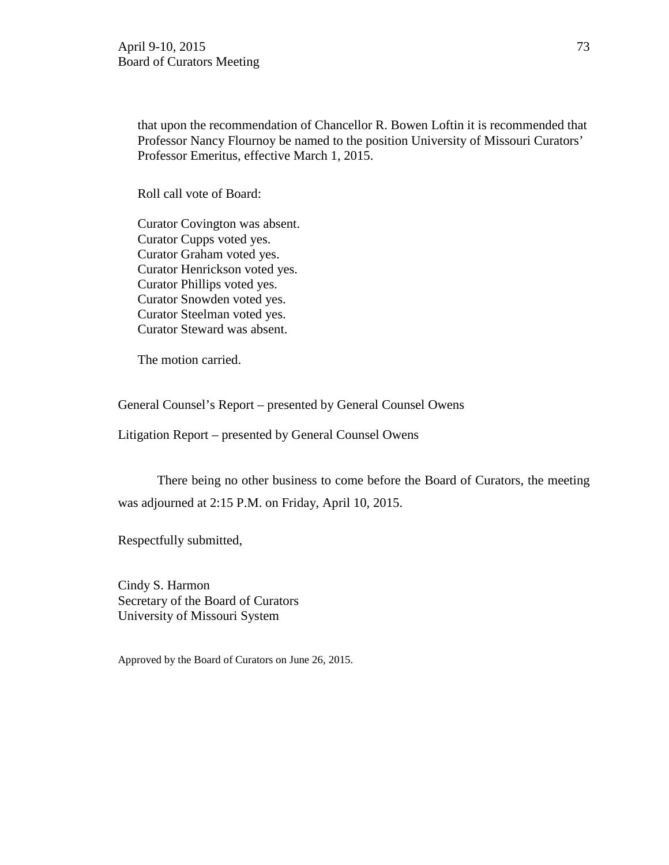that upon the recommendation of Chancellor R. Bowen Loftin it is recommended that Professor Nancy Flournoy be named to the position University of Missouri Curators' Professor Emeritus, effective March 1, 2015.

Roll call vote of Board:

Curator Covington was absent. Curator Cupps voted yes. Curator Graham voted yes. Curator Henrickson voted yes. Curator Phillips voted yes. Curator Snowden voted yes. Curator Steelman voted yes. Curator Steward was absent.

The motion carried.

General Counsel's Report – presented by General Counsel Owens

Litigation Report – presented by General Counsel Owens

There being no other business to come before the Board of Curators, the meeting was adjourned at 2:15 P.M. on Friday, April 10, 2015.

Respectfully submitted,

Cindy S. Harmon Secretary of the Board of Curators University of Missouri System

Approved by the Board of Curators on June 26, 2015.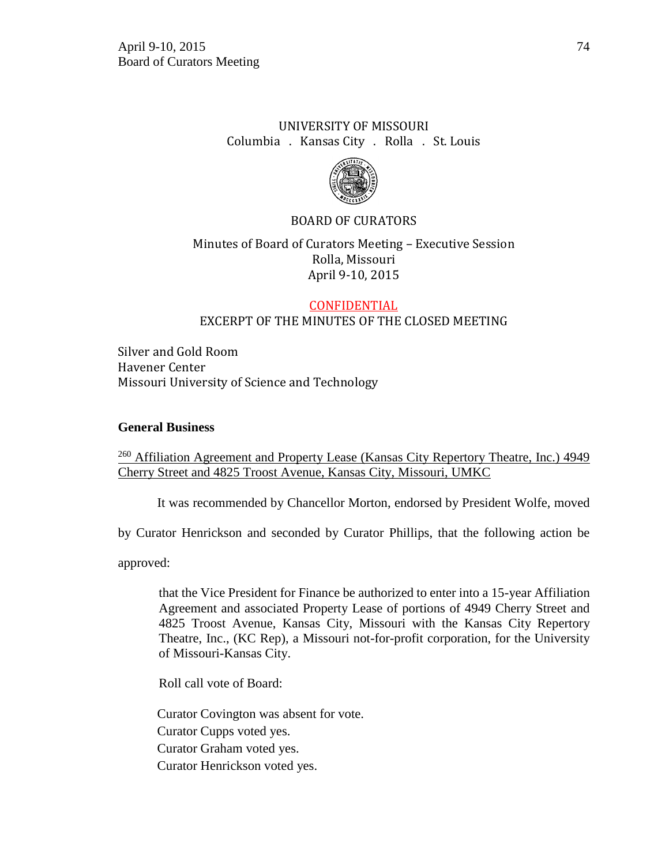# UNIVERSITY OF MISSOURI Columbia . Kansas City . Rolla . St. Louis



## BOARD OF CURATORS

## Minutes of Board of Curators Meeting – Executive Session Rolla, Missouri April 9-10, 2015

#### CONFIDENTIAL EXCERPT OF THE MINUTES OF THE CLOSED MEETING

Silver and Gold Room Havener Center Missouri University of Science and Technology

#### **General Business**

<sup>260</sup> Affiliation Agreement and Property Lease (Kansas City Repertory Theatre, Inc.) 4949 Cherry Street and 4825 Troost Avenue, Kansas City, Missouri, UMKC

It was recommended by Chancellor Morton, endorsed by President Wolfe, moved

by Curator Henrickson and seconded by Curator Phillips, that the following action be

approved:

that the Vice President for Finance be authorized to enter into a 15-year Affiliation Agreement and associated Property Lease of portions of 4949 Cherry Street and 4825 Troost Avenue, Kansas City, Missouri with the Kansas City Repertory Theatre, Inc., (KC Rep), a Missouri not-for-profit corporation, for the University of Missouri-Kansas City.

Roll call vote of Board:

Curator Covington was absent for vote. Curator Cupps voted yes. Curator Graham voted yes. Curator Henrickson voted yes.